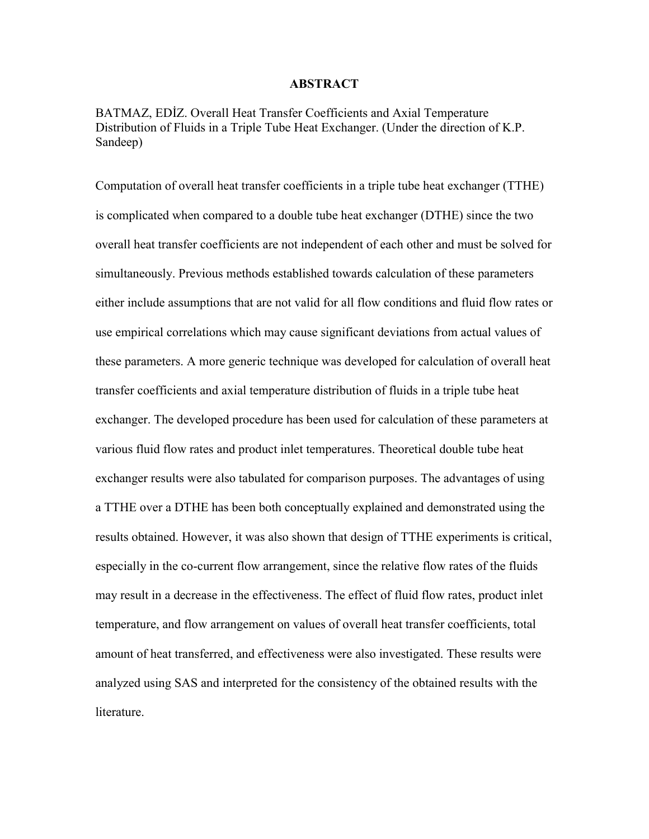#### **ABSTRACT**

BATMAZ, EDİZ. Overall Heat Transfer Coefficients and Axial Temperature Distribution of Fluids in a Triple Tube Heat Exchanger. (Under the direction of K.P. Sandeep)

Computation of overall heat transfer coefficients in a triple tube heat exchanger (TTHE) is complicated when compared to a double tube heat exchanger (DTHE) since the two overall heat transfer coefficients are not independent of each other and must be solved for simultaneously. Previous methods established towards calculation of these parameters either include assumptions that are not valid for all flow conditions and fluid flow rates or use empirical correlations which may cause significant deviations from actual values of these parameters. A more generic technique was developed for calculation of overall heat transfer coefficients and axial temperature distribution of fluids in a triple tube heat exchanger. The developed procedure has been used for calculation of these parameters at various fluid flow rates and product inlet temperatures. Theoretical double tube heat exchanger results were also tabulated for comparison purposes. The advantages of using a TTHE over a DTHE has been both conceptually explained and demonstrated using the results obtained. However, it was also shown that design of TTHE experiments is critical, especially in the co-current flow arrangement, since the relative flow rates of the fluids may result in a decrease in the effectiveness. The effect of fluid flow rates, product inlet temperature, and flow arrangement on values of overall heat transfer coefficients, total amount of heat transferred, and effectiveness were also investigated. These results were analyzed using SAS and interpreted for the consistency of the obtained results with the literature.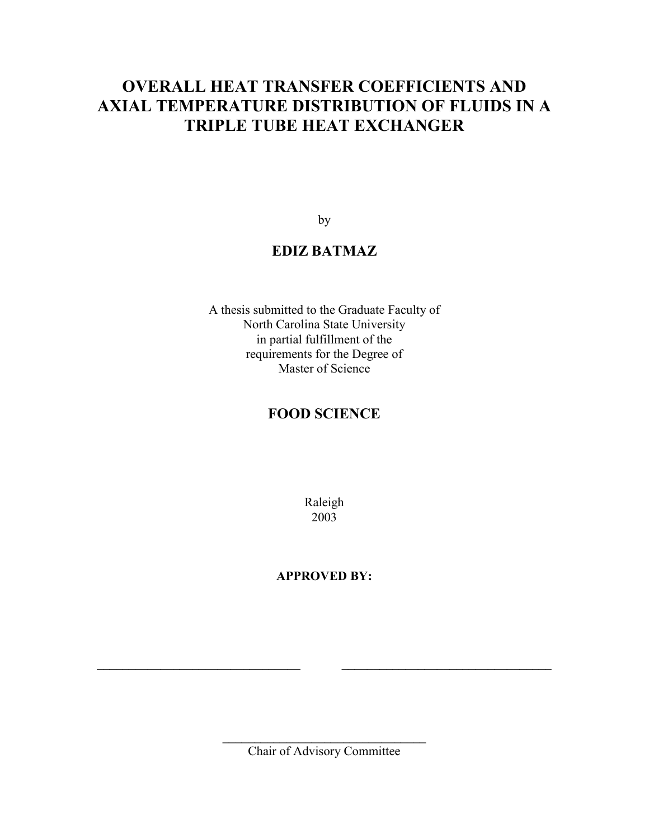## **OVERALL HEAT TRANSFER COEFFICIENTS AND AXIAL TEMPERATURE DISTRIBUTION OF FLUIDS IN A TRIPLE TUBE HEAT EXCHANGER**

by

### **EDIZ BATMAZ**

A thesis submitted to the Graduate Faculty of North Carolina State University in partial fulfillment of the requirements for the Degree of Master of Science

### **FOOD SCIENCE**

Raleigh 2003

**APPROVED BY:** 

**\_\_\_\_\_\_\_\_\_\_\_\_\_\_\_\_\_\_\_\_\_\_\_\_\_\_\_\_\_\_\_\_**  Chair of Advisory Committee

**\_\_\_\_\_\_\_\_\_\_\_\_\_\_\_\_\_\_\_\_\_\_\_\_\_\_\_\_\_\_\_\_ \_\_\_\_\_\_\_\_\_\_\_\_\_\_\_\_\_\_\_\_\_\_\_\_\_\_\_\_\_\_\_\_\_**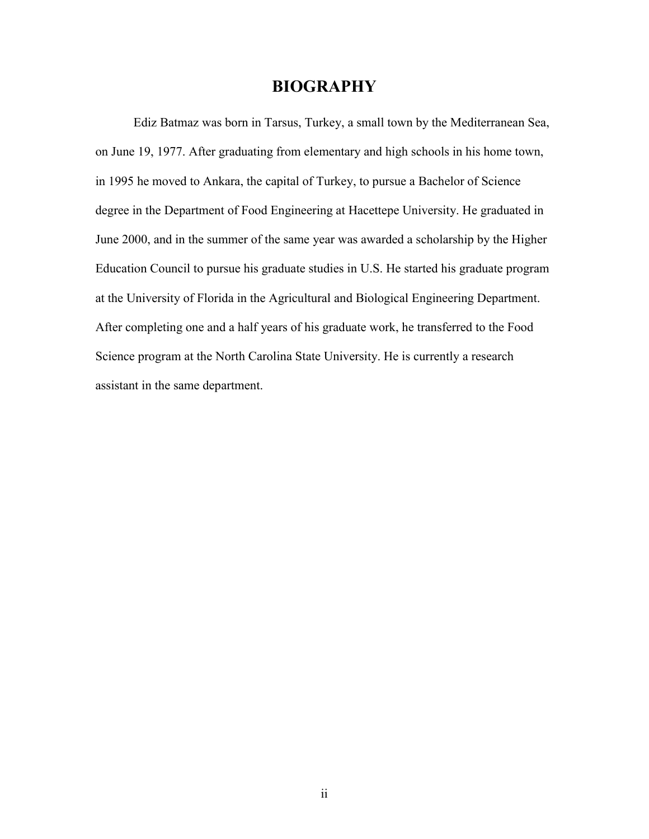### **BIOGRAPHY**

Ediz Batmaz was born in Tarsus, Turkey, a small town by the Mediterranean Sea, on June 19, 1977. After graduating from elementary and high schools in his home town, in 1995 he moved to Ankara, the capital of Turkey, to pursue a Bachelor of Science degree in the Department of Food Engineering at Hacettepe University. He graduated in June 2000, and in the summer of the same year was awarded a scholarship by the Higher Education Council to pursue his graduate studies in U.S. He started his graduate program at the University of Florida in the Agricultural and Biological Engineering Department. After completing one and a half years of his graduate work, he transferred to the Food Science program at the North Carolina State University. He is currently a research assistant in the same department.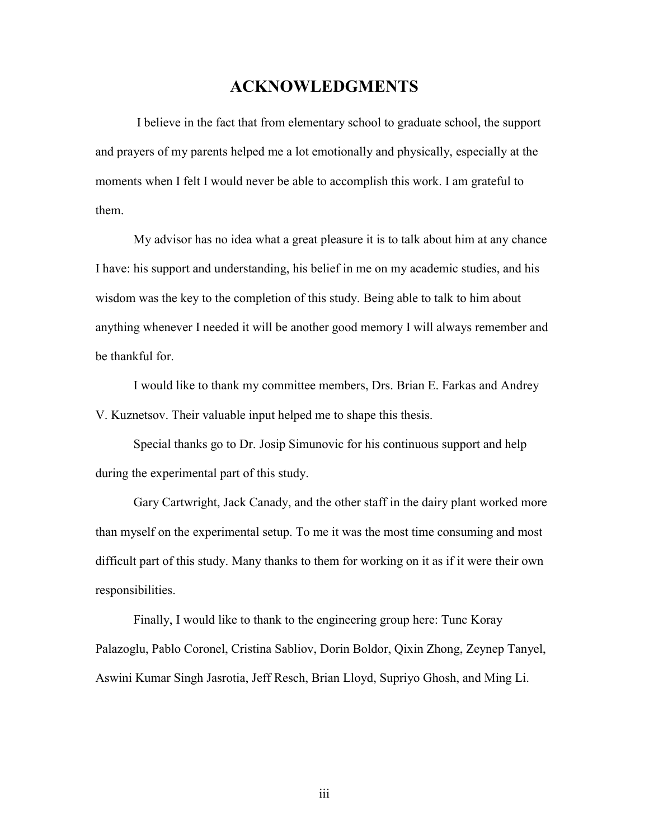### **ACKNOWLEDGMENTS**

 I believe in the fact that from elementary school to graduate school, the support and prayers of my parents helped me a lot emotionally and physically, especially at the moments when I felt I would never be able to accomplish this work. I am grateful to them.

My advisor has no idea what a great pleasure it is to talk about him at any chance I have: his support and understanding, his belief in me on my academic studies, and his wisdom was the key to the completion of this study. Being able to talk to him about anything whenever I needed it will be another good memory I will always remember and be thankful for.

I would like to thank my committee members, Drs. Brian E. Farkas and Andrey V. Kuznetsov. Their valuable input helped me to shape this thesis.

Special thanks go to Dr. Josip Simunovic for his continuous support and help during the experimental part of this study.

Gary Cartwright, Jack Canady, and the other staff in the dairy plant worked more than myself on the experimental setup. To me it was the most time consuming and most difficult part of this study. Many thanks to them for working on it as if it were their own responsibilities.

Finally, I would like to thank to the engineering group here: Tunc Koray Palazoglu, Pablo Coronel, Cristina Sabliov, Dorin Boldor, Qixin Zhong, Zeynep Tanyel, Aswini Kumar Singh Jasrotia, Jeff Resch, Brian Lloyd, Supriyo Ghosh, and Ming Li.

iii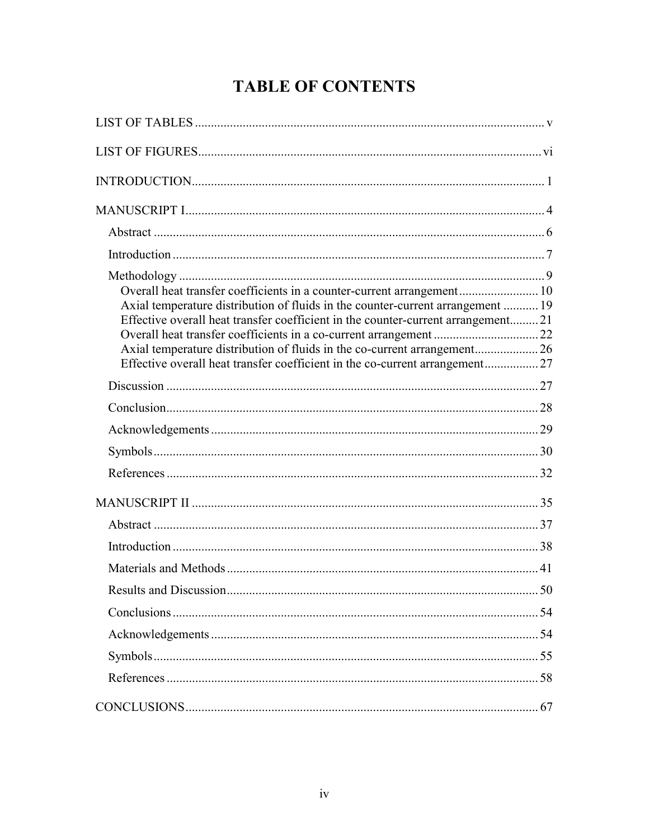# **TABLE OF CONTENTS**

| Overall heat transfer coefficients in a counter-current arrangement 10<br>Axial temperature distribution of fluids in the counter-current arrangement  19<br>Effective overall heat transfer coefficient in the counter-current arrangement21<br>Axial temperature distribution of fluids in the co-current arrangement26<br>Effective overall heat transfer coefficient in the co-current arrangement 27 |  |
|-----------------------------------------------------------------------------------------------------------------------------------------------------------------------------------------------------------------------------------------------------------------------------------------------------------------------------------------------------------------------------------------------------------|--|
|                                                                                                                                                                                                                                                                                                                                                                                                           |  |
|                                                                                                                                                                                                                                                                                                                                                                                                           |  |
|                                                                                                                                                                                                                                                                                                                                                                                                           |  |
|                                                                                                                                                                                                                                                                                                                                                                                                           |  |
|                                                                                                                                                                                                                                                                                                                                                                                                           |  |
|                                                                                                                                                                                                                                                                                                                                                                                                           |  |
|                                                                                                                                                                                                                                                                                                                                                                                                           |  |
|                                                                                                                                                                                                                                                                                                                                                                                                           |  |
|                                                                                                                                                                                                                                                                                                                                                                                                           |  |
|                                                                                                                                                                                                                                                                                                                                                                                                           |  |
|                                                                                                                                                                                                                                                                                                                                                                                                           |  |
|                                                                                                                                                                                                                                                                                                                                                                                                           |  |
|                                                                                                                                                                                                                                                                                                                                                                                                           |  |
|                                                                                                                                                                                                                                                                                                                                                                                                           |  |
|                                                                                                                                                                                                                                                                                                                                                                                                           |  |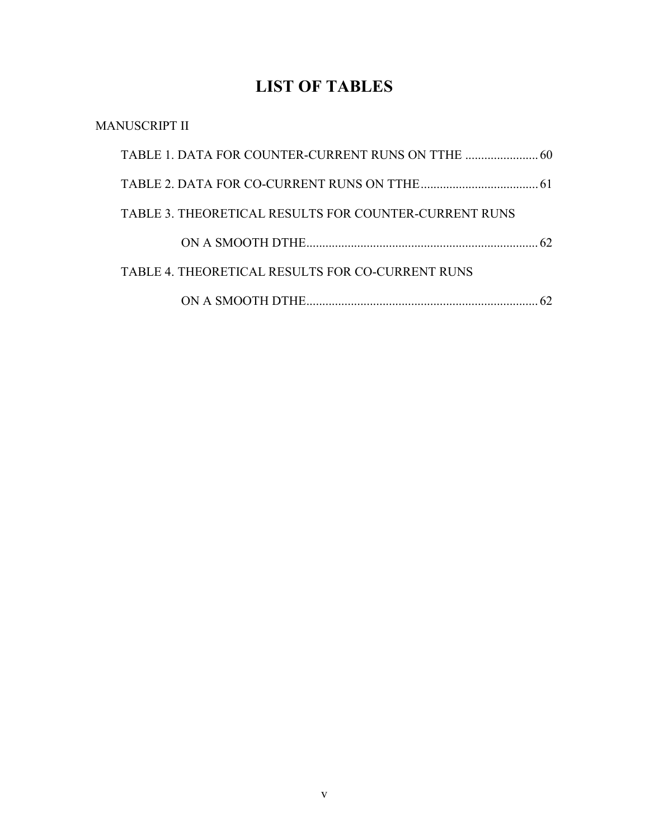# **LIST OF TABLES**

| MANUSCRIPT II                                                |     |
|--------------------------------------------------------------|-----|
|                                                              |     |
|                                                              |     |
| <b>TABLE 3. THEORETICAL RESULTS FOR COUNTER-CURRENT RUNS</b> |     |
|                                                              | 62. |
| TABLE 4. THEORETICAL RESULTS FOR CO-CURRENT RUNS             |     |
|                                                              |     |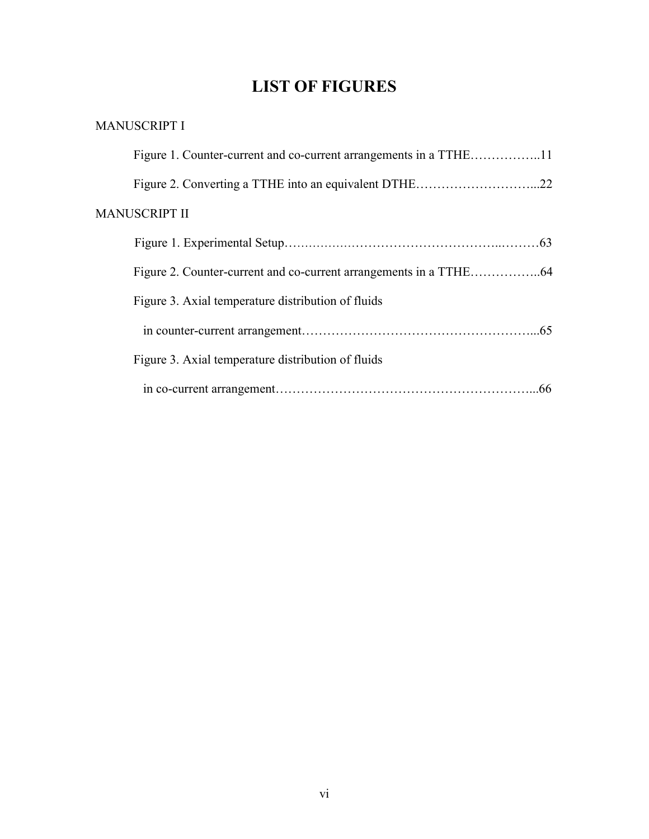## **LIST OF FIGURES**

### MANUSCRIPT I

| Figure 1. Counter-current and co-current arrangements in a TTHE11 |  |
|-------------------------------------------------------------------|--|
|                                                                   |  |
| <b>MANUSCRIPT II</b>                                              |  |
|                                                                   |  |
|                                                                   |  |
| Figure 3. Axial temperature distribution of fluids                |  |
|                                                                   |  |
| Figure 3. Axial temperature distribution of fluids                |  |
|                                                                   |  |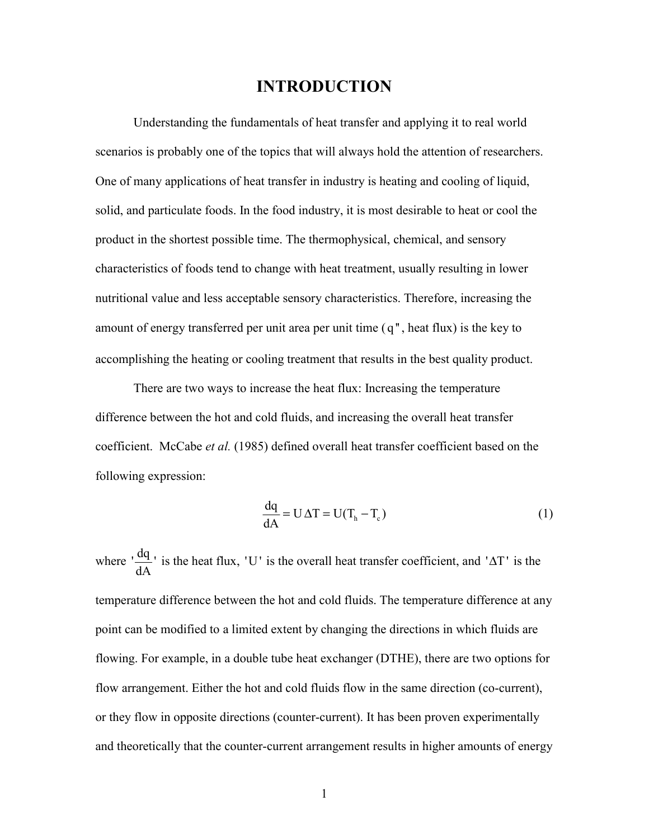### **INTRODUCTION**

Understanding the fundamentals of heat transfer and applying it to real world scenarios is probably one of the topics that will always hold the attention of researchers. One of many applications of heat transfer in industry is heating and cooling of liquid, solid, and particulate foods. In the food industry, it is most desirable to heat or cool the product in the shortest possible time. The thermophysical, chemical, and sensory characteristics of foods tend to change with heat treatment, usually resulting in lower nutritional value and less acceptable sensory characteristics. Therefore, increasing the amount of energy transferred per unit area per unit time  $(q<sup>n</sup>)$ , heat flux) is the key to accomplishing the heating or cooling treatment that results in the best quality product.

 There are two ways to increase the heat flux: Increasing the temperature difference between the hot and cold fluids, and increasing the overall heat transfer coefficient. McCabe *et al.* (1985) defined overall heat transfer coefficient based on the following expression:

$$
\frac{dq}{dA} = U \Delta T = U(T_h - T_c)
$$
 (1)

where  $\frac{dq}{dA}$  is the heat flux, 'U' is the overall heat transfer coefficient, and ' $\Delta T$ ' is the temperature difference between the hot and cold fluids. The temperature difference at any point can be modified to a limited extent by changing the directions in which fluids are flowing. For example, in a double tube heat exchanger (DTHE), there are two options for flow arrangement. Either the hot and cold fluids flow in the same direction (co-current), or they flow in opposite directions (counter-current). It has been proven experimentally and theoretically that the counter-current arrangement results in higher amounts of energy

1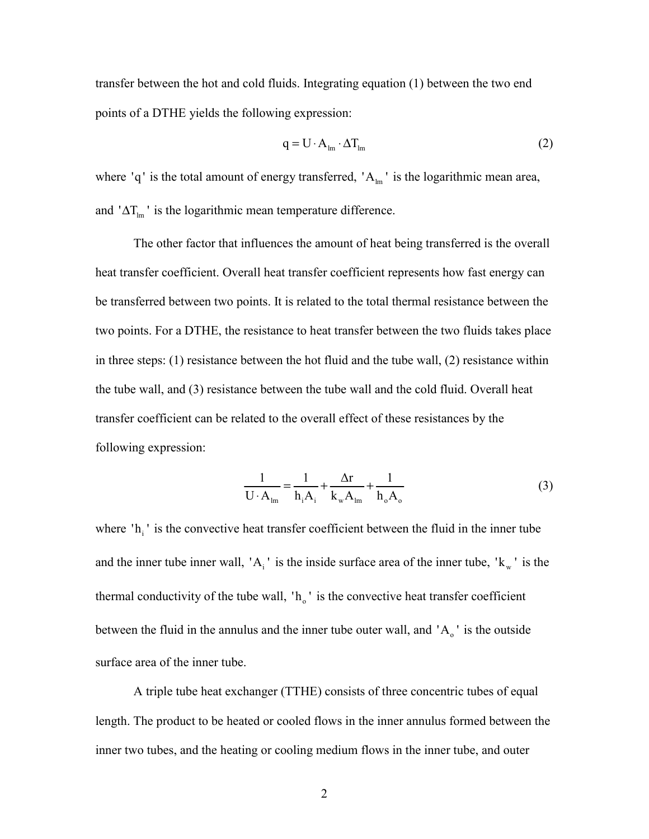transfer between the hot and cold fluids. Integrating equation (1) between the two end points of a DTHE yields the following expression:

$$
q = U \cdot A_{lm} \cdot \Delta T_{lm} \tag{2}
$$

where 'q' is the total amount of energy transferred, ' $A_{lm}$ ' is the logarithmic mean area, and ' $\Delta T_{lm}$ ' is the logarithmic mean temperature difference.

The other factor that influences the amount of heat being transferred is the overall heat transfer coefficient. Overall heat transfer coefficient represents how fast energy can be transferred between two points. It is related to the total thermal resistance between the two points. For a DTHE, the resistance to heat transfer between the two fluids takes place in three steps: (1) resistance between the hot fluid and the tube wall, (2) resistance within the tube wall, and (3) resistance between the tube wall and the cold fluid. Overall heat transfer coefficient can be related to the overall effect of these resistances by the following expression:

$$
\frac{1}{\mathbf{U} \cdot \mathbf{A}_{\text{lm}}} = \frac{1}{\mathbf{h}_i \mathbf{A}_i} + \frac{\Delta \mathbf{r}}{\mathbf{k}_{\text{w}} \mathbf{A}_{\text{lm}}} + \frac{1}{\mathbf{h}_o \mathbf{A}_o}
$$
(3)

where  $\Delta$ <sup>1</sup> is the convective heat transfer coefficient between the fluid in the inner tube and the inner tube inner wall, 'A<sub>i</sub>' is the inside surface area of the inner tube, ' $k_w$ ' is the thermal conductivity of the tube wall,  $\mathbf{h}_o$  ' is the convective heat transfer coefficient between the fluid in the annulus and the inner tube outer wall, and  $'A_0$  is the outside surface area of the inner tube.

 A triple tube heat exchanger (TTHE) consists of three concentric tubes of equal length. The product to be heated or cooled flows in the inner annulus formed between the inner two tubes, and the heating or cooling medium flows in the inner tube, and outer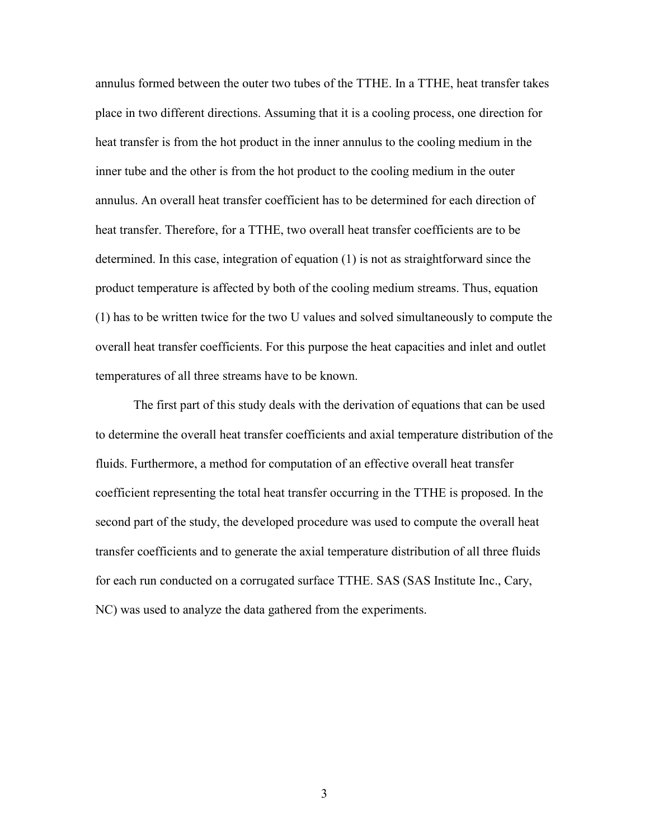annulus formed between the outer two tubes of the TTHE. In a TTHE, heat transfer takes place in two different directions. Assuming that it is a cooling process, one direction for heat transfer is from the hot product in the inner annulus to the cooling medium in the inner tube and the other is from the hot product to the cooling medium in the outer annulus. An overall heat transfer coefficient has to be determined for each direction of heat transfer. Therefore, for a TTHE, two overall heat transfer coefficients are to be determined. In this case, integration of equation (1) is not as straightforward since the product temperature is affected by both of the cooling medium streams. Thus, equation (1) has to be written twice for the two U values and solved simultaneously to compute the overall heat transfer coefficients. For this purpose the heat capacities and inlet and outlet temperatures of all three streams have to be known.

The first part of this study deals with the derivation of equations that can be used to determine the overall heat transfer coefficients and axial temperature distribution of the fluids. Furthermore, a method for computation of an effective overall heat transfer coefficient representing the total heat transfer occurring in the TTHE is proposed. In the second part of the study, the developed procedure was used to compute the overall heat transfer coefficients and to generate the axial temperature distribution of all three fluids for each run conducted on a corrugated surface TTHE. SAS (SAS Institute Inc., Cary, NC) was used to analyze the data gathered from the experiments.

3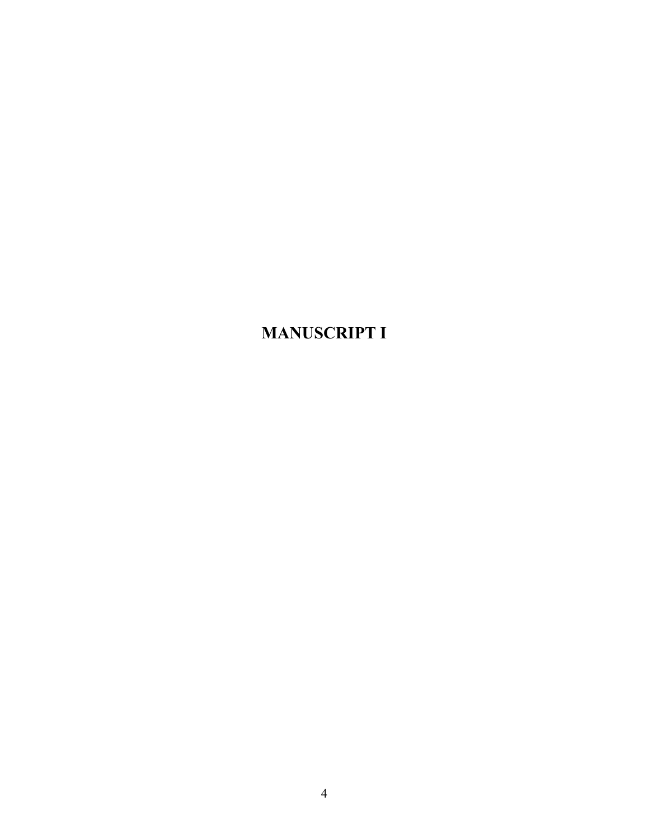**MANUSCRIPT I**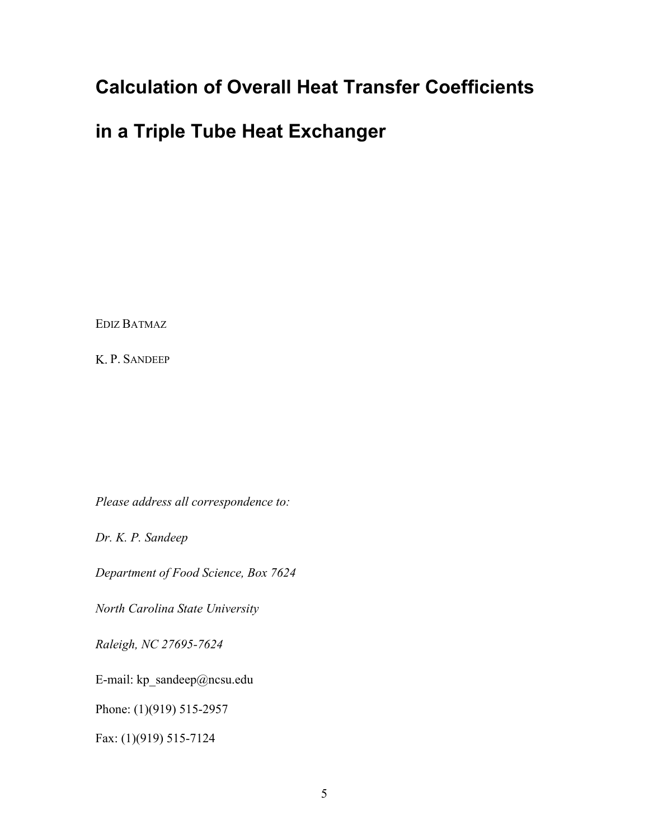# **Calculation of Overall Heat Transfer Coefficients**

## **in a Triple Tube Heat Exchanger**

EDIZ BATMAZ

K. P. SANDEEP

*Please address all correspondence to:* 

*Dr. K. P. Sandeep* 

*Department of Food Science, Box 7624* 

*North Carolina State University* 

*Raleigh, NC 27695-7624* 

E-mail: kp\_sandeep@ncsu.edu

Phone: (1)(919) 515-2957

Fax: (1)(919) 515-7124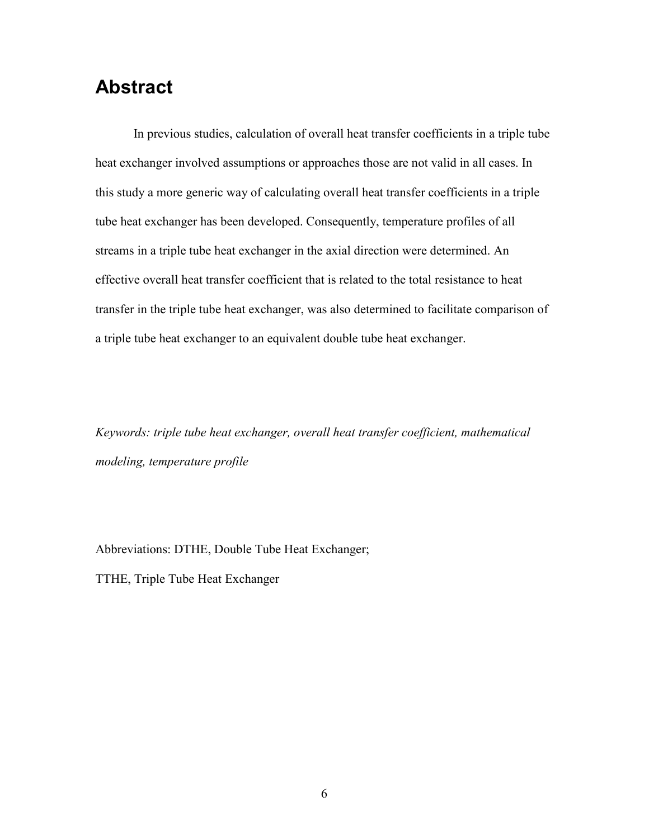## **Abstract**

In previous studies, calculation of overall heat transfer coefficients in a triple tube heat exchanger involved assumptions or approaches those are not valid in all cases. In this study a more generic way of calculating overall heat transfer coefficients in a triple tube heat exchanger has been developed. Consequently, temperature profiles of all streams in a triple tube heat exchanger in the axial direction were determined. An effective overall heat transfer coefficient that is related to the total resistance to heat transfer in the triple tube heat exchanger, was also determined to facilitate comparison of a triple tube heat exchanger to an equivalent double tube heat exchanger.

*Keywords: triple tube heat exchanger, overall heat transfer coefficient, mathematical modeling, temperature profile* 

Abbreviations: DTHE, Double Tube Heat Exchanger;

TTHE, Triple Tube Heat Exchanger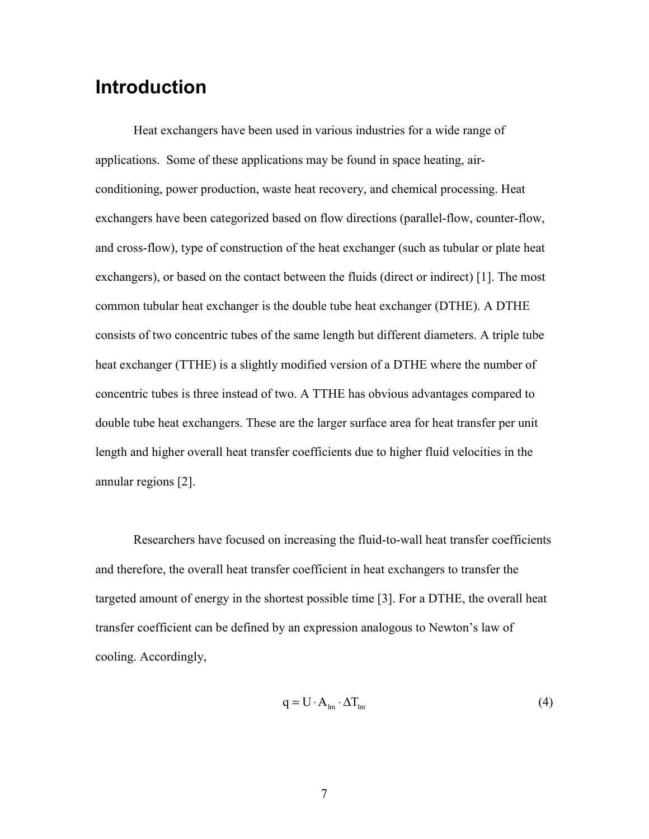# **Introduction**

 Heat exchangers have been used in various industries for a wide range of applications. Some of these applications may be found in space heating, airconditioning, power production, waste heat recovery, and chemical processing. Heat exchangers have been categorized based on flow directions (parallel-flow, counter-flow, and cross-flow), type of construction of the heat exchanger (such as tubular or plate heat exchangers), or based on the contact between the fluids (direct or indirect) [1]. The most common tubular heat exchanger is the double tube heat exchanger (DTHE). A DTHE consists of two concentric tubes of the same length but different diameters. A triple tube heat exchanger (TTHE) is a slightly modified version of a DTHE where the number of concentric tubes is three instead of two. A TTHE has obvious advantages compared to double tube heat exchangers. These are the larger surface area for heat transfer per unit length and higher overall heat transfer coefficients due to higher fluid velocities in the annular regions [2].

 Researchers have focused on increasing the fluid-to-wall heat transfer coefficients and therefore, the overall heat transfer coefficient in heat exchangers to transfer the targeted amount of energy in the shortest possible time [3]. For a DTHE, the overall heat transfer coefficient can be defined by an expression analogous to Newton's law of cooling. Accordingly,

$$
q = U \cdot A_{lm} \cdot \Delta T_{lm} \tag{4}
$$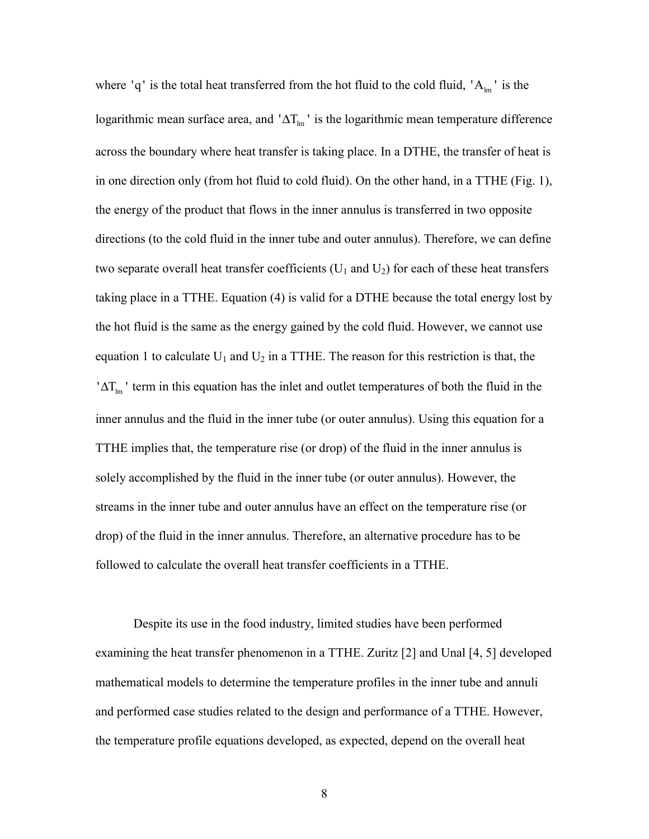where 'q' is the total heat transferred from the hot fluid to the cold fluid,  $A_{lm}$ ' is the logarithmic mean surface area, and ' $\Delta T_{lm}$ ' is the logarithmic mean temperature difference across the boundary where heat transfer is taking place. In a DTHE, the transfer of heat is in one direction only (from hot fluid to cold fluid). On the other hand, in a TTHE (Fig. 1), the energy of the product that flows in the inner annulus is transferred in two opposite directions (to the cold fluid in the inner tube and outer annulus). Therefore, we can define two separate overall heat transfer coefficients  $(U_1$  and  $U_2)$  for each of these heat transfers taking place in a TTHE. Equation (4) is valid for a DTHE because the total energy lost by the hot fluid is the same as the energy gained by the cold fluid. However, we cannot use equation 1 to calculate  $U_1$  and  $U_2$  in a TTHE. The reason for this restriction is that, the ' $\Delta T_{lm}$ ' term in this equation has the inlet and outlet temperatures of both the fluid in the inner annulus and the fluid in the inner tube (or outer annulus). Using this equation for a TTHE implies that, the temperature rise (or drop) of the fluid in the inner annulus is solely accomplished by the fluid in the inner tube (or outer annulus). However, the streams in the inner tube and outer annulus have an effect on the temperature rise (or drop) of the fluid in the inner annulus. Therefore, an alternative procedure has to be followed to calculate the overall heat transfer coefficients in a TTHE.

 Despite its use in the food industry, limited studies have been performed examining the heat transfer phenomenon in a TTHE. Zuritz [2] and Unal [4, 5] developed mathematical models to determine the temperature profiles in the inner tube and annuli and performed case studies related to the design and performance of a TTHE. However, the temperature profile equations developed, as expected, depend on the overall heat

8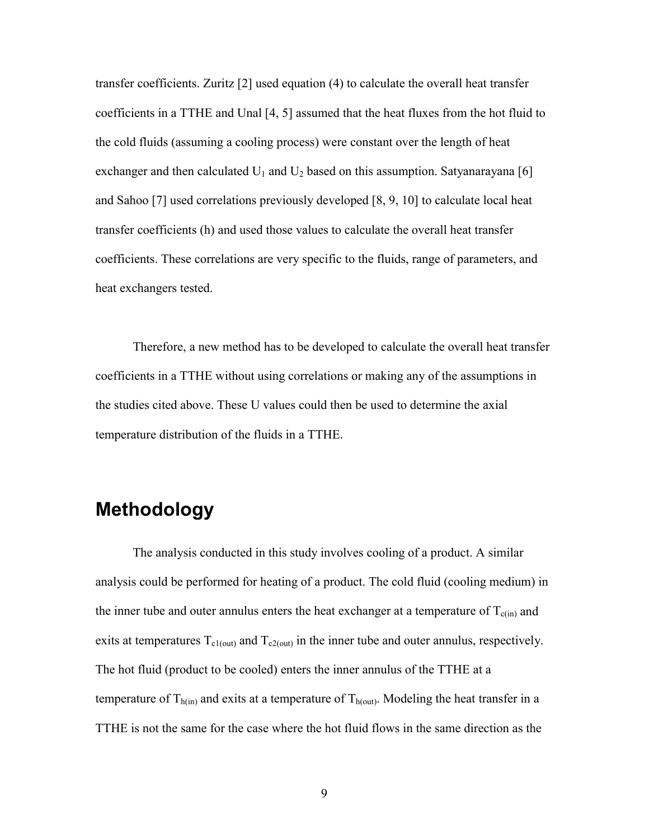transfer coefficients. Zuritz [2] used equation (4) to calculate the overall heat transfer coefficients in a TTHE and Unal [4, 5] assumed that the heat fluxes from the hot fluid to the cold fluids (assuming a cooling process) were constant over the length of heat exchanger and then calculated  $U_1$  and  $U_2$  based on this assumption. Satyanarayana [6] and Sahoo [7] used correlations previously developed [8, 9, 10] to calculate local heat transfer coefficients (h) and used those values to calculate the overall heat transfer coefficients. These correlations are very specific to the fluids, range of parameters, and heat exchangers tested.

Therefore, a new method has to be developed to calculate the overall heat transfer coefficients in a TTHE without using correlations or making any of the assumptions in the studies cited above. These U values could then be used to determine the axial temperature distribution of the fluids in a TTHE.

# **Methodology**

The analysis conducted in this study involves cooling of a product. A similar analysis could be performed for heating of a product. The cold fluid (cooling medium) in the inner tube and outer annulus enters the heat exchanger at a temperature of  $T_{c(in)}$  and exits at temperatures  $T_{c1(cut)}$  and  $T_{c2(cut)}$  in the inner tube and outer annulus, respectively. The hot fluid (product to be cooled) enters the inner annulus of the TTHE at a temperature of  $T_{h(in)}$  and exits at a temperature of  $T_{h(out)}$ . Modeling the heat transfer in a TTHE is not the same for the case where the hot fluid flows in the same direction as the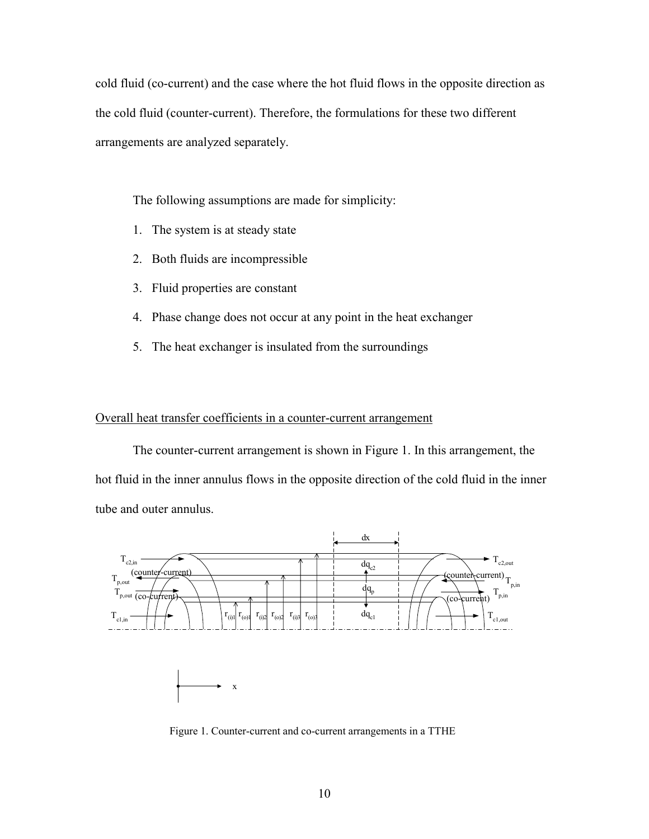cold fluid (co-current) and the case where the hot fluid flows in the opposite direction as the cold fluid (counter-current). Therefore, the formulations for these two different arrangements are analyzed separately.

The following assumptions are made for simplicity:

- 1. The system is at steady state
- 2. Both fluids are incompressible
- 3. Fluid properties are constant
- 4. Phase change does not occur at any point in the heat exchanger
- 5. The heat exchanger is insulated from the surroundings

#### Overall heat transfer coefficients in a counter-current arrangement

The counter-current arrangement is shown in Figure 1. In this arrangement, the hot fluid in the inner annulus flows in the opposite direction of the cold fluid in the inner tube and outer annulus.



Figure 1. Counter-current and co-current arrangements in a TTHE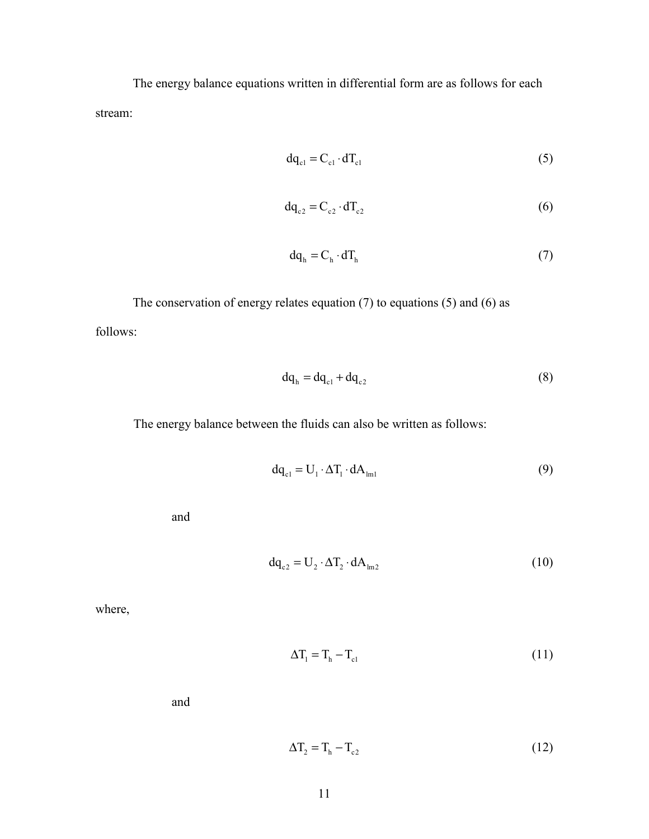The energy balance equations written in differential form are as follows for each stream:

$$
dq_{cl} = C_{cl} \cdot dT_{cl} \tag{5}
$$

$$
\mathrm{d}\mathrm{q}_{\mathrm{c}2} = \mathrm{C}_{\mathrm{c}2} \cdot \mathrm{d}\mathrm{T}_{\mathrm{c}2} \tag{6}
$$

$$
dq_h = C_h \cdot dT_h \tag{7}
$$

The conservation of energy relates equation (7) to equations (5) and (6) as follows:

$$
dq_h = dq_{c1} + dq_{c2} \tag{8}
$$

The energy balance between the fluids can also be written as follows:

$$
dq_{c1} = U_1 \cdot \Delta T_1 \cdot dA_{lm1}
$$
 (9)

and

$$
dq_{c2} = U_2 \cdot \Delta T_2 \cdot dA_{lm2}
$$
 (10)

where,

$$
\Delta T_1 = T_h - T_{cl} \tag{11}
$$

$$
\Delta T_2 = T_h - T_{c2} \tag{12}
$$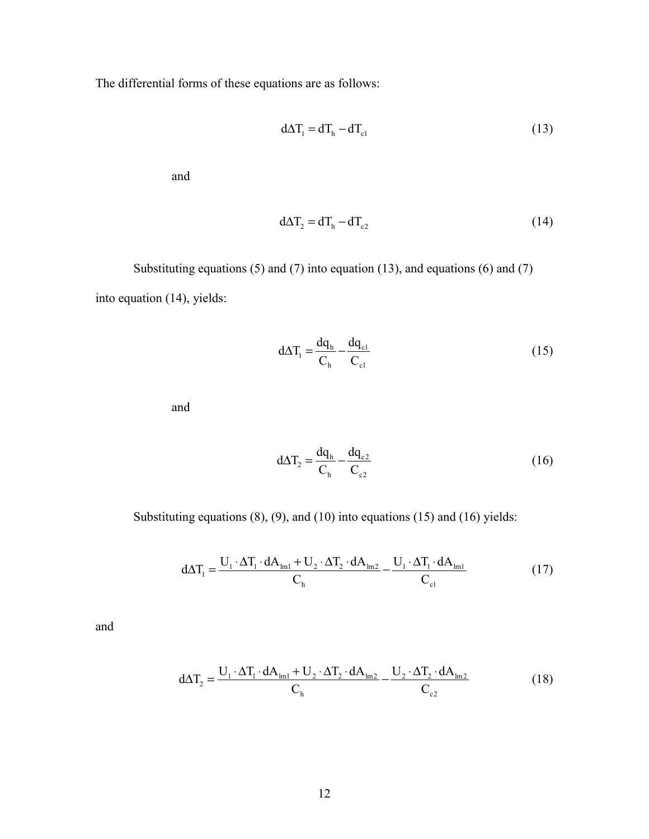The differential forms of these equations are as follows:

$$
d\Delta T_1 = dT_h - dT_{c1}
$$
\n(13)

and

$$
d\Delta T_2 = dT_h - dT_{c2} \tag{14}
$$

Substituting equations  $(5)$  and  $(7)$  into equation  $(13)$ , and equations  $(6)$  and  $(7)$ into equation (14), yields:

h  $\mathbf{C}_{c1}$ 

$$
d\Delta T_1 = \frac{dq_h}{C_h} - \frac{dq_{cl}}{C_{cl}}
$$
\n(15)

and

$$
d\Delta T_2 = \frac{dq_h}{C_h} - \frac{dq_{c2}}{C_{c2}}\tag{16}
$$

Substituting equations (8), (9), and (10) into equations (15) and (16) yields:

$$
d\Delta T_1 = \frac{U_1 \cdot \Delta T_1 \cdot dA_{\text{Im}1} + U_2 \cdot \Delta T_2 \cdot dA_{\text{Im}2}}{C_{\text{h}}} - \frac{U_1 \cdot \Delta T_1 \cdot dA_{\text{Im}1}}{C_{\text{c1}}}
$$
(17)

$$
d\Delta T_2 = \frac{U_1 \cdot \Delta T_1 \cdot dA_{\text{Im}1} + U_2 \cdot \Delta T_2 \cdot dA_{\text{Im}2}}{C_{\text{h}}} - \frac{U_2 \cdot \Delta T_2 \cdot dA_{\text{Im}2}}{C_{\text{c}2}}
$$
(18)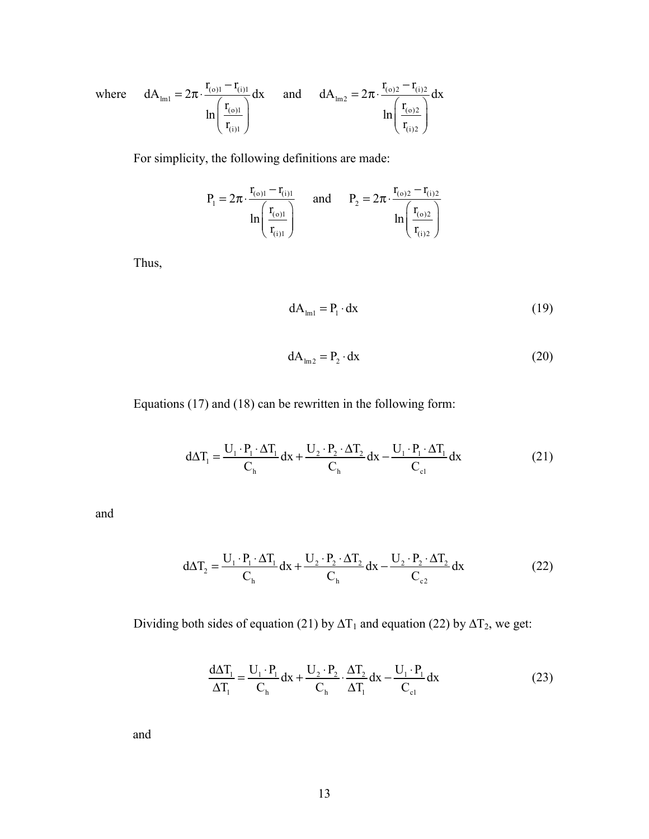where 
$$
dA_{lm1} = 2\pi \cdot \frac{r_{(o)1} - r_{(i)1}}{ln\left(\frac{r_{(o)1}}{r_{(i)1}}\right)} dx
$$
 and  $dA_{lm2} = 2\pi \cdot \frac{r_{(o)2} - r_{(i)2}}{ln\left(\frac{r_{(o)2}}{r_{(i)2}}\right)} dx$ 

For simplicity, the following definitions are made:

$$
P_1 = 2\pi \cdot \frac{r_{(o)1} - r_{(i)1}}{\ln\left(\frac{r_{(o)1}}{r_{(i)1}}\right)} \quad \text{ and } \quad P_2 = 2\pi \cdot \frac{r_{(o)2} - r_{(i)2}}{\ln\left(\frac{r_{(o)2}}{r_{(i)2}}\right)}
$$

Thus,

$$
dA_{\text{lm1}} = P_1 \cdot dx \tag{19}
$$

$$
dA_{\text{lm2}} = P_2 \cdot dx \tag{20}
$$

Equations (17) and (18) can be rewritten in the following form:

$$
d\Delta T_1 = \frac{U_1 \cdot P_1 \cdot \Delta T_1}{C_h} dx + \frac{U_2 \cdot P_2 \cdot \Delta T_2}{C_h} dx - \frac{U_1 \cdot P_1 \cdot \Delta T_1}{C_{c1}} dx
$$
 (21)

and

$$
d\Delta T_2 = \frac{U_1 \cdot P_1 \cdot \Delta T_1}{C_h} dx + \frac{U_2 \cdot P_2 \cdot \Delta T_2}{C_h} dx - \frac{U_2 \cdot P_2 \cdot \Delta T_2}{C_{c2}} dx
$$
 (22)

Dividing both sides of equation (21) by  $\Delta T_1$  and equation (22) by  $\Delta T_2$ , we get:

$$
\frac{d\Delta T_1}{\Delta T_1} = \frac{U_1 \cdot P_1}{C_h} dx + \frac{U_2 \cdot P_2}{C_h} \cdot \frac{\Delta T_2}{\Delta T_1} dx - \frac{U_1 \cdot P_1}{C_{c1}} dx
$$
\n(23)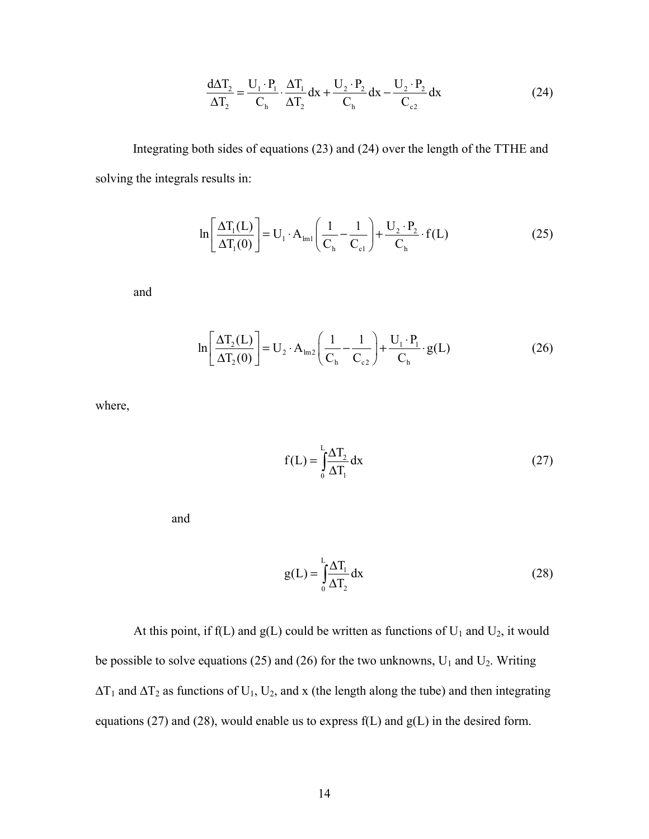$$
\frac{d\Delta T_2}{\Delta T_2} = \frac{U_1 \cdot P_1}{C_h} \cdot \frac{\Delta T_1}{\Delta T_2} dx + \frac{U_2 \cdot P_2}{C_h} dx - \frac{U_2 \cdot P_2}{C_{c2}} dx
$$
\n(24)

Integrating both sides of equations (23) and (24) over the length of the TTHE and solving the integrals results in:

$$
\ln\left[\frac{\Delta T_1(L)}{\Delta T_1(0)}\right] = U_1 \cdot A_{\text{Im}1}\left(\frac{1}{C_{\text{h}}} - \frac{1}{C_{\text{el}}}\right) + \frac{U_2 \cdot P_2}{C_{\text{h}}} \cdot f(L) \tag{25}
$$

and

$$
\ln\left[\frac{\Delta T_2(L)}{\Delta T_2(0)}\right] = U_2 \cdot A_{\text{Im}2}\left(\frac{1}{C_{\text{h}}} - \frac{1}{C_{\text{c}2}}\right) + \frac{U_1 \cdot P_1}{C_{\text{h}}} \cdot g(L) \tag{26}
$$

where,

$$
f(L) = \int_{0}^{L} \frac{\Delta T_2}{\Delta T_1} dx
$$
 (27)

and

$$
g(L) = \int_{0}^{L} \frac{\Delta T_1}{\Delta T_2} dx
$$
 (28)

At this point, if  $f(L)$  and  $g(L)$  could be written as functions of  $U_1$  and  $U_2$ , it would be possible to solve equations (25) and (26) for the two unknowns,  $U_1$  and  $U_2$ . Writing  $\Delta T_1$  and  $\Delta T_2$  as functions of U<sub>1</sub>, U<sub>2</sub>, and x (the length along the tube) and then integrating equations (27) and (28), would enable us to express  $f(L)$  and  $g(L)$  in the desired form.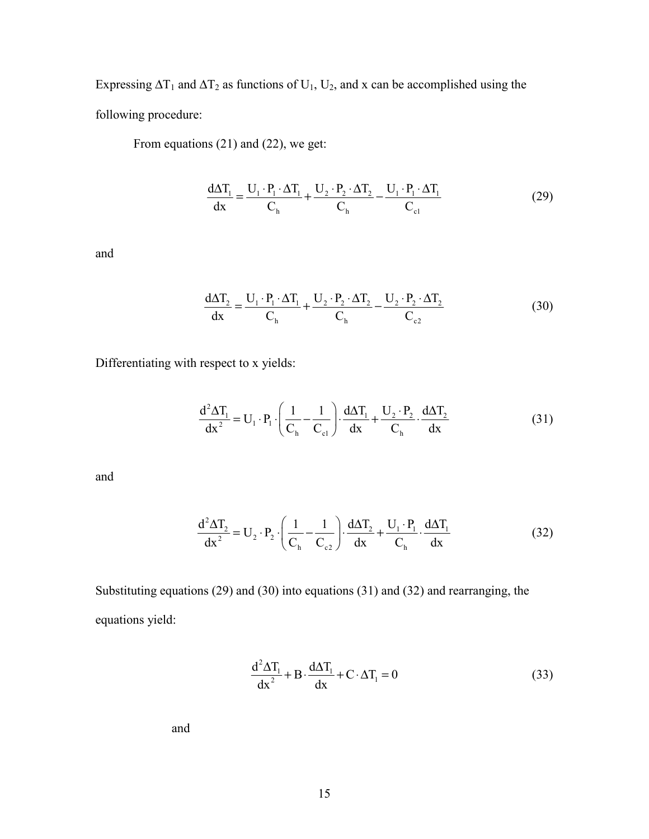Expressing  $\Delta T_1$  and  $\Delta T_2$  as functions of U<sub>1</sub>, U<sub>2</sub>, and x can be accomplished using the following procedure:

From equations (21) and (22), we get:

$$
\frac{d\Delta T_1}{dx} = \frac{U_1 \cdot P_1 \cdot \Delta T_1}{C_h} + \frac{U_2 \cdot P_2 \cdot \Delta T_2}{C_h} - \frac{U_1 \cdot P_1 \cdot \Delta T_1}{C_{c1}} \tag{29}
$$

and

$$
\frac{d\Delta T_2}{dx} = \frac{U_1 \cdot P_1 \cdot \Delta T_1}{C_h} + \frac{U_2 \cdot P_2 \cdot \Delta T_2}{C_h} - \frac{U_2 \cdot P_2 \cdot \Delta T_2}{C_{c2}}
$$
(30)

Differentiating with respect to x yields:

$$
\frac{d^2\Delta T_1}{dx^2} = U_1 \cdot P_1 \cdot \left(\frac{1}{C_h} - \frac{1}{C_{c1}}\right) \cdot \frac{d\Delta T_1}{dx} + \frac{U_2 \cdot P_2}{C_h} \cdot \frac{d\Delta T_2}{dx}
$$
(31)

and

$$
\frac{d^2 \Delta T_2}{dx^2} = U_2 \cdot P_2 \cdot \left(\frac{1}{C_h} - \frac{1}{C_{c2}}\right) \cdot \frac{d \Delta T_2}{dx} + \frac{U_1 \cdot P_1}{C_h} \cdot \frac{d \Delta T_1}{dx}
$$
(32)

Substituting equations (29) and (30) into equations (31) and (32) and rearranging, the equations yield:

$$
\frac{d^2 \Delta T_1}{dx^2} + B \cdot \frac{d \Delta T_1}{dx} + C \cdot \Delta T_1 = 0
$$
\n(33)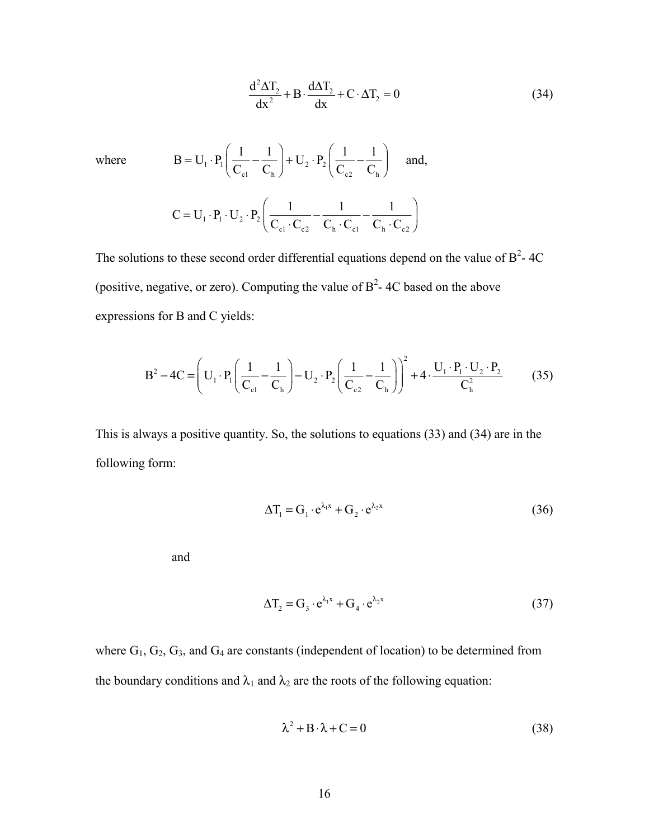$$
\frac{d^2 \Delta T_2}{dx^2} + B \cdot \frac{d \Delta T_2}{dx} + C \cdot \Delta T_2 = 0
$$
 (34)

where  $B = U_1 \cdot P_1 \frac{1}{C_1} - \frac{1}{C_1} + U_2 \cdot P_2$ c1  $C_h$   $C_{c2}$   $C_h$  $B = U_1 \cdot P_1 \left( \frac{1}{2} - \frac{1}{2} \right) + U_2 \cdot P_2 \left( \frac{1}{2} - \frac{1}{2} \right)$  $C_{c1}$   $C_{h}$   $C_{c2}$   $C_{c3}$   $C_{c4}$  $(1 \ 1)$   $(1 \ 1)$  $= U_1 \cdot P_1 \left( \frac{1}{C_{c1}} - \frac{1}{C_h} \right) + U_2 \cdot P_2 \left( \frac{1}{C_{c2}} - \frac{1}{C_h} \right)$  and,  $1 \cdot \mathbf{1} \cdot \mathbf{0}$   $2 \cdot \mathbf{1}$  2  $c_1$   $c_2$   $c_1$   $c_2$   $c_1$   $c_2$ <sup>111</sup> C UPU P  $= U_1 \cdot P_1 \cdot U_2 \cdot P_2 \left( \frac{1}{C_{c1} \cdot C_{c2}} - \frac{1}{C_h \cdot C_{c1}} - \frac{1}{C_h \cdot C_{c2}} \right)$ 

The solutions to these second order differential equations depend on the value of  $B^2$ -4C (positive, negative, or zero). Computing the value of  $B^2$ -4C based on the above expressions for B and C yields:

$$
B^{2} - 4C = \left( U_{1} \cdot P_{1} \left( \frac{1}{C_{c1}} - \frac{1}{C_{h}} \right) - U_{2} \cdot P_{2} \left( \frac{1}{C_{c2}} - \frac{1}{C_{h}} \right) \right)^{2} + 4 \cdot \frac{U_{1} \cdot P_{1} \cdot U_{2} \cdot P_{2}}{C_{h}^{2}}
$$
(35)

This is always a positive quantity. So, the solutions to equations (33) and (34) are in the following form:

$$
\Delta T_1 = G_1 \cdot e^{\lambda_1 x} + G_2 \cdot e^{\lambda_2 x} \tag{36}
$$

and

$$
\Delta T_2 = G_3 \cdot e^{\lambda_1 x} + G_4 \cdot e^{\lambda_2 x} \tag{37}
$$

where  $G_1$ ,  $G_2$ ,  $G_3$ , and  $G_4$  are constants (independent of location) to be determined from the boundary conditions and  $\lambda_1$  and  $\lambda_2$  are the roots of the following equation:

$$
\lambda^2 + B \cdot \lambda + C = 0 \tag{38}
$$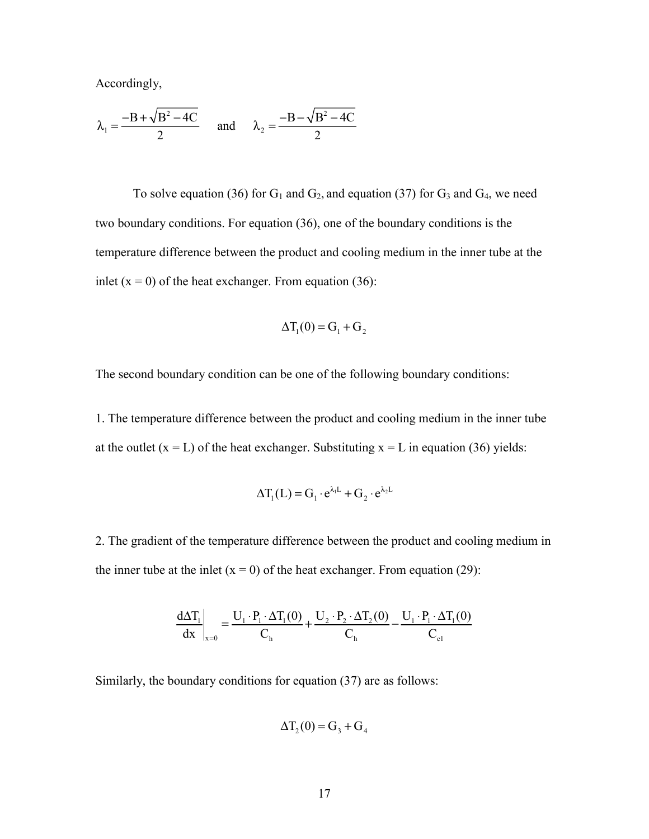Accordingly,

$$
\lambda_1 = \frac{-B + \sqrt{B^2 - 4C}}{2} \quad \text{and} \quad \lambda_2 = \frac{-B - \sqrt{B^2 - 4C}}{2}
$$

To solve equation (36) for  $G_1$  and  $G_2$ , and equation (37) for  $G_3$  and  $G_4$ , we need two boundary conditions. For equation (36), one of the boundary conditions is the temperature difference between the product and cooling medium in the inner tube at the inlet  $(x = 0)$  of the heat exchanger. From equation (36):

$$
\Delta T_1(0) = G_1 + G_2
$$

The second boundary condition can be one of the following boundary conditions:

1. The temperature difference between the product and cooling medium in the inner tube at the outlet  $(x = L)$  of the heat exchanger. Substituting  $x = L$  in equation (36) yields:

$$
\Delta T_1(L) = G_1 \cdot e^{\lambda_1 L} + G_2 \cdot e^{\lambda_2 L}
$$

2. The gradient of the temperature difference between the product and cooling medium in the inner tube at the inlet  $(x = 0)$  of the heat exchanger. From equation (29):

$$
\frac{d\Delta T_1}{dx}\Big|_{x=0} = \frac{U_1 \cdot P_1 \cdot \Delta T_1(0)}{C_h} + \frac{U_2 \cdot P_2 \cdot \Delta T_2(0)}{C_h} - \frac{U_1 \cdot P_1 \cdot \Delta T_1(0)}{C_{c1}}
$$

Similarly, the boundary conditions for equation (37) are as follows:

$$
\Delta T_2(0) = G_3 + G_4
$$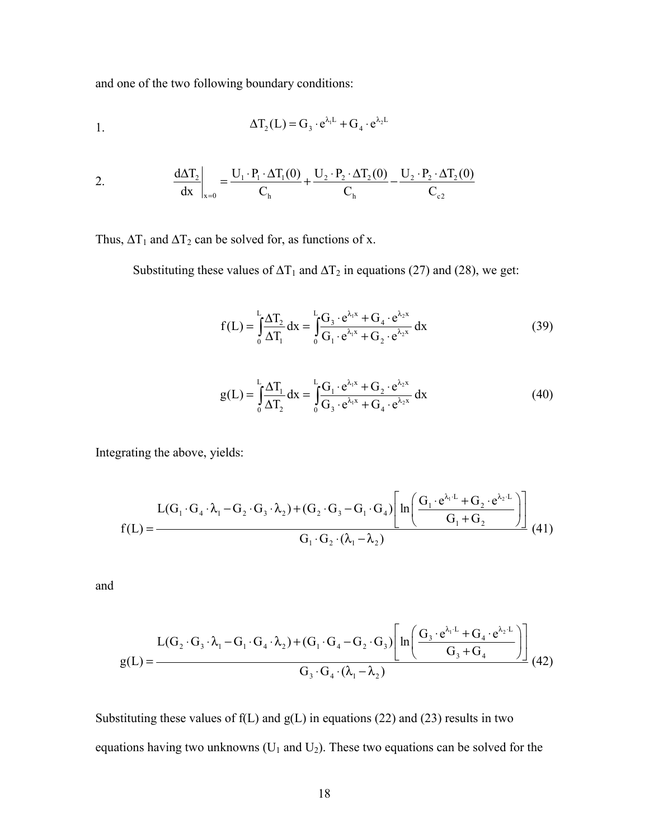and one of the two following boundary conditions:

1. 
$$
\Delta T_2(L) = G_3 \cdot e^{\lambda_1 L} + G_4 \cdot e^{\lambda_2 L}
$$

2. 
$$
\frac{d\Delta T_2}{dx}\bigg|_{x=0} = \frac{U_1 \cdot P_1 \cdot \Delta T_1(0)}{C_h} + \frac{U_2 \cdot P_2 \cdot \Delta T_2(0)}{C_h} - \frac{U_2 \cdot P_2 \cdot \Delta T_2(0)}{C_{c2}}
$$

Thus,  $\Delta T_1$  and  $\Delta T_2$  can be solved for, as functions of x.

Substituting these values of  $\Delta T_1$  and  $\Delta T_2$  in equations (27) and (28), we get:

$$
f(L) = \int_{0}^{L} \frac{\Delta T_2}{\Delta T_1} dx = \int_{0}^{L} \frac{G_3 \cdot e^{\lambda_1 x} + G_4 \cdot e^{\lambda_2 x}}{G_1 \cdot e^{\lambda_1 x} + G_2 \cdot e^{\lambda_2 x}} dx
$$
(39)

$$
g(L) = \int_{0}^{L} \frac{\Delta T_1}{\Delta T_2} dx = \int_{0}^{L} \frac{G_1 \cdot e^{\lambda_1 x} + G_2 \cdot e^{\lambda_2 x}}{G_3 \cdot e^{\lambda_1 x} + G_4 \cdot e^{\lambda_2 x}} dx
$$
(40)

Integrating the above, yields:

$$
L(G_1 \cdot G_4 \cdot \lambda_1 - G_2 \cdot G_3 \cdot \lambda_2) + (G_2 \cdot G_3 - G_1 \cdot G_4) \left[ ln \left( \frac{G_1 \cdot e^{\lambda_1 \cdot L} + G_2 \cdot e^{\lambda_2 \cdot L}}{G_1 + G_2} \right) \right]
$$
  
(41)

and

$$
L(G_2 \cdot G_3 \cdot \lambda_1 - G_1 \cdot G_4 \cdot \lambda_2) + (G_1 \cdot G_4 - G_2 \cdot G_3) \left[ ln \left( \frac{G_3 \cdot e^{\lambda_1 L} + G_4 \cdot e^{\lambda_2 L}}{G_3 + G_4} \right) \right]
$$
  
 
$$
G_3 \cdot G_4 \cdot (\lambda_1 - \lambda_2)
$$
 (42)

Substituting these values of  $f(L)$  and  $g(L)$  in equations (22) and (23) results in two equations having two unknowns  $(U_1 \text{ and } U_2)$ . These two equations can be solved for the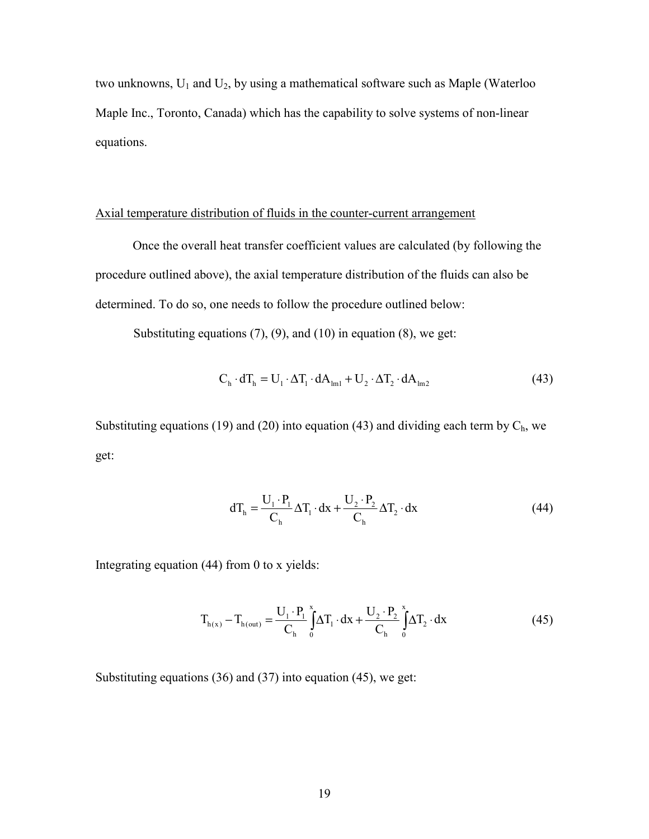two unknowns,  $U_1$  and  $U_2$ , by using a mathematical software such as Maple (Waterloo Maple Inc., Toronto, Canada) which has the capability to solve systems of non-linear equations.

#### Axial temperature distribution of fluids in the counter-current arrangement

Once the overall heat transfer coefficient values are calculated (by following the procedure outlined above), the axial temperature distribution of the fluids can also be determined. To do so, one needs to follow the procedure outlined below:

Substituting equations  $(7)$ ,  $(9)$ , and  $(10)$  in equation  $(8)$ , we get:

$$
C_{h} \cdot dT_{h} = U_{1} \cdot \Delta T_{1} \cdot dA_{lml} + U_{2} \cdot \Delta T_{2} \cdot dA_{lml}
$$
\n(43)

Substituting equations (19) and (20) into equation (43) and dividing each term by  $C_h$ , we get:

$$
dT_h = \frac{U_1 \cdot P_1}{C_h} \Delta T_1 \cdot dx + \frac{U_2 \cdot P_2}{C_h} \Delta T_2 \cdot dx
$$
 (44)

Integrating equation (44) from 0 to x yields:

$$
T_{h(x)} - T_{h(out)} = \frac{U_1 \cdot P_1}{C_h} \int_0^x \Delta T_1 \cdot dx + \frac{U_2 \cdot P_2}{C_h} \int_0^x \Delta T_2 \cdot dx
$$
 (45)

Substituting equations (36) and (37) into equation (45), we get: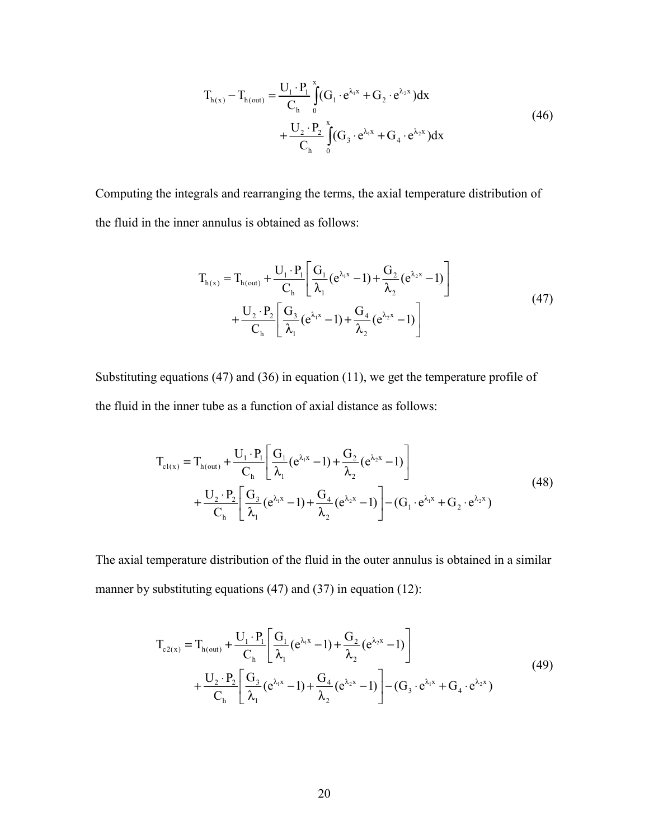$$
T_{h(x)} - T_{h(out)} = \frac{U_1 \cdot P_1}{C_h} \int_{0}^{x} (G_1 \cdot e^{\lambda_1 x} + G_2 \cdot e^{\lambda_2 x}) dx
$$
  
+ 
$$
\frac{U_2 \cdot P_2}{C_h} \int_{0}^{x} (G_3 \cdot e^{\lambda_1 x} + G_4 \cdot e^{\lambda_2 x}) dx
$$
 (46)

Computing the integrals and rearranging the terms, the axial temperature distribution of the fluid in the inner annulus is obtained as follows:

$$
T_{h(x)} = T_{h(out)} + \frac{U_1 \cdot P_1}{C_h} \left[ \frac{G_1}{\lambda_1} (e^{\lambda_1 x} - 1) + \frac{G_2}{\lambda_2} (e^{\lambda_2 x} - 1) \right] + \frac{U_2 \cdot P_2}{C_h} \left[ \frac{G_3}{\lambda_1} (e^{\lambda_1 x} - 1) + \frac{G_4}{\lambda_2} (e^{\lambda_2 x} - 1) \right]
$$
(47)

Substituting equations (47) and (36) in equation (11), we get the temperature profile of the fluid in the inner tube as a function of axial distance as follows:

$$
T_{c1(x)} = T_{h(out)} + \frac{U_1 \cdot P_1}{C_h} \left[ \frac{G_1}{\lambda_1} (e^{\lambda_1 x} - 1) + \frac{G_2}{\lambda_2} (e^{\lambda_2 x} - 1) \right] + \frac{U_2 \cdot P_2}{C_h} \left[ \frac{G_3}{\lambda_1} (e^{\lambda_1 x} - 1) + \frac{G_4}{\lambda_2} (e^{\lambda_2 x} - 1) \right] - (G_1 \cdot e^{\lambda_1 x} + G_2 \cdot e^{\lambda_2 x})
$$
(48)

The axial temperature distribution of the fluid in the outer annulus is obtained in a similar manner by substituting equations (47) and (37) in equation (12):

$$
T_{c2(x)} = T_{h(out)} + \frac{U_1 \cdot P_1}{C_h} \left[ \frac{G_1}{\lambda_1} (e^{\lambda_1 x} - 1) + \frac{G_2}{\lambda_2} (e^{\lambda_2 x} - 1) \right] + \frac{U_2 \cdot P_2}{C_h} \left[ \frac{G_3}{\lambda_1} (e^{\lambda_1 x} - 1) + \frac{G_4}{\lambda_2} (e^{\lambda_2 x} - 1) \right] - (G_3 \cdot e^{\lambda_1 x} + G_4 \cdot e^{\lambda_2 x})
$$
(49)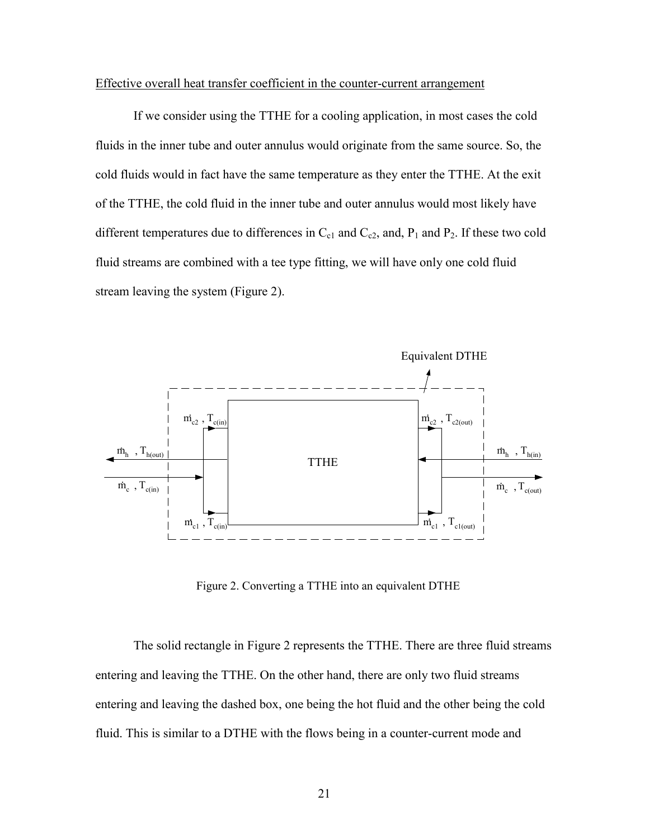#### Effective overall heat transfer coefficient in the counter-current arrangement

 If we consider using the TTHE for a cooling application, in most cases the cold fluids in the inner tube and outer annulus would originate from the same source. So, the cold fluids would in fact have the same temperature as they enter the TTHE. At the exit of the TTHE, the cold fluid in the inner tube and outer annulus would most likely have different temperatures due to differences in  $C_{c1}$  and  $C_{c2}$ , and,  $P_1$  and  $P_2$ . If these two cold fluid streams are combined with a tee type fitting, we will have only one cold fluid stream leaving the system (Figure 2).



Figure 2. Converting a TTHE into an equivalent DTHE

The solid rectangle in Figure 2 represents the TTHE. There are three fluid streams entering and leaving the TTHE. On the other hand, there are only two fluid streams entering and leaving the dashed box, one being the hot fluid and the other being the cold fluid. This is similar to a DTHE with the flows being in a counter-current mode and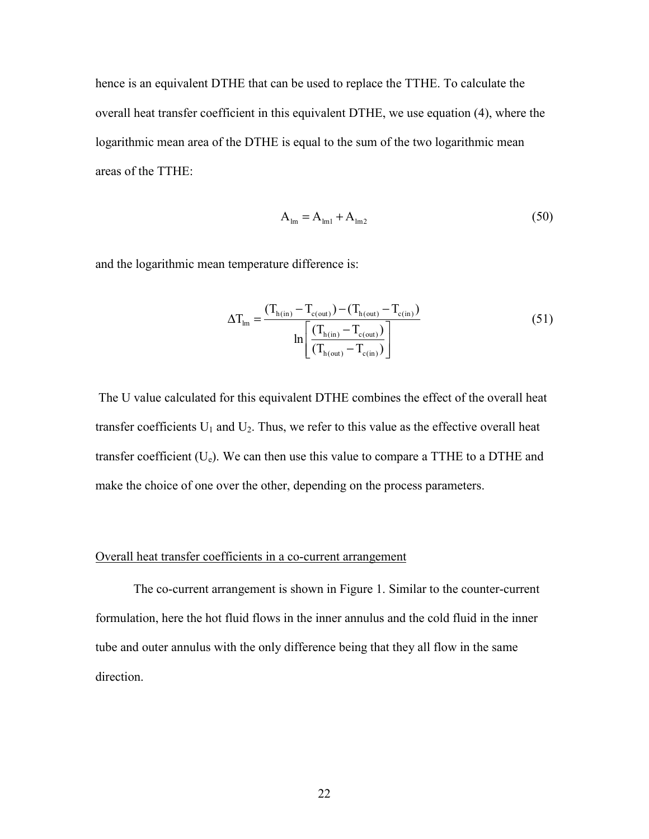hence is an equivalent DTHE that can be used to replace the TTHE. To calculate the overall heat transfer coefficient in this equivalent DTHE, we use equation (4), where the logarithmic mean area of the DTHE is equal to the sum of the two logarithmic mean areas of the TTHE:

$$
\mathbf{A}_{\text{lm}} = \mathbf{A}_{\text{lm1}} + \mathbf{A}_{\text{lm2}} \tag{50}
$$

and the logarithmic mean temperature difference is:

$$
\Delta T_{lm} = \frac{(T_{h(in)} - T_{c(out)}) - (T_{h(out)} - T_{c(in)})}{ln \left[ \frac{(T_{h(in)} - T_{c(out)})}{(T_{h(out)} - T_{c(in)})} \right]}
$$
(51)

 The U value calculated for this equivalent DTHE combines the effect of the overall heat transfer coefficients  $U_1$  and  $U_2$ . Thus, we refer to this value as the effective overall heat transfer coefficient  $(U_e)$ . We can then use this value to compare a TTHE to a DTHE and make the choice of one over the other, depending on the process parameters.

#### Overall heat transfer coefficients in a co-current arrangement

 The co-current arrangement is shown in Figure 1. Similar to the counter-current formulation, here the hot fluid flows in the inner annulus and the cold fluid in the inner tube and outer annulus with the only difference being that they all flow in the same direction.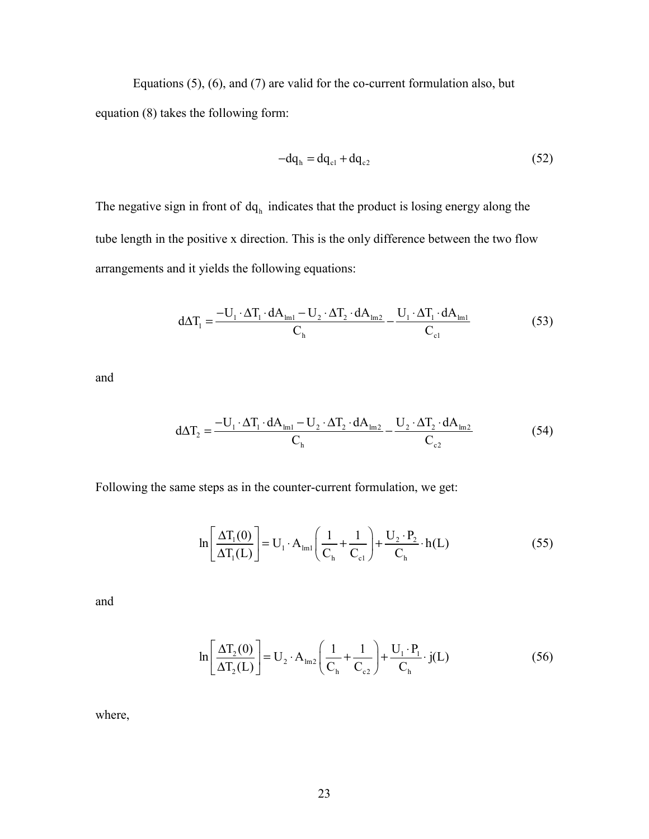Equations (5), (6), and (7) are valid for the co-current formulation also, but equation (8) takes the following form:

$$
-dq_h = dq_{c1} + dq_{c2}
$$
 (52)

The negative sign in front of  $dq_h$  indicates that the product is losing energy along the tube length in the positive x direction. This is the only difference between the two flow arrangements and it yields the following equations:

$$
d\Delta T_1 = \frac{-U_1 \cdot \Delta T_1 \cdot dA_{\text{Im}1} - U_2 \cdot \Delta T_2 \cdot dA_{\text{Im}2}}{C_{\text{h}}} - \frac{U_1 \cdot \Delta T_1 \cdot dA_{\text{Im}1}}{C_{\text{c1}}}
$$
(53)

and

$$
d\Delta T_2 = \frac{-U_1 \cdot \Delta T_1 \cdot dA_{\text{Im}1} - U_2 \cdot \Delta T_2 \cdot dA_{\text{Im}2}}{C_{\text{h}}} - \frac{U_2 \cdot \Delta T_2 \cdot dA_{\text{Im}2}}{C_{\text{c}2}} \tag{54}
$$

Following the same steps as in the counter-current formulation, we get:

$$
\ln\left[\frac{\Delta T_1(0)}{\Delta T_1(L)}\right] = U_1 \cdot A_{\text{Im}1}\left(\frac{1}{C_{\text{h}}} + \frac{1}{C_{\text{c}1}}\right) + \frac{U_2 \cdot P_2}{C_{\text{h}}} \cdot h(L) \tag{55}
$$

and

$$
\ln\left[\frac{\Delta T_2(0)}{\Delta T_2(L)}\right] = U_2 \cdot A_{\text{lm2}}\left(\frac{1}{C_h} + \frac{1}{C_{c2}}\right) + \frac{U_1 \cdot P_1}{C_h} \cdot j(L) \tag{56}
$$

where,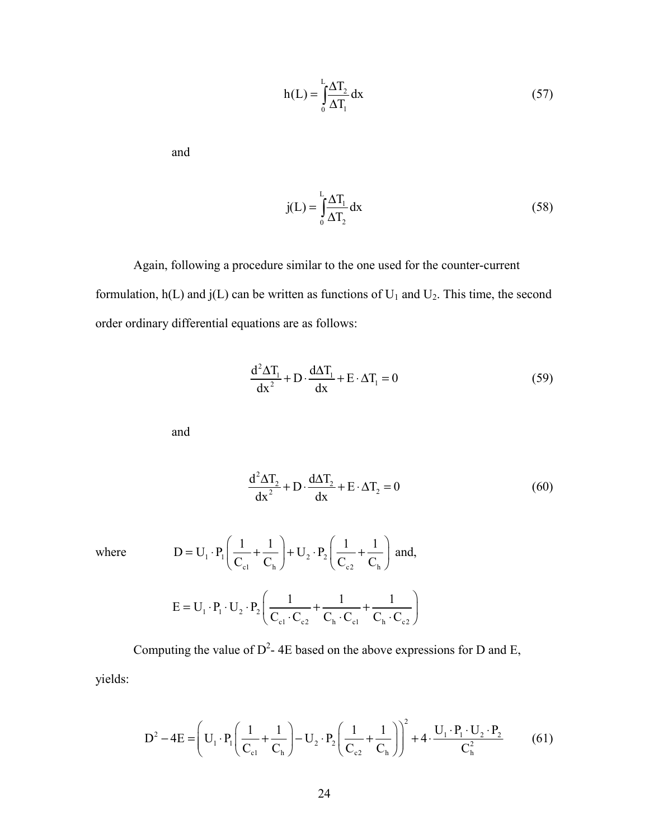$$
h(L) = \int_{0}^{L} \frac{\Delta T_2}{\Delta T_1} dx
$$
\n(57)

and

$$
j(L) = \int_{0}^{L} \frac{\Delta T_1}{\Delta T_2} dx
$$
 (58)

 Again, following a procedure similar to the one used for the counter-current formulation,  $h(L)$  and  $j(L)$  can be written as functions of  $U_1$  and  $U_2$ . This time, the second order ordinary differential equations are as follows:

$$
\frac{d^2 \Delta T_1}{dx^2} + D \cdot \frac{d \Delta T_1}{dx} + E \cdot \Delta T_1 = 0
$$
 (59)

and

$$
\frac{d^2 \Delta T_2}{dx^2} + D \cdot \frac{d \Delta T_2}{dx} + E \cdot \Delta T_2 = 0
$$
 (60)

where 
$$
D = U_1 \cdot P_1 \left( \frac{1}{C_{c1}} + \frac{1}{C_h} \right) + U_2 \cdot P_2 \left( \frac{1}{C_{c2}} + \frac{1}{C_h} \right) \text{ and,}
$$

$$
E = U_1 \cdot P_1 \cdot U_2 \cdot P_2 \left( \frac{1}{C_{c1} \cdot C_{c2}} + \frac{1}{C_h \cdot C_{c1}} + \frac{1}{C_h \cdot C_{c2}} \right)
$$

Computing the value of  $D^2$ -4E based on the above expressions for D and E, yields:

$$
D^2 - 4E = \left( U_1 \cdot P_1 \left( \frac{1}{C_{c1}} + \frac{1}{C_h} \right) - U_2 \cdot P_2 \left( \frac{1}{C_{c2}} + \frac{1}{C_h} \right) \right)^2 + 4 \cdot \frac{U_1 \cdot P_1 \cdot U_2 \cdot P_2}{C_h^2}
$$
(61)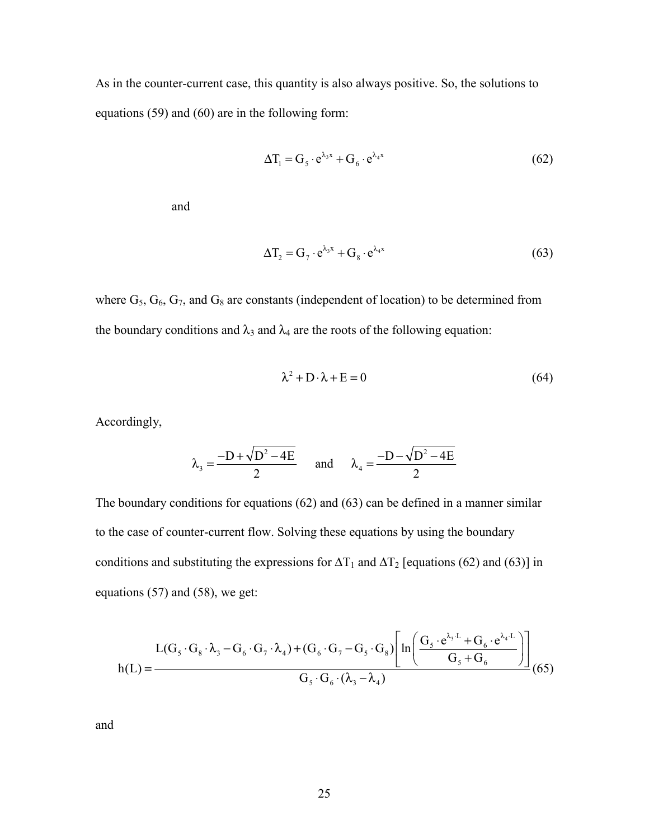As in the counter-current case, this quantity is also always positive. So, the solutions to equations (59) and (60) are in the following form:

$$
\Delta T_1 = G_5 \cdot e^{\lambda_3 x} + G_6 \cdot e^{\lambda_4 x} \tag{62}
$$

and

$$
\Delta T_2 = G_7 \cdot e^{\lambda_3 x} + G_8 \cdot e^{\lambda_4 x} \tag{63}
$$

where  $G_5$ ,  $G_6$ ,  $G_7$ , and  $G_8$  are constants (independent of location) to be determined from the boundary conditions and  $\lambda_3$  and  $\lambda_4$  are the roots of the following equation:

$$
\lambda^2 + D \cdot \lambda + E = 0 \tag{64}
$$

Accordingly,

$$
\lambda_3 = \frac{-D + \sqrt{D^2 - 4E}}{2} \quad \text{and} \quad \lambda_4 = \frac{-D - \sqrt{D^2 - 4E}}{2}
$$

The boundary conditions for equations (62) and (63) can be defined in a manner similar to the case of counter-current flow. Solving these equations by using the boundary conditions and substituting the expressions for  $\Delta T_1$  and  $\Delta T_2$  [equations (62) and (63)] in equations (57) and (58), we get:

$$
L(G_s \cdot G_s \cdot \lambda_3 - G_6 \cdot G_7 \cdot \lambda_4) + (G_6 \cdot G_7 - G_5 \cdot G_8) \left[ ln \left( \frac{G_s \cdot e^{\lambda_3 \cdot L} + G_6 \cdot e^{\lambda_4 \cdot L}}{G_s + G_6} \right) \right]
$$
  
 
$$
K(L) = \frac{G_s \cdot G_6 \cdot (\lambda_3 - \lambda_4)}{G_s \cdot G_6 \cdot (\lambda_3 - \lambda_4)}
$$
(65)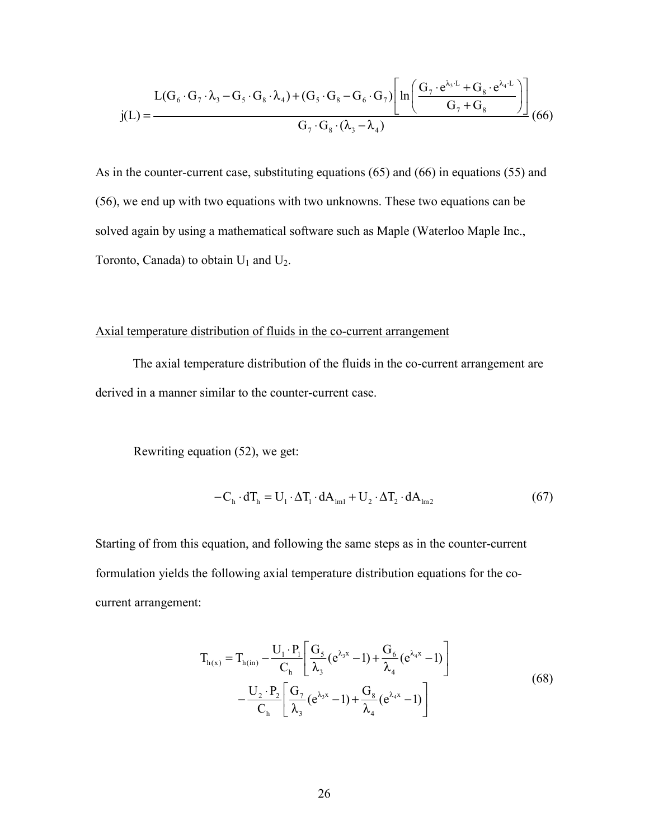$$
I(G_6 \cdot G_7 \cdot \lambda_3 - G_5 \cdot G_8 \cdot \lambda_4) + (G_5 \cdot G_8 - G_6 \cdot G_7) \left[ ln \left( \frac{G_7 \cdot e^{\lambda_3 \cdot L} + G_8 \cdot e^{\lambda_4 \cdot L}}{G_7 + G_8} \right) \right] \tag{66}
$$

As in the counter-current case, substituting equations (65) and (66) in equations (55) and (56), we end up with two equations with two unknowns. These two equations can be solved again by using a mathematical software such as Maple (Waterloo Maple Inc., Toronto, Canada) to obtain  $U_1$  and  $U_2$ .

#### Axial temperature distribution of fluids in the co-current arrangement

The axial temperature distribution of the fluids in the co-current arrangement are derived in a manner similar to the counter-current case.

Rewriting equation (52), we get:

$$
-C_{\rm h} \cdot dT_{\rm h} = U_1 \cdot \Delta T_1 \cdot dA_{\rm lm1} + U_2 \cdot \Delta T_2 \cdot dA_{\rm lm2}
$$
 (67)

Starting of from this equation, and following the same steps as in the counter-current formulation yields the following axial temperature distribution equations for the cocurrent arrangement:

$$
T_{h(x)} = T_{h(in)} - \frac{U_1 \cdot P_1}{C_h} \left[ \frac{G_5}{\lambda_3} (e^{\lambda_3 x} - 1) + \frac{G_6}{\lambda_4} (e^{\lambda_4 x} - 1) \right]
$$
  

$$
- \frac{U_2 \cdot P_2}{C_h} \left[ \frac{G_7}{\lambda_3} (e^{\lambda_3 x} - 1) + \frac{G_8}{\lambda_4} (e^{\lambda_4 x} - 1) \right]
$$
(68)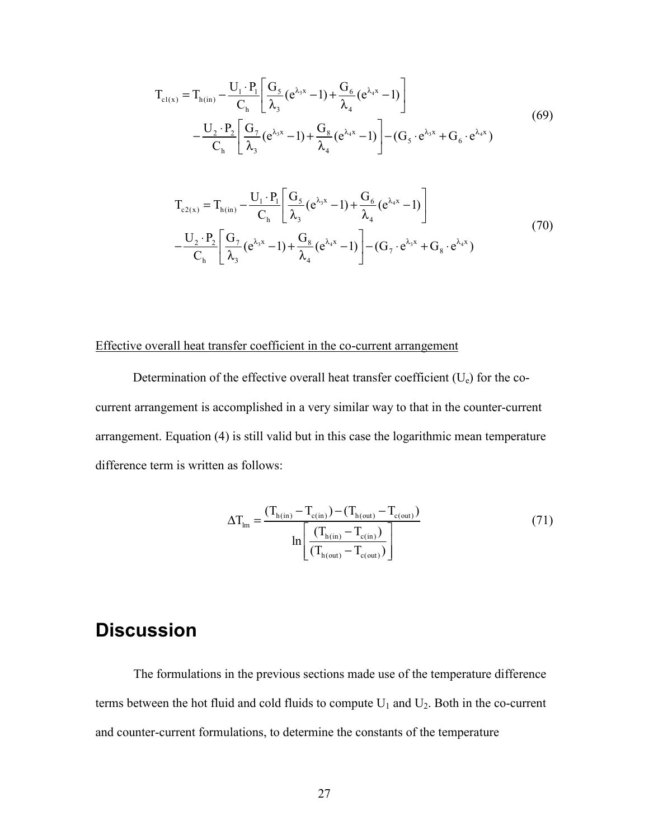$$
T_{c1(x)} = T_{h(in)} - \frac{U_1 \cdot P_1}{C_h} \left[ \frac{G_5}{\lambda_3} (e^{\lambda_3 x} - 1) + \frac{G_6}{\lambda_4} (e^{\lambda_4 x} - 1) \right]
$$
  
\n
$$
- \frac{U_2 \cdot P_2}{C_h} \left[ \frac{G_7}{\lambda_3} (e^{\lambda_3 x} - 1) + \frac{G_8}{\lambda_4} (e^{\lambda_4 x} - 1) \right] - (G_5 \cdot e^{\lambda_3 x} + G_6 \cdot e^{\lambda_4 x})
$$
  
\n
$$
T_{c2(x)} = T_{h(in)} - \frac{U_1 \cdot P_1}{C_h} \left[ \frac{G_5}{\lambda_3} (e^{\lambda_3 x} - 1) + \frac{G_6}{\lambda_4} (e^{\lambda_4 x} - 1) \right]
$$
  
\n
$$
- \frac{U_2 \cdot P_2}{C_h} \left[ \frac{G_7}{\lambda_3} (e^{\lambda_3 x} - 1) + \frac{G_8}{\lambda_4} (e^{\lambda_4 x} - 1) \right] - (G_7 \cdot e^{\lambda_3 x} + G_8 \cdot e^{\lambda_4 x})
$$
  
\n(70)

### Effective overall heat transfer coefficient in the co-current arrangement

Determination of the effective overall heat transfer coefficient  $(U_e)$  for the cocurrent arrangement is accomplished in a very similar way to that in the counter-current arrangement. Equation (4) is still valid but in this case the logarithmic mean temperature difference term is written as follows:

$$
\Delta T_{lm} = \frac{(T_{h(in)} - T_{c(in)}) - (T_{h(out)} - T_{c(out)})}{ln \left[ \frac{(T_{h(in)} - T_{c(in)})}{(T_{h(out)} - T_{c(out)})} \right]}
$$
(71)

## **Discussion**

 The formulations in the previous sections made use of the temperature difference terms between the hot fluid and cold fluids to compute  $U_1$  and  $U_2$ . Both in the co-current and counter-current formulations, to determine the constants of the temperature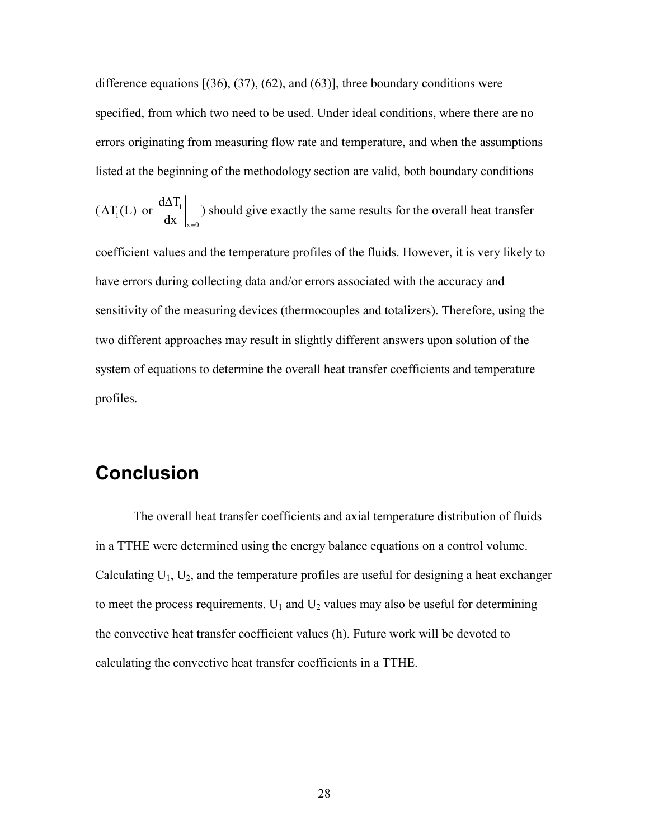difference equations  $[(36), (37), (62),$  and  $(63)]$ , three boundary conditions were specified, from which two need to be used. Under ideal conditions, where there are no errors originating from measuring flow rate and temperature, and when the assumptions listed at the beginning of the methodology section are valid, both boundary conditions

$$
(\Delta T_1(L)
$$
 or  $\frac{d\Delta T_1}{dx}\Big|_{x=0}$ ) should give exactly the same results for the overall heat transfer

coefficient values and the temperature profiles of the fluids. However, it is very likely to have errors during collecting data and/or errors associated with the accuracy and sensitivity of the measuring devices (thermocouples and totalizers). Therefore, using the two different approaches may result in slightly different answers upon solution of the system of equations to determine the overall heat transfer coefficients and temperature profiles.

## **Conclusion**

 The overall heat transfer coefficients and axial temperature distribution of fluids in a TTHE were determined using the energy balance equations on a control volume. Calculating  $U_1$ ,  $U_2$ , and the temperature profiles are useful for designing a heat exchanger to meet the process requirements.  $U_1$  and  $U_2$  values may also be useful for determining the convective heat transfer coefficient values (h). Future work will be devoted to calculating the convective heat transfer coefficients in a TTHE.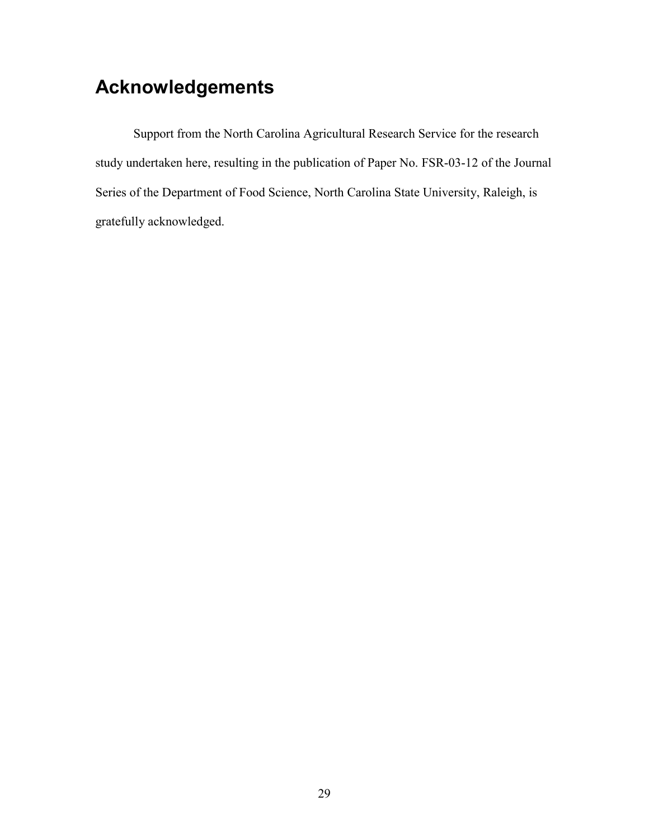# **Acknowledgements**

 Support from the North Carolina Agricultural Research Service for the research study undertaken here, resulting in the publication of Paper No. FSR-03-12 of the Journal Series of the Department of Food Science, North Carolina State University, Raleigh, is gratefully acknowledged.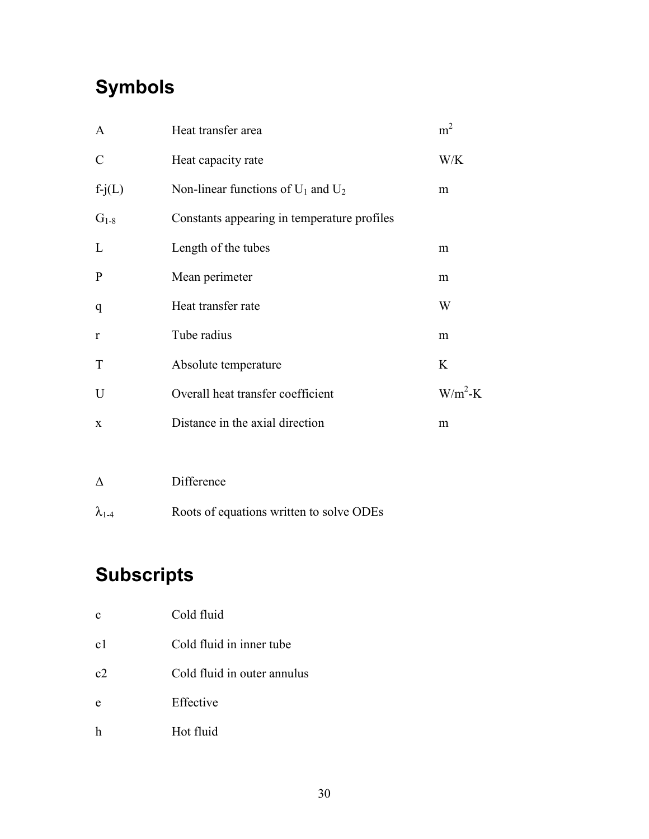# **Symbols**

| $\mathbf{A}$  | Heat transfer area                          | m <sup>2</sup> |
|---------------|---------------------------------------------|----------------|
| $\mathcal{C}$ | Heat capacity rate                          | W/K            |
| $f-j(L)$      | Non-linear functions of $U_1$ and $U_2$     | m              |
| $G_{1-8}$     | Constants appearing in temperature profiles |                |
| L             | Length of the tubes                         | m              |
| ${\bf P}$     | Mean perimeter                              | m              |
| q             | Heat transfer rate                          | W              |
| $\mathbf{r}$  | Tube radius                                 | m              |
| T             | Absolute temperature                        | K              |
| U             | Overall heat transfer coefficient           | $W/m^2-K$      |
| $\mathbf{x}$  | Distance in the axial direction             | m              |
|               |                                             |                |

| $\Lambda$       | Difference                               |
|-----------------|------------------------------------------|
| $\lambda_{1-4}$ | Roots of equations written to solve ODEs |

# **Subscripts**

| c              | Cold fluid                  |
|----------------|-----------------------------|
| c <sub>1</sub> | Cold fluid in inner tube    |
| c2             | Cold fluid in outer annulus |
| e              | Effective                   |
|                | Hot fluid                   |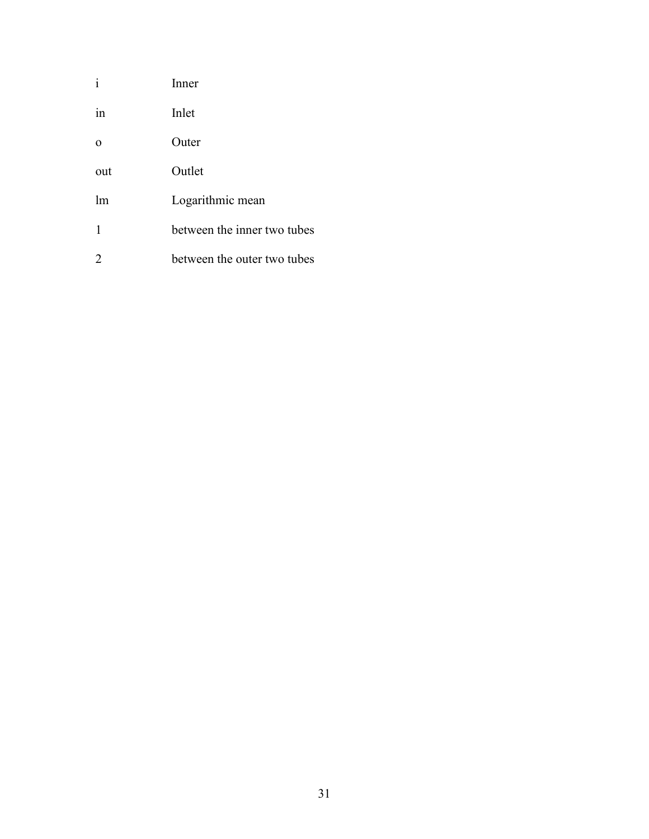| $\mathbf{i}$   | Inner                       |
|----------------|-----------------------------|
| 1n             | Inlet                       |
| $\Omega$       | Outer                       |
| out            | Outlet                      |
| lm             | Logarithmic mean            |
| $\mathbf{1}$   | between the inner two tubes |
| $\overline{2}$ | between the outer two tubes |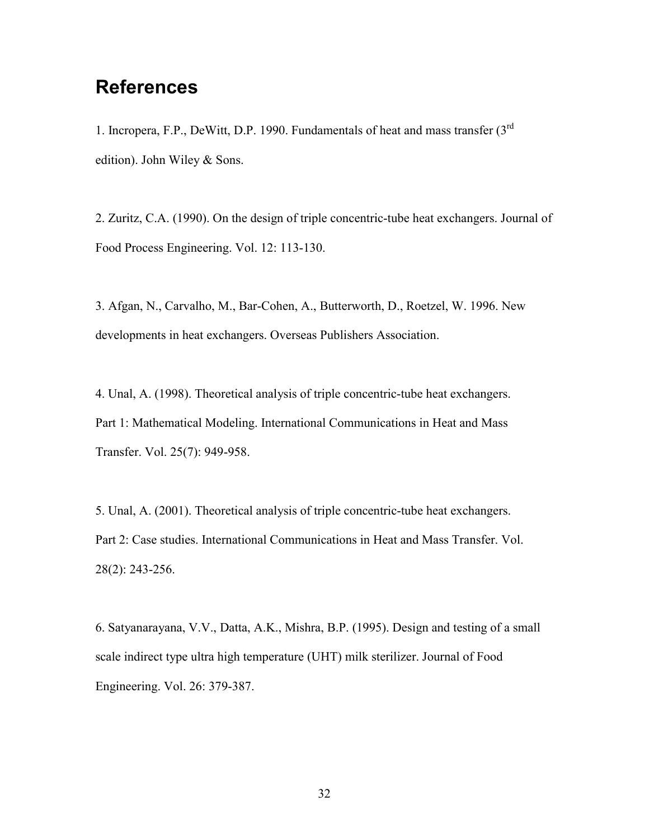## **References**

1. Incropera, F.P., DeWitt, D.P. 1990. Fundamentals of heat and mass transfer (3rd edition). John Wiley & Sons.

2. Zuritz, C.A. (1990). On the design of triple concentric-tube heat exchangers. Journal of Food Process Engineering. Vol. 12: 113-130.

3. Afgan, N., Carvalho, M., Bar-Cohen, A., Butterworth, D., Roetzel, W. 1996. New developments in heat exchangers. Overseas Publishers Association.

4. Unal, A. (1998). Theoretical analysis of triple concentric-tube heat exchangers. Part 1: Mathematical Modeling. International Communications in Heat and Mass Transfer. Vol. 25(7): 949-958.

5. Unal, A. (2001). Theoretical analysis of triple concentric-tube heat exchangers. Part 2: Case studies. International Communications in Heat and Mass Transfer. Vol. 28(2): 243-256.

6. Satyanarayana, V.V., Datta, A.K., Mishra, B.P. (1995). Design and testing of a small scale indirect type ultra high temperature (UHT) milk sterilizer. Journal of Food Engineering. Vol. 26: 379-387.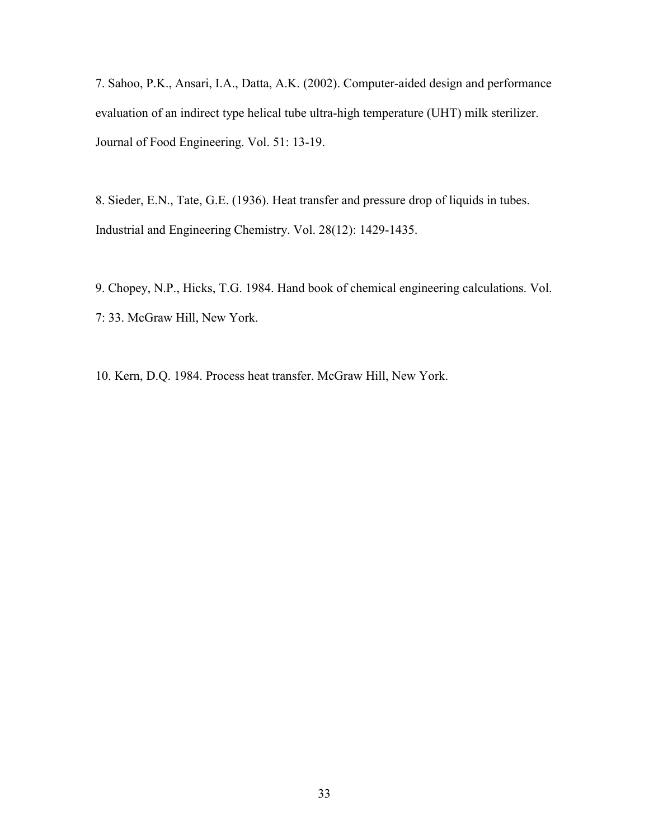7. Sahoo, P.K., Ansari, I.A., Datta, A.K. (2002). Computer-aided design and performance evaluation of an indirect type helical tube ultra-high temperature (UHT) milk sterilizer. Journal of Food Engineering. Vol. 51: 13-19.

8. Sieder, E.N., Tate, G.E. (1936). Heat transfer and pressure drop of liquids in tubes. Industrial and Engineering Chemistry. Vol. 28(12): 1429-1435.

9. Chopey, N.P., Hicks, T.G. 1984. Hand book of chemical engineering calculations. Vol. 7: 33. McGraw Hill, New York.

10. Kern, D.Q. 1984. Process heat transfer. McGraw Hill, New York.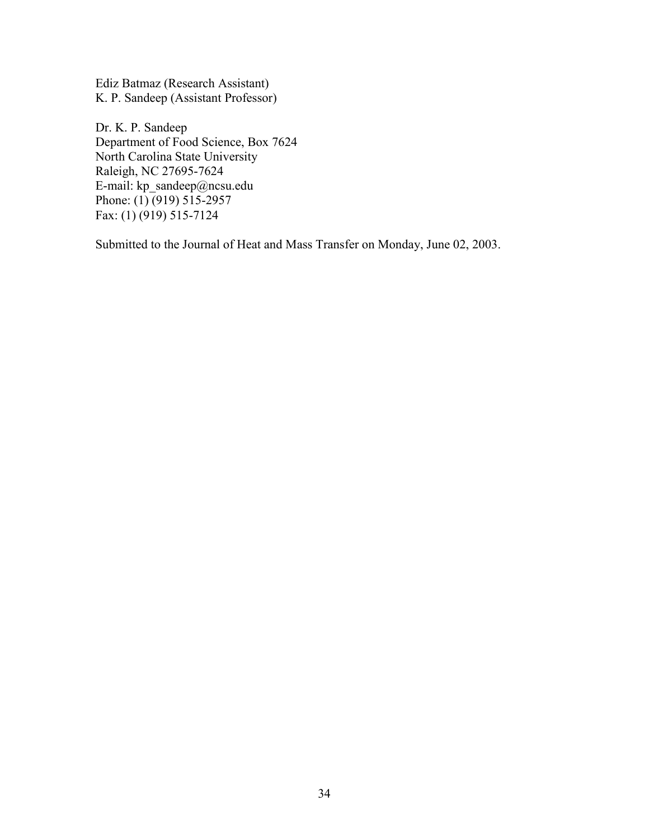Ediz Batmaz (Research Assistant) K. P. Sandeep (Assistant Professor)

Dr. K. P. Sandeep Department of Food Science, Box 7624 North Carolina State University Raleigh, NC 27695-7624 E-mail: kp\_sandeep@ncsu.edu Phone: (1) (919) 515-2957 Fax: (1) (919) 515-7124

Submitted to the Journal of Heat and Mass Transfer on Monday, June 02, 2003.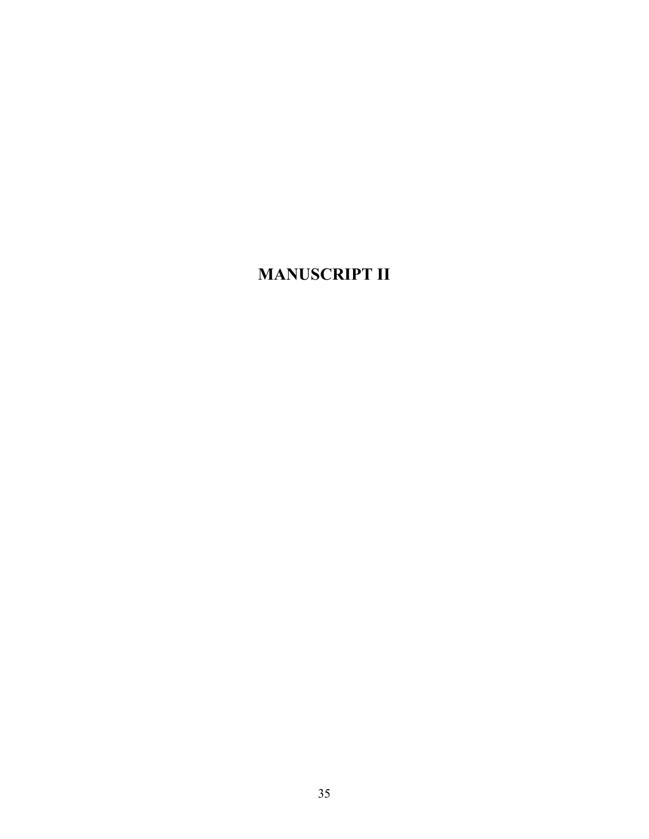## **MANUSCRIPT II**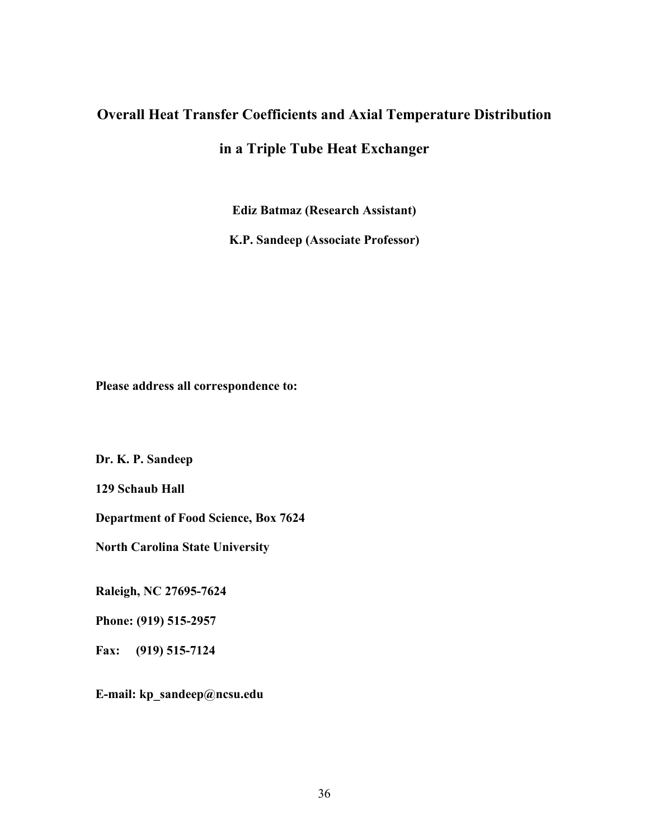### **Overall Heat Transfer Coefficients and Axial Temperature Distribution**

**in a Triple Tube Heat Exchanger** 

**Ediz Batmaz (Research Assistant)** 

**K.P. Sandeep (Associate Professor)** 

**Please address all correspondence to:** 

**Dr. K. P. Sandeep** 

**129 Schaub Hall** 

**Department of Food Science, Box 7624** 

**North Carolina State University** 

**Raleigh, NC 27695-7624** 

**Phone: (919) 515-2957** 

**Fax: (919) 515-7124** 

**E-mail: kp\_sandeep@ncsu.edu**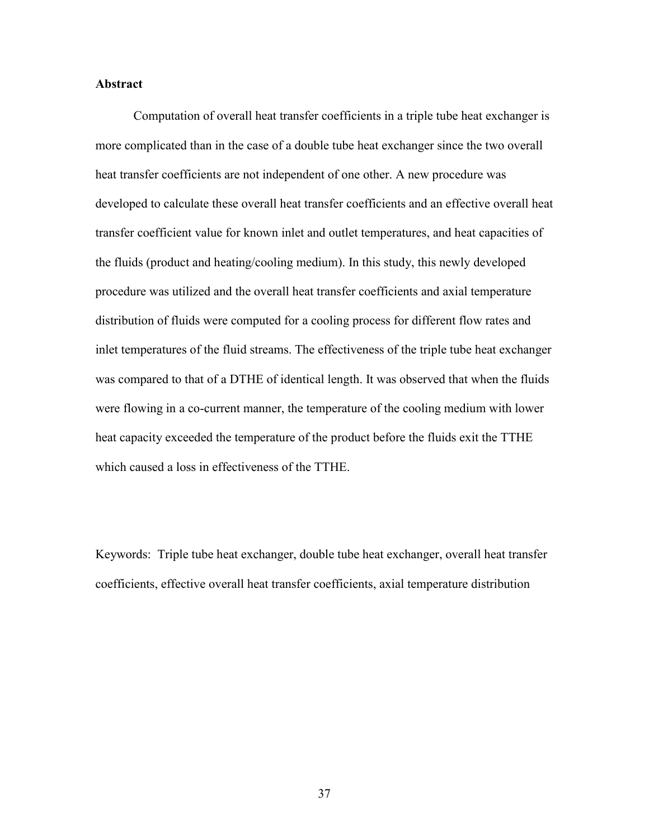#### **Abstract**

 Computation of overall heat transfer coefficients in a triple tube heat exchanger is more complicated than in the case of a double tube heat exchanger since the two overall heat transfer coefficients are not independent of one other. A new procedure was developed to calculate these overall heat transfer coefficients and an effective overall heat transfer coefficient value for known inlet and outlet temperatures, and heat capacities of the fluids (product and heating/cooling medium). In this study, this newly developed procedure was utilized and the overall heat transfer coefficients and axial temperature distribution of fluids were computed for a cooling process for different flow rates and inlet temperatures of the fluid streams. The effectiveness of the triple tube heat exchanger was compared to that of a DTHE of identical length. It was observed that when the fluids were flowing in a co-current manner, the temperature of the cooling medium with lower heat capacity exceeded the temperature of the product before the fluids exit the TTHE which caused a loss in effectiveness of the TTHE.

Keywords: Triple tube heat exchanger, double tube heat exchanger, overall heat transfer coefficients, effective overall heat transfer coefficients, axial temperature distribution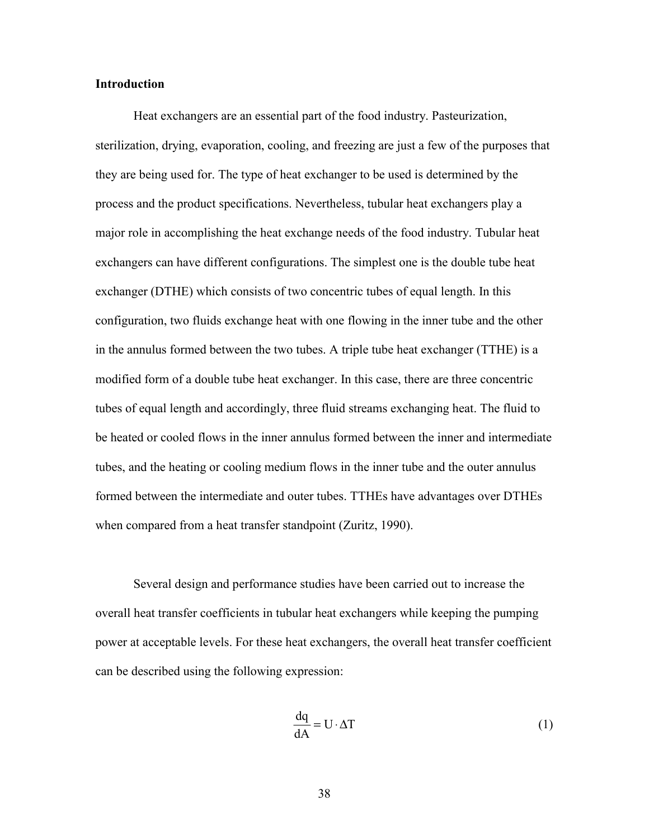#### **Introduction**

 Heat exchangers are an essential part of the food industry. Pasteurization, sterilization, drying, evaporation, cooling, and freezing are just a few of the purposes that they are being used for. The type of heat exchanger to be used is determined by the process and the product specifications. Nevertheless, tubular heat exchangers play a major role in accomplishing the heat exchange needs of the food industry. Tubular heat exchangers can have different configurations. The simplest one is the double tube heat exchanger (DTHE) which consists of two concentric tubes of equal length. In this configuration, two fluids exchange heat with one flowing in the inner tube and the other in the annulus formed between the two tubes. A triple tube heat exchanger (TTHE) is a modified form of a double tube heat exchanger. In this case, there are three concentric tubes of equal length and accordingly, three fluid streams exchanging heat. The fluid to be heated or cooled flows in the inner annulus formed between the inner and intermediate tubes, and the heating or cooling medium flows in the inner tube and the outer annulus formed between the intermediate and outer tubes. TTHEs have advantages over DTHEs when compared from a heat transfer standpoint (Zuritz, 1990).

 Several design and performance studies have been carried out to increase the overall heat transfer coefficients in tubular heat exchangers while keeping the pumping power at acceptable levels. For these heat exchangers, the overall heat transfer coefficient can be described using the following expression:

$$
\frac{dq}{dA} = U \cdot \Delta T \tag{1}
$$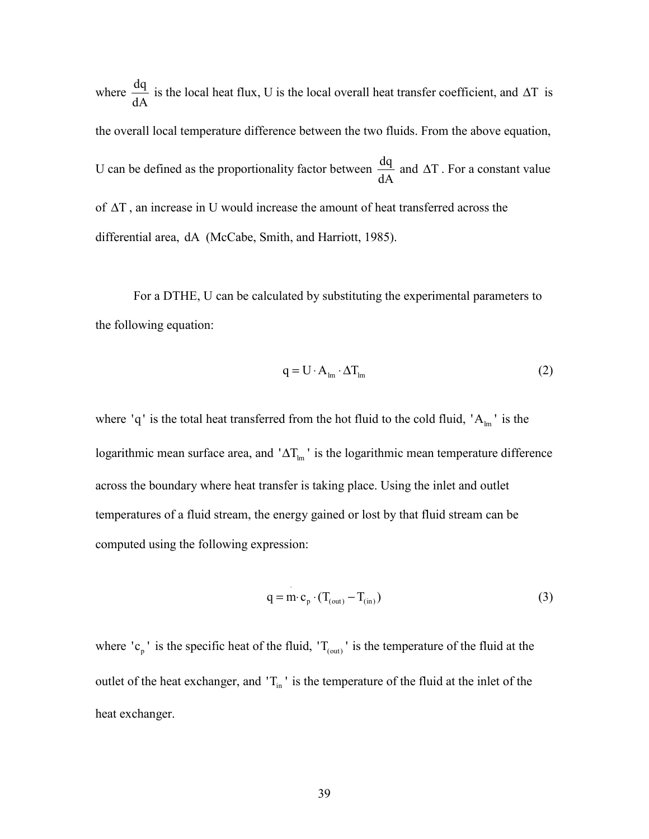where  $\frac{dq}{dA}$  is the local heat flux, U is the local overall heat transfer coefficient, and  $\Delta T$  is the overall local temperature difference between the two fluids. From the above equation, U can be defined as the proportionality factor between  $\frac{dq}{dt}$ dA and ∆T . For a constant value of ∆T , an increase in U would increase the amount of heat transferred across the differential area, dA (McCabe, Smith, and Harriott, 1985).

 For a DTHE, U can be calculated by substituting the experimental parameters to the following equation:

$$
q = U \cdot A_{lm} \cdot \Delta T_{lm} \tag{2}
$$

where 'q' is the total heat transferred from the hot fluid to the cold fluid,  $A_{lm}$ ' is the logarithmic mean surface area, and ' $\Delta T_{lm}$ ' is the logarithmic mean temperature difference across the boundary where heat transfer is taking place. Using the inlet and outlet temperatures of a fluid stream, the energy gained or lost by that fluid stream can be computed using the following expression:

$$
q = m \cdot c_p \cdot (T_{\text{(out)}} - T_{\text{(in)}})
$$
\n(3)

where 'c<sub>p</sub>' is the specific heat of the fluid, 'T<sub>(out)</sub>' is the temperature of the fluid at the outlet of the heat exchanger, and  $T_{in}$  ' is the temperature of the fluid at the inlet of the heat exchanger.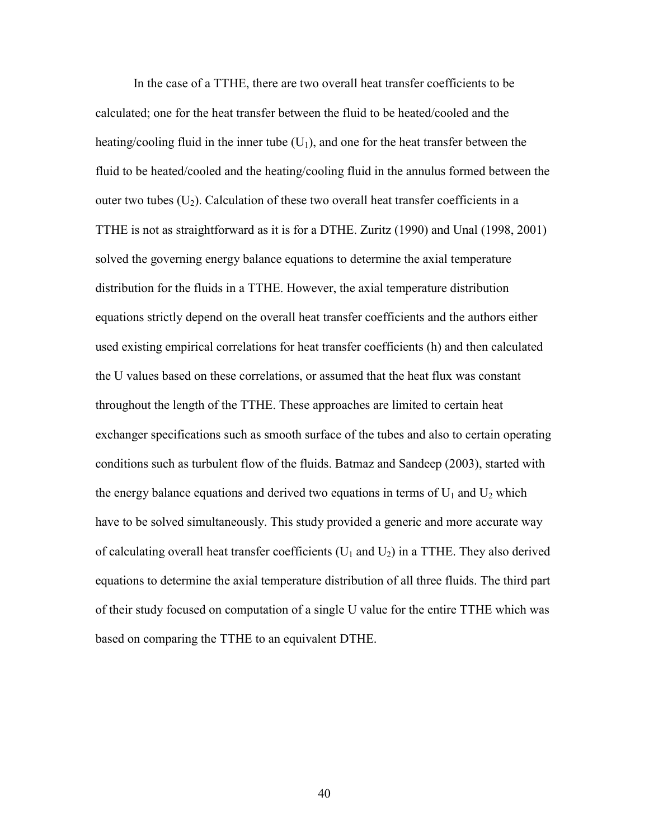In the case of a TTHE, there are two overall heat transfer coefficients to be calculated; one for the heat transfer between the fluid to be heated/cooled and the heating/cooling fluid in the inner tube  $(U_1)$ , and one for the heat transfer between the fluid to be heated/cooled and the heating/cooling fluid in the annulus formed between the outer two tubes  $(U_2)$ . Calculation of these two overall heat transfer coefficients in a TTHE is not as straightforward as it is for a DTHE. Zuritz (1990) and Unal (1998, 2001) solved the governing energy balance equations to determine the axial temperature distribution for the fluids in a TTHE. However, the axial temperature distribution equations strictly depend on the overall heat transfer coefficients and the authors either used existing empirical correlations for heat transfer coefficients (h) and then calculated the U values based on these correlations, or assumed that the heat flux was constant throughout the length of the TTHE. These approaches are limited to certain heat exchanger specifications such as smooth surface of the tubes and also to certain operating conditions such as turbulent flow of the fluids. Batmaz and Sandeep (2003), started with the energy balance equations and derived two equations in terms of  $U_1$  and  $U_2$  which have to be solved simultaneously. This study provided a generic and more accurate way of calculating overall heat transfer coefficients ( $U_1$  and  $U_2$ ) in a TTHE. They also derived equations to determine the axial temperature distribution of all three fluids. The third part of their study focused on computation of a single U value for the entire TTHE which was based on comparing the TTHE to an equivalent DTHE.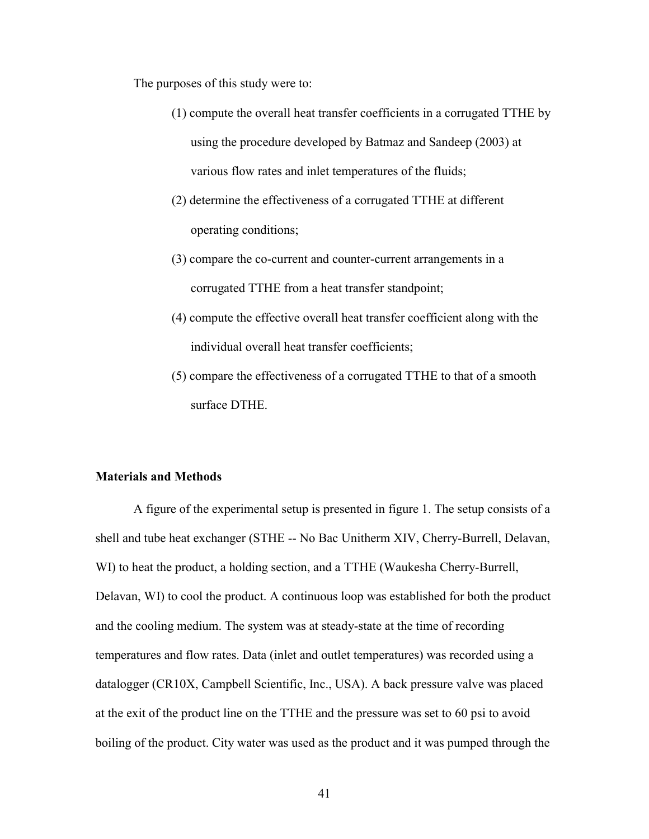The purposes of this study were to:

- (1) compute the overall heat transfer coefficients in a corrugated TTHE by using the procedure developed by Batmaz and Sandeep (2003) at various flow rates and inlet temperatures of the fluids;
- (2) determine the effectiveness of a corrugated TTHE at different operating conditions;
- (3) compare the co-current and counter-current arrangements in a corrugated TTHE from a heat transfer standpoint;
- (4) compute the effective overall heat transfer coefficient along with the individual overall heat transfer coefficients;
- (5) compare the effectiveness of a corrugated TTHE to that of a smooth surface DTHE.

#### **Materials and Methods**

A figure of the experimental setup is presented in figure 1. The setup consists of a shell and tube heat exchanger (STHE -- No Bac Unitherm XIV, Cherry-Burrell, Delavan, WI) to heat the product, a holding section, and a TTHE (Waukesha Cherry-Burrell, Delavan, WI) to cool the product. A continuous loop was established for both the product and the cooling medium. The system was at steady-state at the time of recording temperatures and flow rates. Data (inlet and outlet temperatures) was recorded using a datalogger (CR10X, Campbell Scientific, Inc., USA). A back pressure valve was placed at the exit of the product line on the TTHE and the pressure was set to 60 psi to avoid boiling of the product. City water was used as the product and it was pumped through the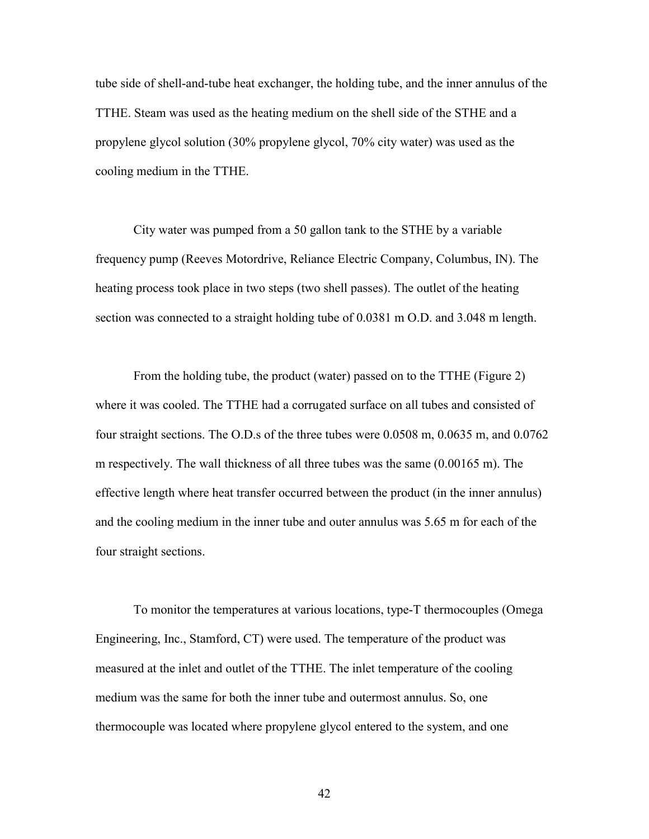tube side of shell-and-tube heat exchanger, the holding tube, and the inner annulus of the TTHE. Steam was used as the heating medium on the shell side of the STHE and a propylene glycol solution (30% propylene glycol, 70% city water) was used as the cooling medium in the TTHE.

City water was pumped from a 50 gallon tank to the STHE by a variable frequency pump (Reeves Motordrive, Reliance Electric Company, Columbus, IN). The heating process took place in two steps (two shell passes). The outlet of the heating section was connected to a straight holding tube of 0.0381 m O.D. and 3.048 m length.

From the holding tube, the product (water) passed on to the TTHE (Figure 2) where it was cooled. The TTHE had a corrugated surface on all tubes and consisted of four straight sections. The O.D.s of the three tubes were 0.0508 m, 0.0635 m, and 0.0762 m respectively. The wall thickness of all three tubes was the same (0.00165 m). The effective length where heat transfer occurred between the product (in the inner annulus) and the cooling medium in the inner tube and outer annulus was 5.65 m for each of the four straight sections.

To monitor the temperatures at various locations, type-T thermocouples (Omega Engineering, Inc., Stamford, CT) were used. The temperature of the product was measured at the inlet and outlet of the TTHE. The inlet temperature of the cooling medium was the same for both the inner tube and outermost annulus. So, one thermocouple was located where propylene glycol entered to the system, and one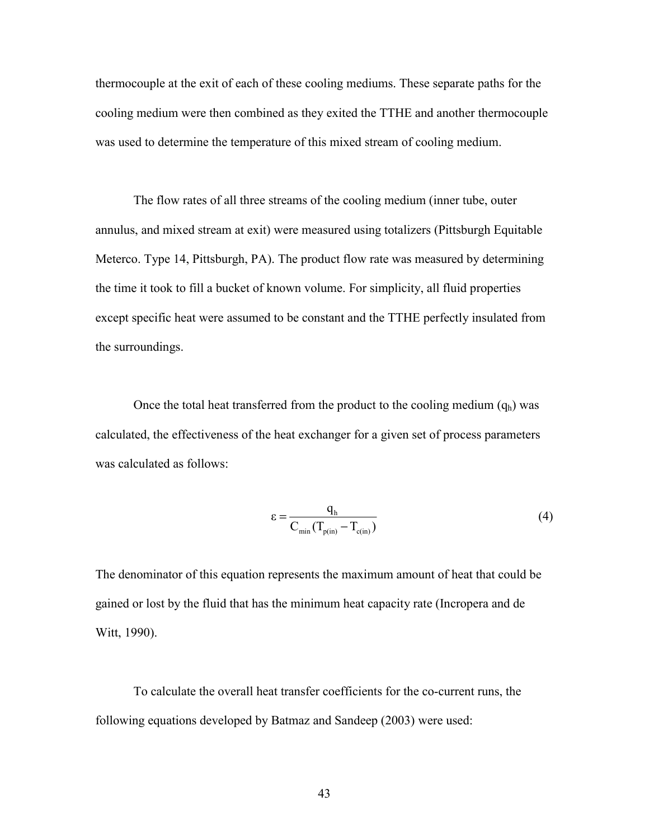thermocouple at the exit of each of these cooling mediums. These separate paths for the cooling medium were then combined as they exited the TTHE and another thermocouple was used to determine the temperature of this mixed stream of cooling medium.

The flow rates of all three streams of the cooling medium (inner tube, outer annulus, and mixed stream at exit) were measured using totalizers (Pittsburgh Equitable Meterco. Type 14, Pittsburgh, PA). The product flow rate was measured by determining the time it took to fill a bucket of known volume. For simplicity, all fluid properties except specific heat were assumed to be constant and the TTHE perfectly insulated from the surroundings.

Once the total heat transferred from the product to the cooling medium  $(q_h)$  was calculated, the effectiveness of the heat exchanger for a given set of process parameters was calculated as follows:

$$
\varepsilon = \frac{q_h}{C_{\min}(T_{p(in)} - T_{c(in)})}
$$
(4)

The denominator of this equation represents the maximum amount of heat that could be gained or lost by the fluid that has the minimum heat capacity rate (Incropera and de Witt, 1990).

 To calculate the overall heat transfer coefficients for the co-current runs, the following equations developed by Batmaz and Sandeep (2003) were used: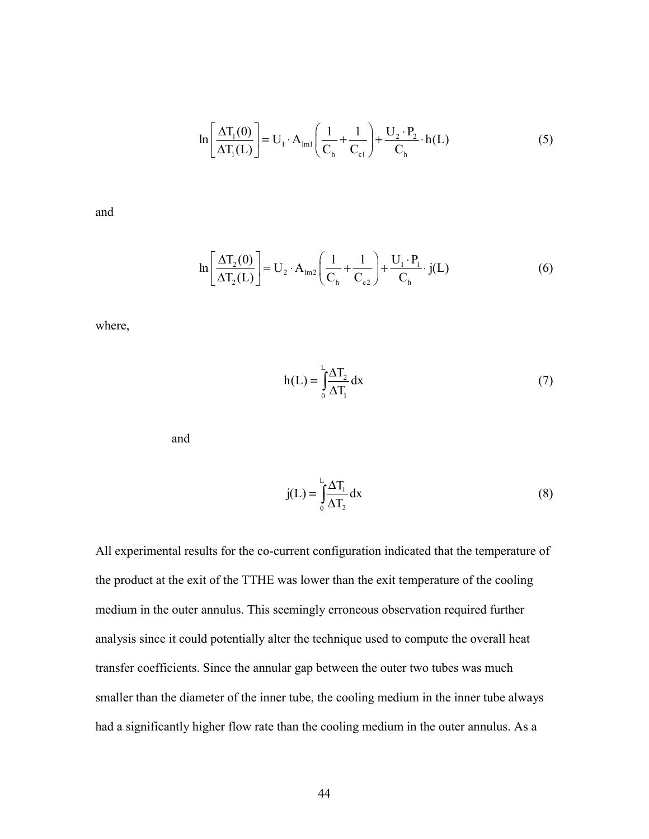$$
\ln\left[\frac{\Delta T_1(0)}{\Delta T_1(L)}\right] = U_1 \cdot A_{\text{Im}1}\left(\frac{1}{C_{\text{h}}} + \frac{1}{C_{\text{cl}}}\right) + \frac{U_2 \cdot P_2}{C_{\text{h}}} \cdot h(L) \tag{5}
$$

and

$$
\ln\left[\frac{\Delta T_2(0)}{\Delta T_2(L)}\right] = U_2 \cdot A_{\text{Im}2}\left(\frac{1}{C_{\text{h}}} + \frac{1}{C_{\text{c}2}}\right) + \frac{U_1 \cdot P_1}{C_{\text{h}}} \cdot j(L) \tag{6}
$$

where,

$$
h(L) = \int_{0}^{L} \frac{\Delta T_2}{\Delta T_1} dx
$$
 (7)

and

$$
j(L) = \int_{0}^{L} \frac{\Delta T_1}{\Delta T_2} dx
$$
 (8)

All experimental results for the co-current configuration indicated that the temperature of the product at the exit of the TTHE was lower than the exit temperature of the cooling medium in the outer annulus. This seemingly erroneous observation required further analysis since it could potentially alter the technique used to compute the overall heat transfer coefficients. Since the annular gap between the outer two tubes was much smaller than the diameter of the inner tube, the cooling medium in the inner tube always had a significantly higher flow rate than the cooling medium in the outer annulus. As a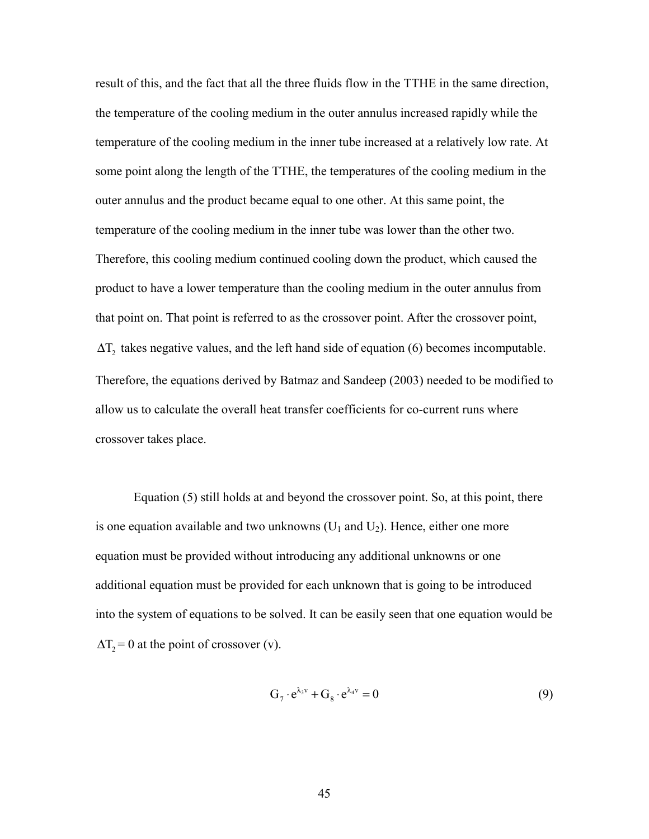result of this, and the fact that all the three fluids flow in the TTHE in the same direction, the temperature of the cooling medium in the outer annulus increased rapidly while the temperature of the cooling medium in the inner tube increased at a relatively low rate. At some point along the length of the TTHE, the temperatures of the cooling medium in the outer annulus and the product became equal to one other. At this same point, the temperature of the cooling medium in the inner tube was lower than the other two. Therefore, this cooling medium continued cooling down the product, which caused the product to have a lower temperature than the cooling medium in the outer annulus from that point on. That point is referred to as the crossover point. After the crossover point,  $\Delta T_2$  takes negative values, and the left hand side of equation (6) becomes incomputable. Therefore, the equations derived by Batmaz and Sandeep (2003) needed to be modified to allow us to calculate the overall heat transfer coefficients for co-current runs where crossover takes place.

 Equation (5) still holds at and beyond the crossover point. So, at this point, there is one equation available and two unknowns  $(U_1$  and  $U_2)$ . Hence, either one more equation must be provided without introducing any additional unknowns or one additional equation must be provided for each unknown that is going to be introduced into the system of equations to be solved. It can be easily seen that one equation would be  $\Delta T_2 = 0$  at the point of crossover (v).

$$
G_7 \cdot e^{\lambda_3 v} + G_8 \cdot e^{\lambda_4 v} = 0 \tag{9}
$$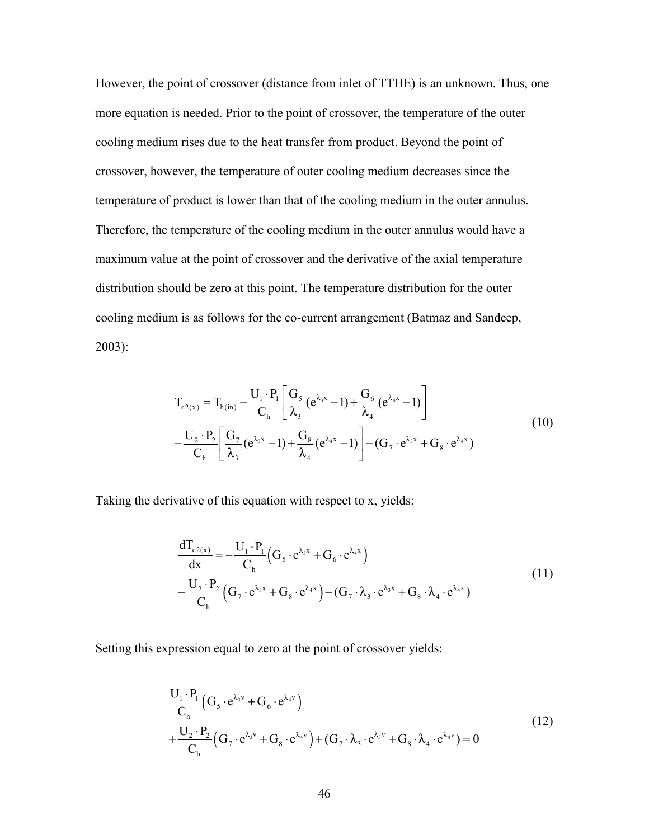However, the point of crossover (distance from inlet of TTHE) is an unknown. Thus, one more equation is needed. Prior to the point of crossover, the temperature of the outer cooling medium rises due to the heat transfer from product. Beyond the point of crossover, however, the temperature of outer cooling medium decreases since the temperature of product is lower than that of the cooling medium in the outer annulus. Therefore, the temperature of the cooling medium in the outer annulus would have a maximum value at the point of crossover and the derivative of the axial temperature distribution should be zero at this point. The temperature distribution for the outer cooling medium is as follows for the co-current arrangement (Batmaz and Sandeep, 2003):

$$
T_{c2(x)} = T_{h(in)} - \frac{U_1 \cdot P_1}{C_h} \left[ \frac{G_5}{\lambda_3} (e^{\lambda_3 x} - 1) + \frac{G_6}{\lambda_4} (e^{\lambda_4 x} - 1) \right]
$$
  

$$
-\frac{U_2 \cdot P_2}{C_h} \left[ \frac{G_7}{\lambda_3} (e^{\lambda_3 x} - 1) + \frac{G_8}{\lambda_4} (e^{\lambda_4 x} - 1) \right] - (G_7 \cdot e^{\lambda_3 x} + G_8 \cdot e^{\lambda_4 x})
$$
 (10)

Taking the derivative of this equation with respect to x, yields:

$$
\frac{d T_{c2(x)}}{dx} = -\frac{U_1 \cdot P_1}{C_h} \Big( G_5 \cdot e^{\lambda_3 x} + G_6 \cdot e^{\lambda_4 x} \Big)
$$
\n
$$
-\frac{U_2 \cdot P_2}{C_h} \Big( G_7 \cdot e^{\lambda_3 x} + G_8 \cdot e^{\lambda_4 x} \Big) - (G_7 \cdot \lambda_3 \cdot e^{\lambda_3 x} + G_8 \cdot \lambda_4 \cdot e^{\lambda_4 x})
$$
\n(11)

Setting this expression equal to zero at the point of crossover yields:

$$
\frac{U_1 \cdot P_1}{C_h} \left( G_5 \cdot e^{\lambda_3 v} + G_6 \cdot e^{\lambda_4 v} \right)
$$
\n
$$
+ \frac{U_2 \cdot P_2}{C_h} \left( G_7 \cdot e^{\lambda_3 v} + G_8 \cdot e^{\lambda_4 v} \right) + \left( G_7 \cdot \lambda_3 \cdot e^{\lambda_3 v} + G_8 \cdot \lambda_4 \cdot e^{\lambda_4 v} \right) = 0
$$
\n(12)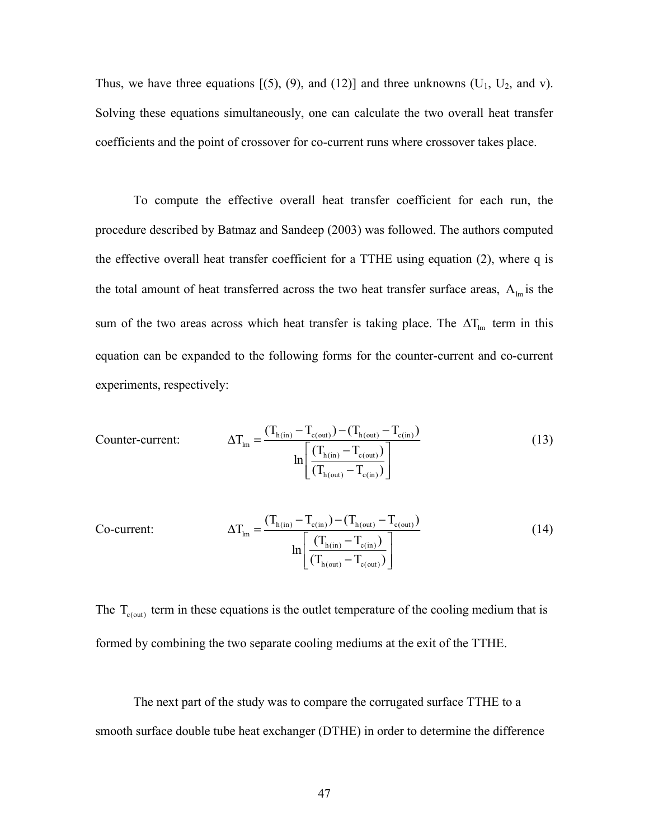Thus, we have three equations  $[(5), (9),$  and  $(12)]$  and three unknowns  $(U_1, U_2,$  and v). Solving these equations simultaneously, one can calculate the two overall heat transfer coefficients and the point of crossover for co-current runs where crossover takes place.

 To compute the effective overall heat transfer coefficient for each run, the procedure described by Batmaz and Sandeep (2003) was followed. The authors computed the effective overall heat transfer coefficient for a TTHE using equation (2), where q is the total amount of heat transferred across the two heat transfer surface areas,  $A_{lm}$  is the sum of the two areas across which heat transfer is taking place. The  $\Delta T_{lm}$  term in this equation can be expanded to the following forms for the counter-current and co-current experiments, respectively:

Counter-current: 
$$
\Delta T_{lm} = \frac{(T_{h(in)} - T_{c(out)}) - (T_{h(out)} - T_{c(in)})}{ln \left[ \frac{(T_{h(in)} - T_{c(out)})}{(T_{h(out)} - T_{c(in)})} \right]}
$$
(13)

$$
\Delta T_{lm} = \frac{(T_{h(in)} - T_{c(in)}) - (T_{h(out)} - T_{c(out)})}{\ln \left[ \frac{(T_{h(in)} - T_{c(in)})}{(T_{h(out)} - T_{c(out)})} \right]}
$$
(14)

The  $T_{c(out)}$  term in these equations is the outlet temperature of the cooling medium that is formed by combining the two separate cooling mediums at the exit of the TTHE.

The next part of the study was to compare the corrugated surface TTHE to a smooth surface double tube heat exchanger (DTHE) in order to determine the difference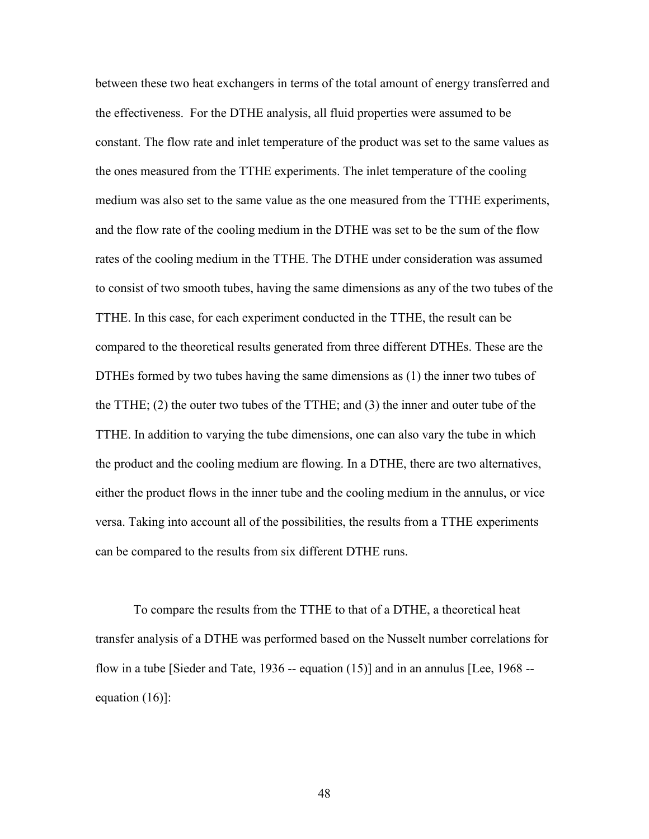between these two heat exchangers in terms of the total amount of energy transferred and the effectiveness. For the DTHE analysis, all fluid properties were assumed to be constant. The flow rate and inlet temperature of the product was set to the same values as the ones measured from the TTHE experiments. The inlet temperature of the cooling medium was also set to the same value as the one measured from the TTHE experiments, and the flow rate of the cooling medium in the DTHE was set to be the sum of the flow rates of the cooling medium in the TTHE. The DTHE under consideration was assumed to consist of two smooth tubes, having the same dimensions as any of the two tubes of the TTHE. In this case, for each experiment conducted in the TTHE, the result can be compared to the theoretical results generated from three different DTHEs. These are the DTHEs formed by two tubes having the same dimensions as (1) the inner two tubes of the TTHE; (2) the outer two tubes of the TTHE; and (3) the inner and outer tube of the TTHE. In addition to varying the tube dimensions, one can also vary the tube in which the product and the cooling medium are flowing. In a DTHE, there are two alternatives, either the product flows in the inner tube and the cooling medium in the annulus, or vice versa. Taking into account all of the possibilities, the results from a TTHE experiments can be compared to the results from six different DTHE runs.

To compare the results from the TTHE to that of a DTHE, a theoretical heat transfer analysis of a DTHE was performed based on the Nusselt number correlations for flow in a tube [Sieder and Tate,  $1936 -$  equation  $(15)$ ] and in an annulus [Lee, 1968  $$ equation (16)]: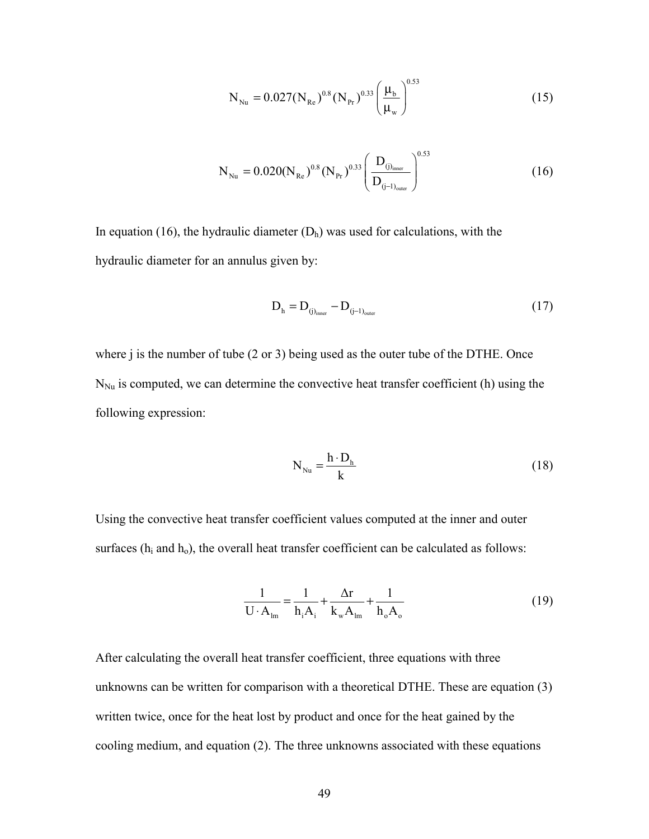$$
N_{\text{Nu}} = 0.027 (N_{\text{Re}})^{0.8} (N_{\text{Pr}})^{0.33} \left(\frac{\mu_{\text{b}}}{\mu_{\text{w}}}\right)^{0.53}
$$
(15)

$$
N_{Nu} = 0.020(N_{Re})^{0.8} (N_{Pr})^{0.33} \left(\frac{D_{(j)_{inner}}}{D_{(j-1)_{outer}}}\right)^{0.53}
$$
 (16)

In equation (16), the hydraulic diameter  $(D<sub>h</sub>)$  was used for calculations, with the hydraulic diameter for an annulus given by:

$$
D_h = D_{(j)_{\text{inner}}} - D_{(j-1)_{\text{outer}}} \tag{17}
$$

where j is the number of tube (2 or 3) being used as the outer tube of the DTHE. Once  $N_{\text{Nu}}$  is computed, we can determine the convective heat transfer coefficient (h) using the following expression:

$$
N_{\text{Nu}} = \frac{h \cdot D_{h}}{k} \tag{18}
$$

Using the convective heat transfer coefficient values computed at the inner and outer surfaces  $(h_i$  and  $h_o)$ , the overall heat transfer coefficient can be calculated as follows:

$$
\frac{1}{\mathbf{U} \cdot \mathbf{A}_{\text{lm}}} = \frac{1}{\mathbf{h}_i \mathbf{A}_i} + \frac{\Delta \mathbf{r}}{\mathbf{k}_{\text{w}} \mathbf{A}_{\text{lm}}} + \frac{1}{\mathbf{h}_{\text{o}} \mathbf{A}_{\text{o}}} \tag{19}
$$

After calculating the overall heat transfer coefficient, three equations with three unknowns can be written for comparison with a theoretical DTHE. These are equation (3) written twice, once for the heat lost by product and once for the heat gained by the cooling medium, and equation (2). The three unknowns associated with these equations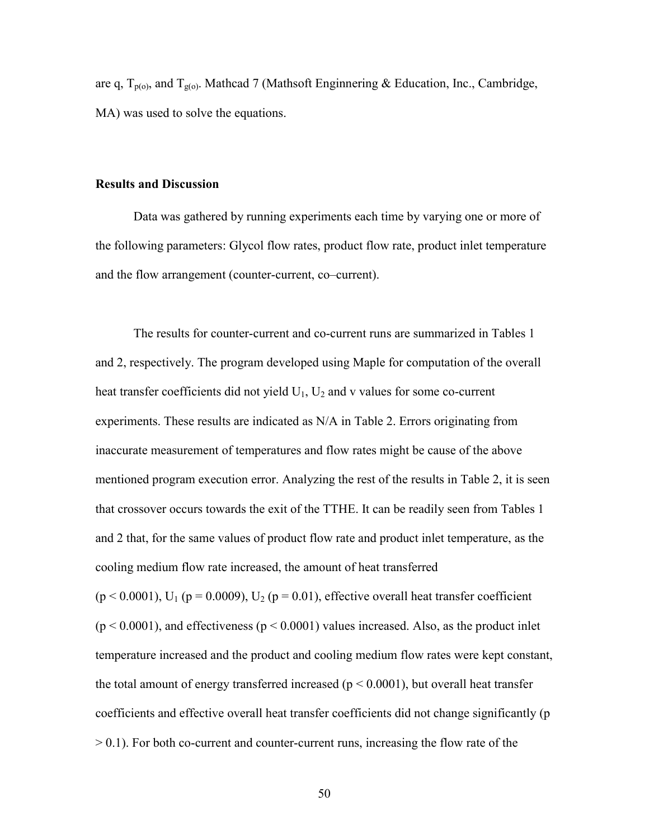are q, T<sub>p(o)</sub>, and T<sub>g(o)</sub>. Mathcad 7 (Mathsoft Enginnering & Education, Inc., Cambridge, MA) was used to solve the equations.

#### **Results and Discussion**

 Data was gathered by running experiments each time by varying one or more of the following parameters: Glycol flow rates, product flow rate, product inlet temperature and the flow arrangement (counter-current, co–current).

 The results for counter-current and co-current runs are summarized in Tables 1 and 2, respectively. The program developed using Maple for computation of the overall heat transfer coefficients did not yield  $U_1$ ,  $U_2$  and v values for some co-current experiments. These results are indicated as N/A in Table 2. Errors originating from inaccurate measurement of temperatures and flow rates might be cause of the above mentioned program execution error. Analyzing the rest of the results in Table 2, it is seen that crossover occurs towards the exit of the TTHE. It can be readily seen from Tables 1 and 2 that, for the same values of product flow rate and product inlet temperature, as the cooling medium flow rate increased, the amount of heat transferred  $(p < 0.0001)$ , U<sub>1</sub> (p = 0.0009), U<sub>2</sub> (p = 0.01), effective overall heat transfer coefficient  $(p < 0.0001)$ , and effectiveness  $(p < 0.0001)$  values increased. Also, as the product inlet temperature increased and the product and cooling medium flow rates were kept constant, the total amount of energy transferred increased  $(p < 0.0001)$ , but overall heat transfer coefficients and effective overall heat transfer coefficients did not change significantly (p > 0.1). For both co-current and counter-current runs, increasing the flow rate of the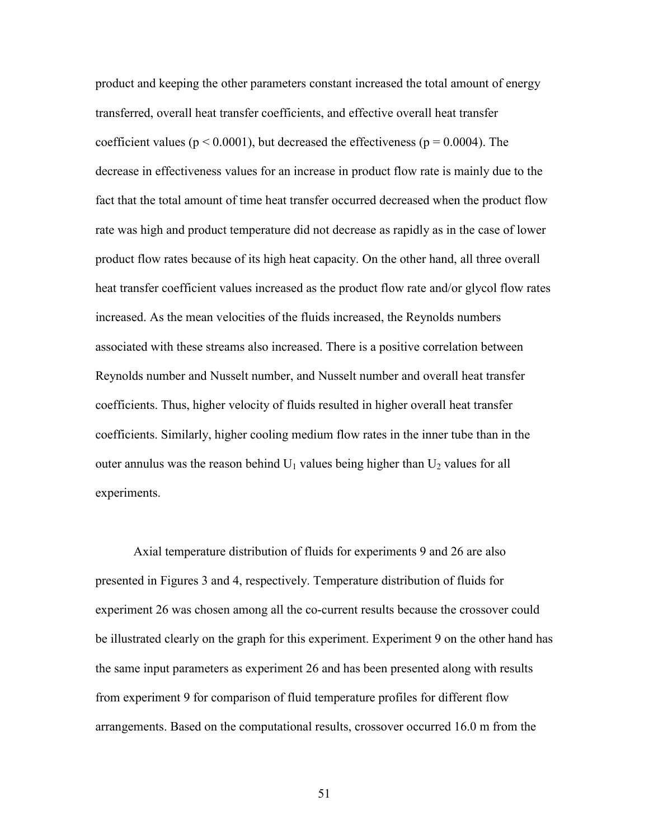product and keeping the other parameters constant increased the total amount of energy transferred, overall heat transfer coefficients, and effective overall heat transfer coefficient values ( $p < 0.0001$ ), but decreased the effectiveness ( $p = 0.0004$ ). The decrease in effectiveness values for an increase in product flow rate is mainly due to the fact that the total amount of time heat transfer occurred decreased when the product flow rate was high and product temperature did not decrease as rapidly as in the case of lower product flow rates because of its high heat capacity. On the other hand, all three overall heat transfer coefficient values increased as the product flow rate and/or glycol flow rates increased. As the mean velocities of the fluids increased, the Reynolds numbers associated with these streams also increased. There is a positive correlation between Reynolds number and Nusselt number, and Nusselt number and overall heat transfer coefficients. Thus, higher velocity of fluids resulted in higher overall heat transfer coefficients. Similarly, higher cooling medium flow rates in the inner tube than in the outer annulus was the reason behind  $U_1$  values being higher than  $U_2$  values for all experiments.

 Axial temperature distribution of fluids for experiments 9 and 26 are also presented in Figures 3 and 4, respectively. Temperature distribution of fluids for experiment 26 was chosen among all the co-current results because the crossover could be illustrated clearly on the graph for this experiment. Experiment 9 on the other hand has the same input parameters as experiment 26 and has been presented along with results from experiment 9 for comparison of fluid temperature profiles for different flow arrangements. Based on the computational results, crossover occurred 16.0 m from the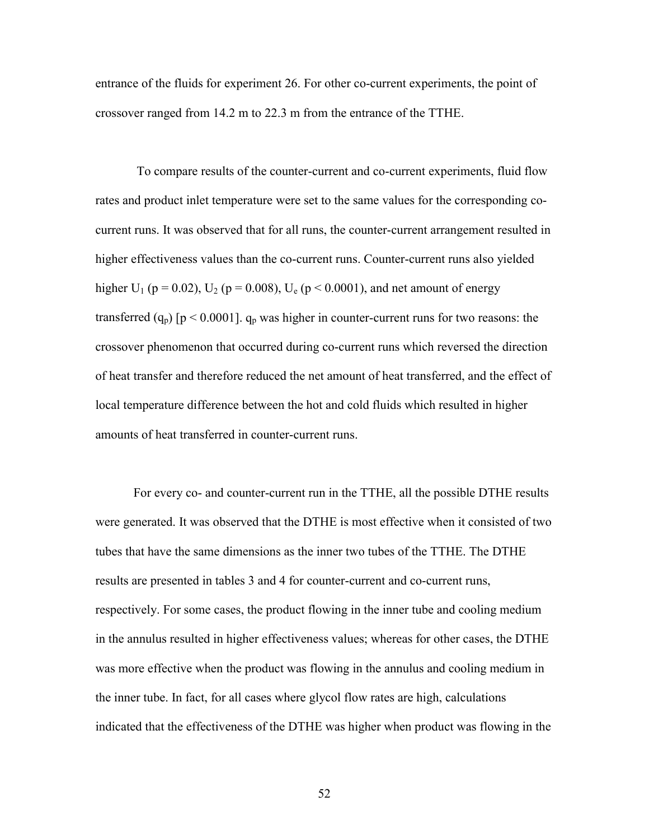entrance of the fluids for experiment 26. For other co-current experiments, the point of crossover ranged from 14.2 m to 22.3 m from the entrance of the TTHE.

 To compare results of the counter-current and co-current experiments, fluid flow rates and product inlet temperature were set to the same values for the corresponding cocurrent runs. It was observed that for all runs, the counter-current arrangement resulted in higher effectiveness values than the co-current runs. Counter-current runs also yielded higher U<sub>1</sub> (p = 0.02), U<sub>2</sub> (p = 0.008), U<sub>e</sub> (p < 0.0001), and net amount of energy transferred  $(q_p)$  [p < 0.0001].  $q_p$  was higher in counter-current runs for two reasons: the crossover phenomenon that occurred during co-current runs which reversed the direction of heat transfer and therefore reduced the net amount of heat transferred, and the effect of local temperature difference between the hot and cold fluids which resulted in higher amounts of heat transferred in counter-current runs.

For every co- and counter-current run in the TTHE, all the possible DTHE results were generated. It was observed that the DTHE is most effective when it consisted of two tubes that have the same dimensions as the inner two tubes of the TTHE. The DTHE results are presented in tables 3 and 4 for counter-current and co-current runs, respectively. For some cases, the product flowing in the inner tube and cooling medium in the annulus resulted in higher effectiveness values; whereas for other cases, the DTHE was more effective when the product was flowing in the annulus and cooling medium in the inner tube. In fact, for all cases where glycol flow rates are high, calculations indicated that the effectiveness of the DTHE was higher when product was flowing in the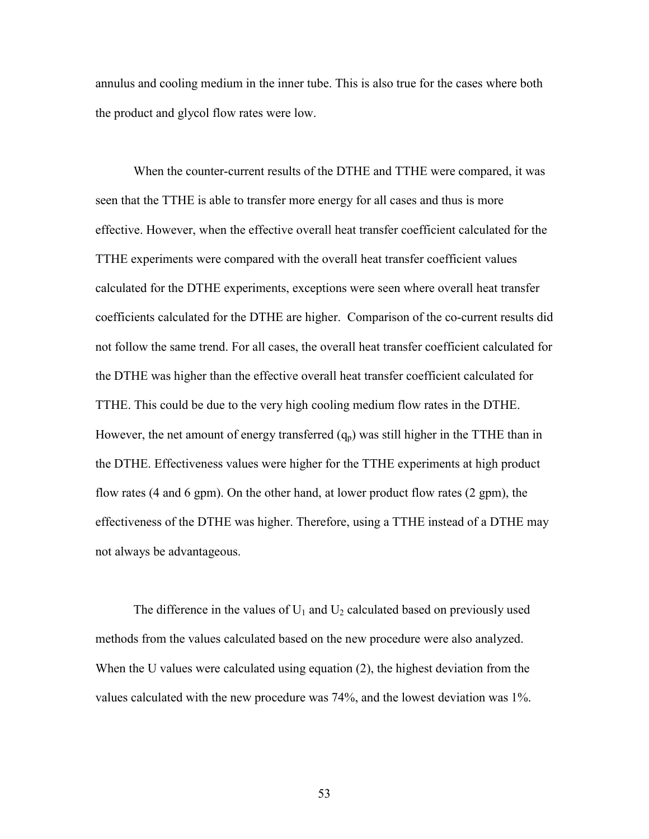annulus and cooling medium in the inner tube. This is also true for the cases where both the product and glycol flow rates were low.

When the counter-current results of the DTHE and TTHE were compared, it was seen that the TTHE is able to transfer more energy for all cases and thus is more effective. However, when the effective overall heat transfer coefficient calculated for the TTHE experiments were compared with the overall heat transfer coefficient values calculated for the DTHE experiments, exceptions were seen where overall heat transfer coefficients calculated for the DTHE are higher. Comparison of the co-current results did not follow the same trend. For all cases, the overall heat transfer coefficient calculated for the DTHE was higher than the effective overall heat transfer coefficient calculated for TTHE. This could be due to the very high cooling medium flow rates in the DTHE. However, the net amount of energy transferred  $(q_p)$  was still higher in the TTHE than in the DTHE. Effectiveness values were higher for the TTHE experiments at high product flow rates (4 and 6 gpm). On the other hand, at lower product flow rates (2 gpm), the effectiveness of the DTHE was higher. Therefore, using a TTHE instead of a DTHE may not always be advantageous.

The difference in the values of  $U_1$  and  $U_2$  calculated based on previously used methods from the values calculated based on the new procedure were also analyzed. When the U values were calculated using equation (2), the highest deviation from the values calculated with the new procedure was 74%, and the lowest deviation was 1%.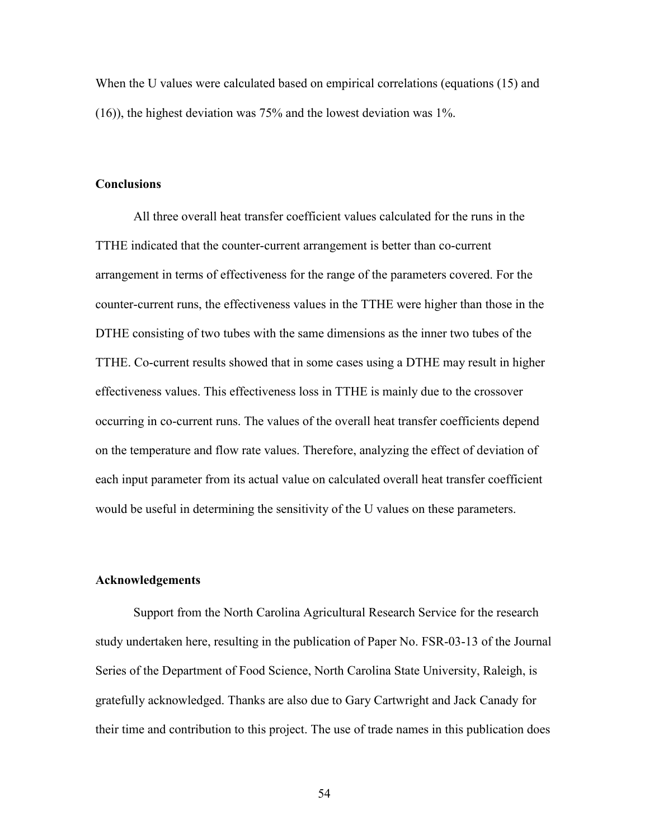When the U values were calculated based on empirical correlations (equations (15) and (16)), the highest deviation was 75% and the lowest deviation was 1%.

#### **Conclusions**

All three overall heat transfer coefficient values calculated for the runs in the TTHE indicated that the counter-current arrangement is better than co-current arrangement in terms of effectiveness for the range of the parameters covered. For the counter-current runs, the effectiveness values in the TTHE were higher than those in the DTHE consisting of two tubes with the same dimensions as the inner two tubes of the TTHE. Co-current results showed that in some cases using a DTHE may result in higher effectiveness values. This effectiveness loss in TTHE is mainly due to the crossover occurring in co-current runs. The values of the overall heat transfer coefficients depend on the temperature and flow rate values. Therefore, analyzing the effect of deviation of each input parameter from its actual value on calculated overall heat transfer coefficient would be useful in determining the sensitivity of the U values on these parameters.

#### **Acknowledgements**

Support from the North Carolina Agricultural Research Service for the research study undertaken here, resulting in the publication of Paper No. FSR-03-13 of the Journal Series of the Department of Food Science, North Carolina State University, Raleigh, is gratefully acknowledged. Thanks are also due to Gary Cartwright and Jack Canady for their time and contribution to this project. The use of trade names in this publication does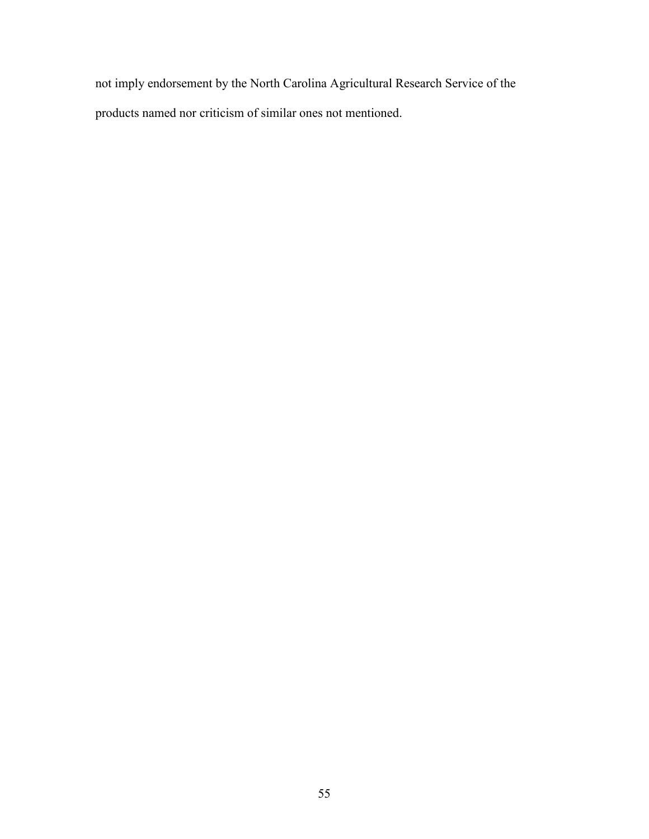not imply endorsement by the North Carolina Agricultural Research Service of the products named nor criticism of similar ones not mentioned.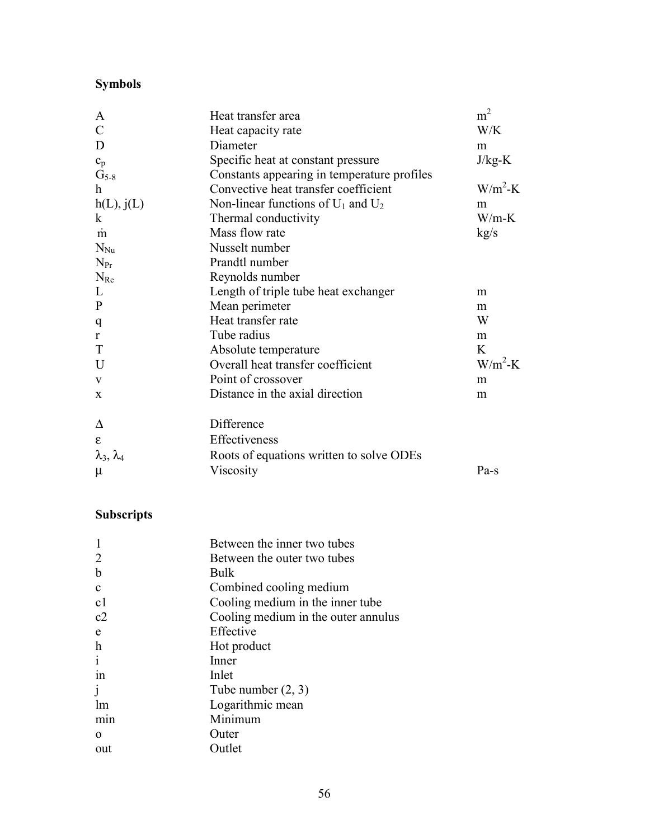## **Symbols**

| A                         | Heat transfer area                          | m <sup>2</sup> |
|---------------------------|---------------------------------------------|----------------|
| $\mathcal{C}$             | Heat capacity rate                          | W/K            |
| D                         | Diameter                                    | m              |
| $\mathbf{c}_\mathrm{p}$   | Specific heat at constant pressure          | $J/kg-K$       |
| $\mathrm{G}_{5\text{-}8}$ | Constants appearing in temperature profiles |                |
| $\mathbf h$               | Convective heat transfer coefficient        | $W/m^2-K$      |
| h(L), j(L)                | Non-linear functions of $U_1$ and $U_2$     | m              |
| $\mathbf{k}$              | Thermal conductivity                        | $W/m-K$        |
| m                         | Mass flow rate                              | kg/s           |
| $N_{Nu}$                  | Nusselt number                              |                |
| $N_{Pr}$                  | Prandtl number                              |                |
| $N_{Re}$                  | Reynolds number                             |                |
| $\mathbf L$               | Length of triple tube heat exchanger        | m              |
| ${\bf P}$                 | Mean perimeter                              | m              |
| q                         | Heat transfer rate                          | W              |
| $\mathbf r$               | Tube radius                                 | m              |
| $\mathbf T$               | Absolute temperature                        | K              |
| U                         | Overall heat transfer coefficient           | $W/m^2-K$      |
| $\mathbf{V}$              | Point of crossover                          | m              |
| $\mathbf X$               | Distance in the axial direction             | m              |
| Δ                         | Difference                                  |                |
| $\boldsymbol{\epsilon}$   | Effectiveness                               |                |
| $\lambda_3, \lambda_4$    | Roots of equations written to solve ODEs    |                |
| $\mu$                     | Viscosity                                   | Pa-s           |

### **Subscripts**

| Between the inner two tubes         |
|-------------------------------------|
| Between the outer two tubes         |
| Bulk                                |
| Combined cooling medium             |
| Cooling medium in the inner tube    |
| Cooling medium in the outer annulus |
| Effective                           |
| Hot product                         |
| Inner                               |
| Inlet                               |
| Tube number $(2, 3)$                |
| Logarithmic mean                    |
| Minimum                             |
| Outer                               |
| Outlet                              |
|                                     |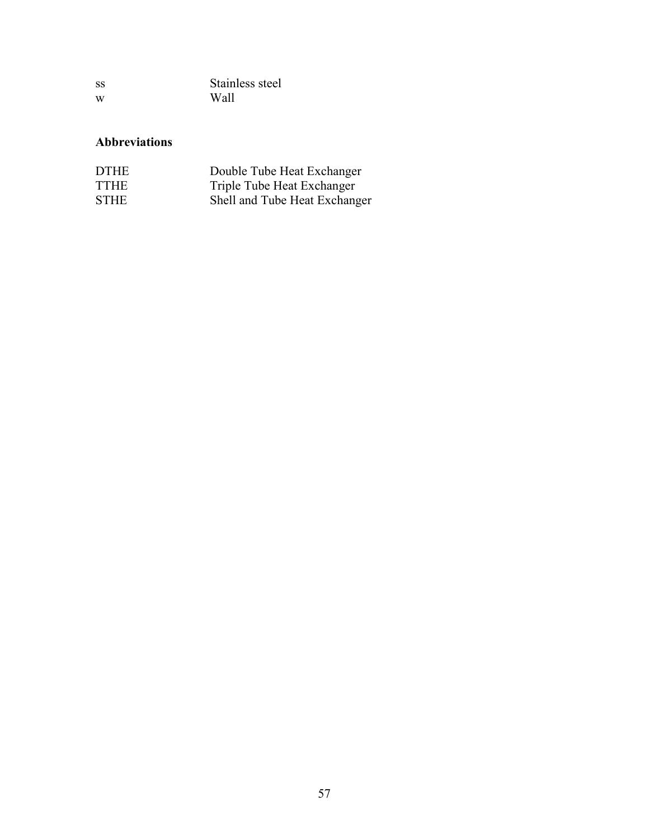| SS | Stainless steel |
|----|-----------------|
| W  | Wall            |

### **Abbreviations**

| <b>DTHE</b> | Double Tube Heat Exchanger    |
|-------------|-------------------------------|
| <b>TTHE</b> | Triple Tube Heat Exchanger    |
| <b>STHE</b> | Shell and Tube Heat Exchanger |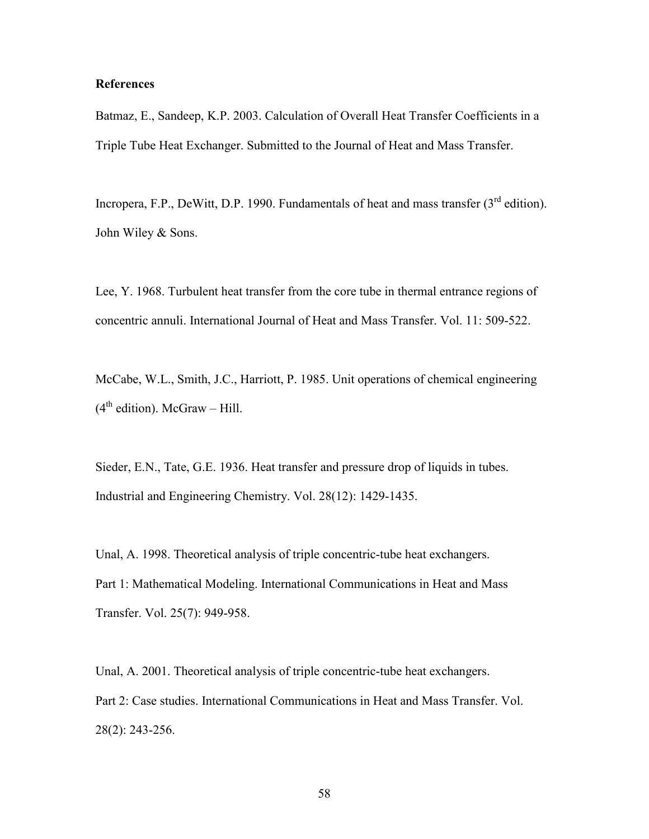#### **References**

Batmaz, E., Sandeep, K.P. 2003. Calculation of Overall Heat Transfer Coefficients in a Triple Tube Heat Exchanger. Submitted to the Journal of Heat and Mass Transfer.

Incropera, F.P., DeWitt, D.P. 1990. Fundamentals of heat and mass transfer (3<sup>rd</sup> edition). John Wiley & Sons.

Lee, Y. 1968. Turbulent heat transfer from the core tube in thermal entrance regions of concentric annuli. International Journal of Heat and Mass Transfer. Vol. 11: 509-522.

McCabe, W.L., Smith, J.C., Harriott, P. 1985. Unit operations of chemical engineering  $(4<sup>th</sup> edition)$ . McGraw – Hill.

Sieder, E.N., Tate, G.E. 1936. Heat transfer and pressure drop of liquids in tubes. Industrial and Engineering Chemistry. Vol. 28(12): 1429-1435.

Unal, A. 1998. Theoretical analysis of triple concentric-tube heat exchangers. Part 1: Mathematical Modeling. International Communications in Heat and Mass Transfer. Vol. 25(7): 949-958.

Unal, A. 2001. Theoretical analysis of triple concentric-tube heat exchangers. Part 2: Case studies. International Communications in Heat and Mass Transfer. Vol. 28(2): 243-256.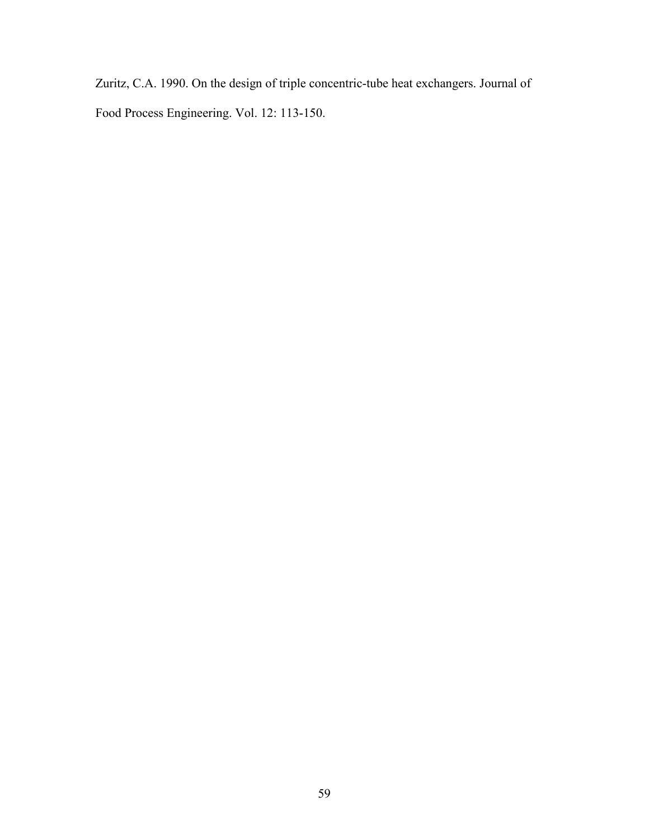Zuritz, C.A. 1990. On the design of triple concentric-tube heat exchangers. Journal of Food Process Engineering. Vol. 12: 113-150.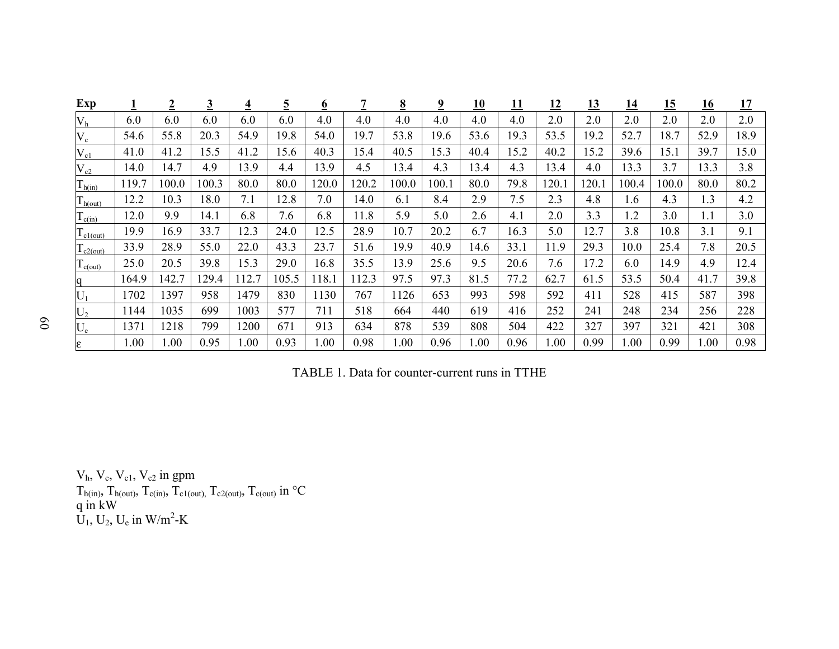| Exp                   |       | $\overline{2}$ | $\overline{3}$ | $\overline{4}$ | <u>כ</u> | $\overline{\rho}$ |       | $\underline{8}$ | $\overline{\mathbf{2}}$ | <u> 10</u> | <u> 11</u> | <u> 12</u> | <u> 13</u> | <u> 14</u>     | <u>15</u> | <u>16</u> | <u> 17</u> |
|-----------------------|-------|----------------|----------------|----------------|----------|-------------------|-------|-----------------|-------------------------|------------|------------|------------|------------|----------------|-----------|-----------|------------|
| V <sub>h</sub>        | 6.0   | 6.0            | 6.0            | 6.0            | 6.0      | 4.0               | 4.0   | 4.0             | 4.0                     | 4.0        | 4.0        | 2.0        | 2.0        | 2.0            | 2.0       | 2.0       | 2.0        |
| $V_c$                 | 54.6  | 55.8           | 20.3           | 54.9           | 19.8     | 54.0              | 19.7  | 53.8            | 19.6                    | 53.6       | 19.3       | 53.5       | 19.2       | 52.7           | 18.7      | 52.9      | 18.9       |
| $V_{c1}$              | 41.0  | 41.2           | 15.5           | 41.2           | 15.6     | 40.3              | 15.4  | 40.5            | 15.3                    | 40.4       | 15.2       | 40.2       | 15.2       | 39.6           | 15.1      | 39.7      | 15.0       |
| $\rm V_{c2}$          | 14.0  | 14.7           | 4.9            | 13.9           | 4.4      | 13.9              | 4.5   | 3.4             | 4.3                     | 13.4       | 4.3        | 13.4       | 4.0        | 13.3           | 3.7       | 13.3      | 3.8        |
| $T_{h(in)}$           | 119.7 | 0.001          | 100.3          | 80.0           | 80.0     | 120.0             | 120.2 | 100.0           | 100.1                   | 80.0       | 79.8       | 120.       | 120.1      | 100.4          | 100.0     | 80.0      | 80.2       |
| $T_{h(out)}$          | 12.2  | 10.3           | 18.0           | 7.1            | 12.8     | 7.0               | 14.0  | 6.1             | 8.4                     | 2.9        | 7.5        | 2.3        | 4.8        | 1.6            | 4.3       | 1.3       | 4.2        |
| $T_{c(in)}$           | 12.0  | 9.9            | 14.1           | 6.8            | 7.6      | 6.8               | 11.8  | 5.9             | 5.0                     | 2.6        | 4.1        | 2.0        | 3.3        | $\overline{2}$ | 3.0       | 1.1       | 3.0        |
| $l_{c1(out)}$         | 19.9  | 16.9           | 33.7           | 12.3           | 24.0     | 12.5              | 28.9  | 10.7            | 20.2                    | 6.7        | 16.3       | 5.0        | 12.7       | 3.8            | 10.8      | 3.1       | 9.1        |
| $\frac{1}{2}$ c2(out) | 33.9  | 28.9           | 55.0           | 22.0           | 43.3     | 23.7              | 51.6  | 19.9            | 40.9                    | 14.6       | 33.1       | 11.9       | 29.3       | 10.0           | 25.4      | 7.8       | 20.5       |
| $\mathbf{1}_{c(out)}$ | 25.0  | 20.5           | 39.8           | 15.3           | 29.0     | 16.8              | 35.5  | 3.9             | 25.6                    | 9.5        | 20.6       | 7.6        | 17.2       | 6.0            | 14.9      | 4.9       | 12.4       |
| q                     | 164.9 | 142.7          | 29.4           | 112.7          | 105.5    | 118.1             | 112.3 | 97.5            | 97.3                    | 81.5       | 77.2       | 62.7       | 61.5       | 53.5           | 50.4      | 41.7      | 39.8       |
| $U_1$                 | 1702  | 397            | 958            | 1479           | 830      | 1130              | 767   | 1126            | 653                     | 993        | 598        | 592        | 411        | 528            | 415       | 587       | 398        |
| $U_2$                 | 1144  | 1035           | 699            | 1003           | 577      | 711               | 518   | 664             | 440                     | 619        | 416        | 252        | 241        | 248            | 234       | 256       | 228        |
| $\rm U_e$             | 1371  | 1218           | 799            | 1200           | 671      | 913               | 634   | 878             | 539                     | 808        | 504        | 422        | 327        | 397            | 321       | 421       | 308        |
| E                     | .00   | .00            | 0.95           | 0.00           | 0.93     | 1.00              | 0.98  | .00             | 0.96                    | 1.00       | 0.96       | 1.00       | 0.99       | 1.00           | 0.99      | 00.1      | 0.98       |

TABLE 1. Data for counter-current runs in TTHE

 $V<sub>h</sub>, V<sub>c</sub>, V<sub>c1</sub>, V<sub>c2</sub>$  in gpm  $T_{h(in)}$ ,  $T_{h(out)}$ ,  $T_{c(in)}$ ,  $T_{c1(out)}$ ,  $T_{c2(out)}$ ,  $T_{c(out)}$  in  $\rm ^{\circ}C$ q in kW  $U_1, U_2, U_e$  in W/m<sup>2</sup>-K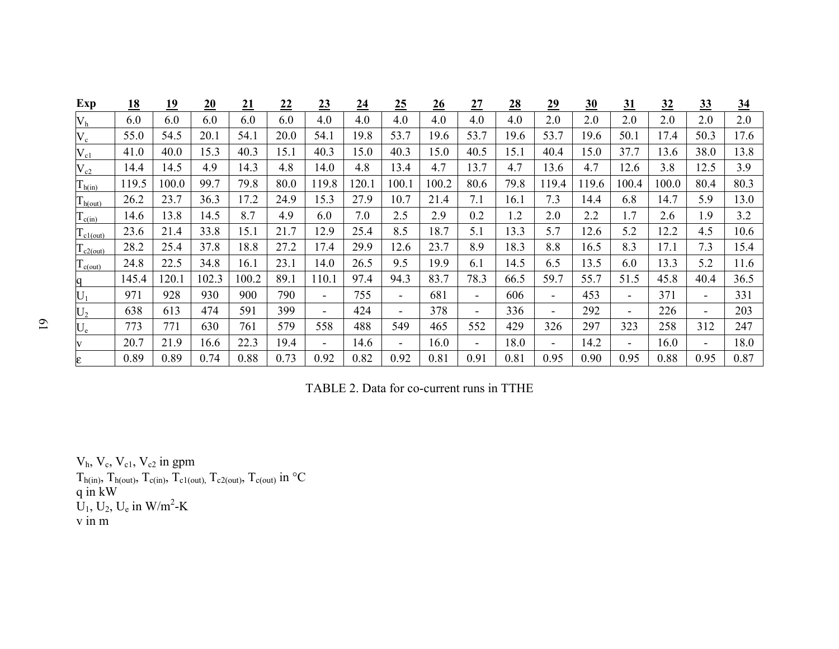| Exp                              | <u>18</u> | <u>19</u> | 20    | 21    | 22   | $\overline{23}$          | 24    | $\overline{25}$          | 26    | 27                       | 28   | 29   | 30    | <u>31</u>      | <u>32</u> | 33             | $\underline{34}$ |
|----------------------------------|-----------|-----------|-------|-------|------|--------------------------|-------|--------------------------|-------|--------------------------|------|------|-------|----------------|-----------|----------------|------------------|
| V <sub>h</sub>                   | 6.0       | 6.0       | 6.0   | 6.0   | 6.0  | 4.0                      | 4.0   | 4.0                      | 4.0   | 4.0                      | 4.0  | 2.0  | 2.0   | 2.0            | 2.0       | 2.0            | 2.0              |
| $V_c$                            | 55.0      | 54.5      | 20.1  | 54.1  | 20.0 | 54.1                     | 19.8  | 53.7                     | 19.6  | 53.7                     | 19.6 | 53.7 | 19.6  | 50.1           | 17.4      | 50.3           | 17.6             |
| $V_{c1}$                         | 41.0      | 40.0      | 15.3  | 40.3  | 15.1 | 40.3                     | 15.0  | 40.3                     | 5.0   | 40.5                     | 15.1 | 40.4 | 15.0  | 37.7           | 13.6      | 38.0           | 13.8             |
| $\rm V_{c2}$                     | 14.4      | 14.5      | 4.9   | 14.3  | 4.8  | 14.0                     | 4.8   | 3.4                      | 4.7   | 13.7                     | 4.7  | 13.6 | 4.7   | 12.6           | 3.8       | 12.5           | 3.9              |
| $T_{h(in)}$                      | 119.5     | 100.0     | 99.7  | 79.8  | 80.0 | 119.8                    | 120.1 | 100.1                    | 100.2 | 80.6                     | 79.8 | 19.4 | 119.6 | 100.4          | 100.0     | 80.4           | 80.3             |
| $T_{h(out)}$                     | 26.2      | 23.7      | 36.3  | 17.2  | 24.9 | 15.3                     | 27.9  | 10.7                     | 21.4  | 7.1                      | 16.1 | 7.3  | 14.4  | 6.8            | 14.7      | 5.9            | 13.0             |
| $\Gamma_{c(in)}$                 | 14.6      | 13.8      | 14.5  | 8.7   | 4.9  | 6.0                      | 7.0   | 2.5                      | 2.9   | 0.2                      | 1.2  | 2.0  | 2.2   | 1.7            | 2.6       | 1.9            | 3.2              |
| $\Gamma_{\text{c1}(\text{out})}$ | 23.6      | 21.4      | 33.8  | 15.1  | 21.7 | 12.9                     | 25.4  | 8.5                      | 18.7  | 5.1                      | 13.3 | 5.7  | 12.6  | 5.2            | 12.2      | 4.5            | 10.6             |
| $T_{c2(out)}$                    | 28.2      | 25.4      | 37.8  | 18.8  | 27.2 | 17.4                     | 29.9  | 12.6                     | 23.7  | 8.9                      | 18.3 | 8.8  | 16.5  | 8.3            | 17.1      | 7.3            | 15.4             |
| $T_{c(out)}$                     | 24.8      | 22.5      | 34.8  | 16.1  | 23.1 | 14.0                     | 26.5  | 9.5                      | 19.9  | 6.1                      | 14.5 | 6.5  | 13.5  | 6.0            | 13.3      | 5.2            | 11.6             |
| q                                | 145.4     | 120.1     | 102.3 | 100.2 | 89.1 | 110.1                    | 97.4  | 94.3                     | 83.7  | 78.3                     | 66.5 | 59.7 | 55.7  | 51.5           | 45.8      | 40.4           | 36.5             |
| $U_1$                            | 971       | 928       | 930   | 900   | 790  |                          | 755   |                          | 681   |                          | 606  |      | 453   | $\blacksquare$ | 371       | $\blacksquare$ | 331              |
| $U_2$                            | 638       | 613       | 474   | 591   | 399  | $\overline{\phantom{0}}$ | 424   | $\overline{\phantom{0}}$ | 378   |                          | 336  |      | 292   | $\blacksquare$ | 226       | $\blacksquare$ | 203              |
| $U_{e}$                          | 773       | 771       | 630   | 761   | 579  | 558                      | 488   | 549                      | 465   | 552                      | 429  | 326  | 297   | 323            | 258       | 312            | 247              |
| $\mathbf{V}$                     | 20.7      | 21.9      | 16.6  | 22.3  | 19.4 | $\overline{\phantom{0}}$ | 14.6  |                          | 16.0  | $\overline{\phantom{0}}$ | 18.0 |      | 14.2  | $\blacksquare$ | 16.0      | $\blacksquare$ | 18.0             |
| E                                | 0.89      | 0.89      | 0.74  | 0.88  | 0.73 | 0.92                     | 0.82  | 0.92                     | 0.81  | 0.91                     | 0.81 | 0.95 | 0.90  | 0.95           | 0.88      | 0.95           | 0.87             |

TABLE 2. Data for co-current runs in TTHE

 $V<sub>h</sub>, V<sub>c</sub>, V<sub>c1</sub>, V<sub>c2</sub>$  in gpm  $T_{h(in)}$ ,  $T_{h(out)}$ ,  $T_{c(in)}$ ,  $T_{c1(out)}$ ,  $T_{c2(out)}$ ,  $T_{c(out)}$  in  $\rm ^{\circ}C$ q in kW  $U_1, U_2, U_e$  in W/m<sup>2</sup>-K v in m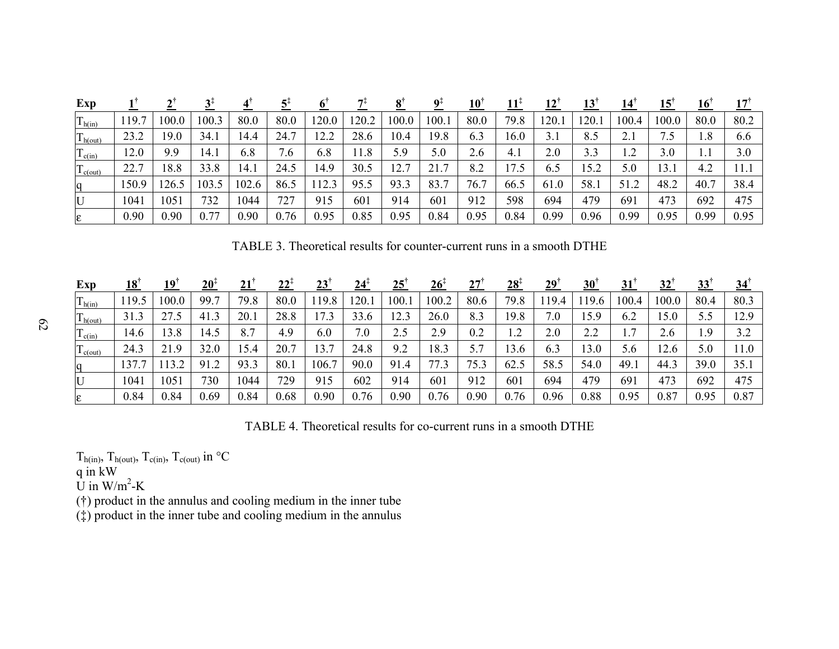| Exp                  |       |       |       |       |            |       |       |       |       | $10^{\dagger}$ | $11+$ | $12$ <sup>'</sup> | <u>13</u> | <u> 14</u> | <u>15</u> | $\overline{10}$ |      |
|----------------------|-------|-------|-------|-------|------------|-------|-------|-------|-------|----------------|-------|-------------------|-----------|------------|-----------|-----------------|------|
| $T_{h(in)}$          | 19.7  | 100.0 | 100.3 | 80.0  | 80.0       | 120.0 | 120.2 | 100.0 | 100.1 | 80.0           | 79.8  | 120.1             | l 20.     | 100.4      | 100.0     | 80.0            | 80.2 |
| $T_{h(out)}$         | 23.2  | 19.0  | 34.1  | 14.4  | 24.7       | 12.2  | 28.6  | 10.4  | 19.8  | 6.3            | 16.0  | 3.1               | 8.5       | 2.1        | 7.5       | 1.8             | 6.6  |
| $\mathbf{1}_{c(in)}$ | 12.0  | 9.9   | 14.1  | 6.8   | $\cdot$ .0 | 6.8   | 11.8  | 5.9   | 5.0   | 2.6            | 4.1   | 2.0               | 3.3       | ി          | 3.0       | .               | 3.0  |
| $\Gamma$ c(out)      | 22.7  | 18.8  | 33.8  | 14.1  | 24.5       | 14.9  | 30.5  | 12.7  | 21.7  | 8.2            | 17.5  | 6.5               | 15.2      | 5.0        | 13.1      | 4.2             | 11.1 |
| <sub>1</sub> q       | 150.9 | 26.5  | 103.5 | 102.6 | 86.5       | 112.3 | 95.5  | 93.3  | 83.7  | 76.7           | 66.5  | 61.0              | 58.1      | 51.2       | 48.2      | 40.7            | 38.4 |
| $\mathbf U$          | 1041  | 1051  | 732   | 1044  | 727        | 915   | 601   | 914   | 601   | 912            | 598   | 694               | 479       | 691        | 473       | 692             | 475  |
| E                    | 0.90  | 0.90  | 0.77  | 0.90  | 0.76       | 0.95  | 0.85  | 0.95  | 0.84  | 0.95           | 0.84  | 0.99              | 0.96      | 0.99       | 0.95      | 0.99            | 0.95 |

TABLE 3. Theoretical results for counter-current runs in a smooth DTHE

| Exp          | $18^{\circ}$ | 19    | $20^{\circ}$ | 21   | $22^{\frac{1}{4}}$ | 23    | $24^{\circ}$ | 25   | 26†   | 27   | $28^{\ddagger}$       | 29 <sup>1</sup> | 30 <sup>°</sup> | 31       | 32    | 33   | $34^{\dagger}$ |
|--------------|--------------|-------|--------------|------|--------------------|-------|--------------|------|-------|------|-----------------------|-----------------|-----------------|----------|-------|------|----------------|
| $T_{h(in)}$  | 19.5         | 100.0 | 99.7         | 79.8 | 80.0               | .19.8 | 20           | 100. | 100.2 | 80.6 | 79.8                  | 19.4            | 19.6            | 100.4    | 100.0 | 80.4 | 80.3           |
| $T_{h(out)}$ | 31.3         | 27.5  | 41.3         | 20.1 | 28.8               |       | 33.6         | 2.3  | 26.0  | 8.3  | 19.8                  | 7.0             | 15.9            | 6.2      | 15.0  | 5.5  | 12.9           |
| $T_{c(in)}$  | 14.6         | 13.8  | 14.5         | 8.7  | 4.9                | 6.0   | 7.0          | 2.5  | 2.9   | 0.2  | ി<br>$\overline{1}$ . | 2.0             | 2.2             | ┍<br>. . | 2.6   | 1.9  | 3.2            |
| $T_{c(out)}$ | 24.3         | 21.9  | 32.0         | 15.4 | 20.7               | 13.7  | 24.8         | 9.2  | 18.3  | 5.7  | 13.6                  | 6.3             | 3.0             | 5.6      | 12.6  | 5.0  | l 1.0          |
|              | 137.1        | 13.2  | 91.2         | 93.3 | 80.1               | 106.  | 90.0         | 91.4 | 77.3  | 75.3 | 62.5                  | 58.5            | 54.0            | 49.1     | 44.3  | 39.0 | 35.1           |
| $\mathbf U$  | 1041         | 1051  | 730          | 1044 | 729                | 915   | 602          | 914  | 601   | 912  | 601                   | 694             | 479             | 691      | 473   | 692  | 475            |
| E            | 0.84         | 0.84  | 0.69         | 0.84 | 0.68               | 0.90  | 0.76         | 0.90 | 0.76  | 0.90 | 0.76                  | 0.96            | 0.88            | 0.95     | 0.87  | 0.95 | 0.87           |

TABLE 4. Theoretical results for co-current runs in a smooth DTHE

 $T_{h(in)}$ ,  $T_{h(out)}$ ,  $T_{c(in)}$ ,  $T_{c(out)}$  in  $\rm ^{\circ}C$ 

q in kW

U in  $W/m^2-K$ 

(†) product in the annulus and cooling medium in the inner tube

(‡) product in the inner tube and cooling medium in the annulus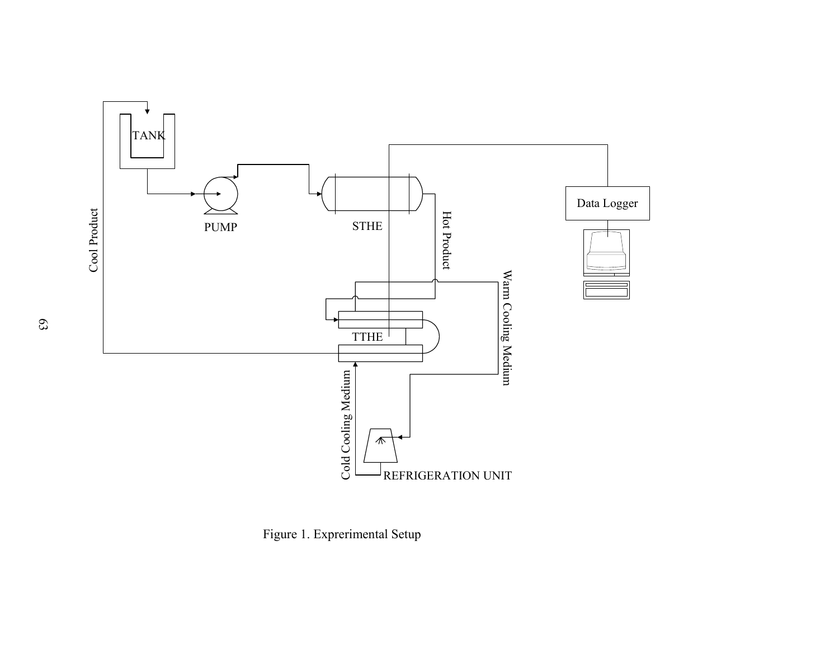

Figure 1. Exprerimental Setup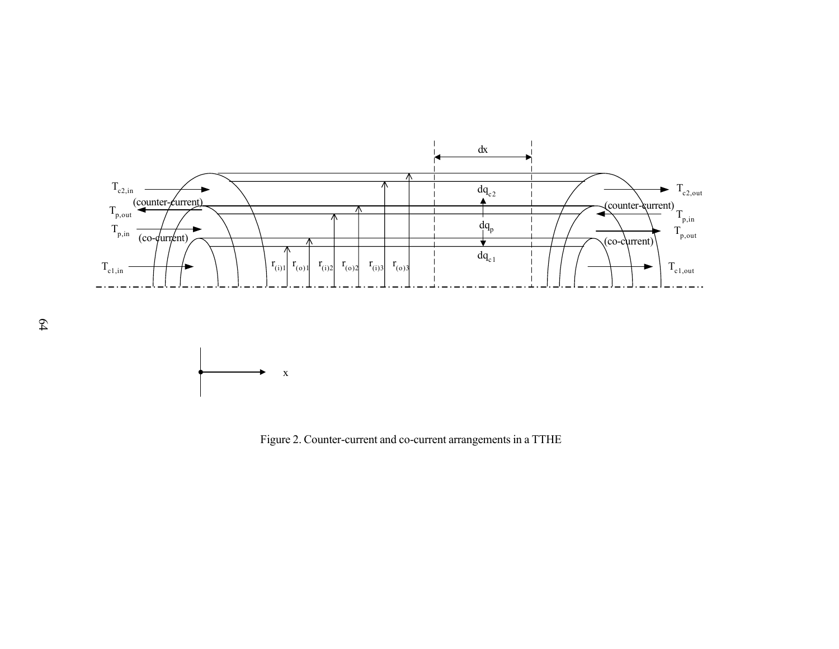

Figure 2. Counter-current and co-current arrangements in a TTHE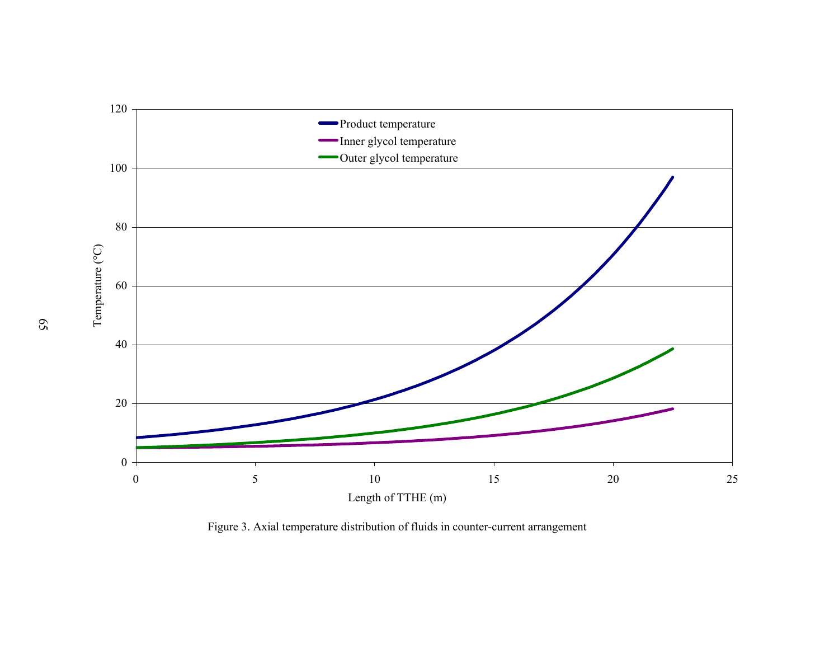

Figure 3. Axial temperature distribution of fluids in counter-current arrangement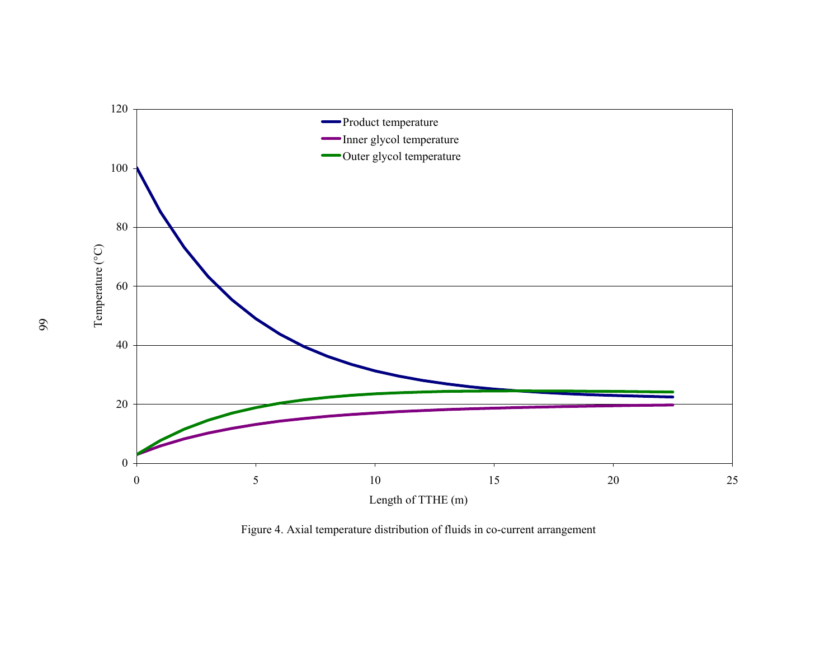

Figure 4. Axial temperature distribution of fluids in co-current arrangement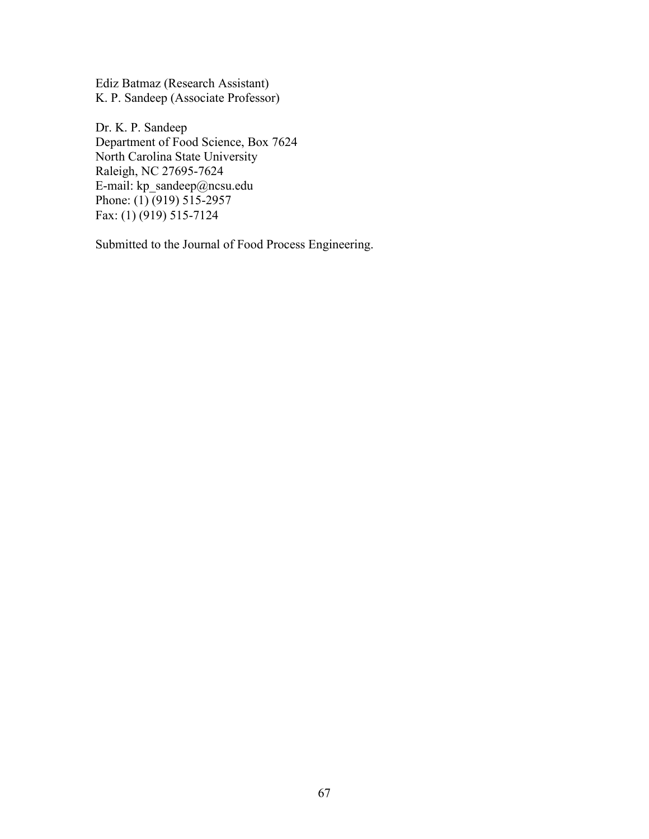Ediz Batmaz (Research Assistant) K. P. Sandeep (Associate Professor)

Dr. K. P. Sandeep Department of Food Science, Box 7624 North Carolina State University Raleigh, NC 27695-7624 E-mail: kp\_sandeep@ncsu.edu Phone:  $(1)$  (919) 515-2957 Fax: (1) (919) 515-7124

Submitted to the Journal of Food Process Engineering.